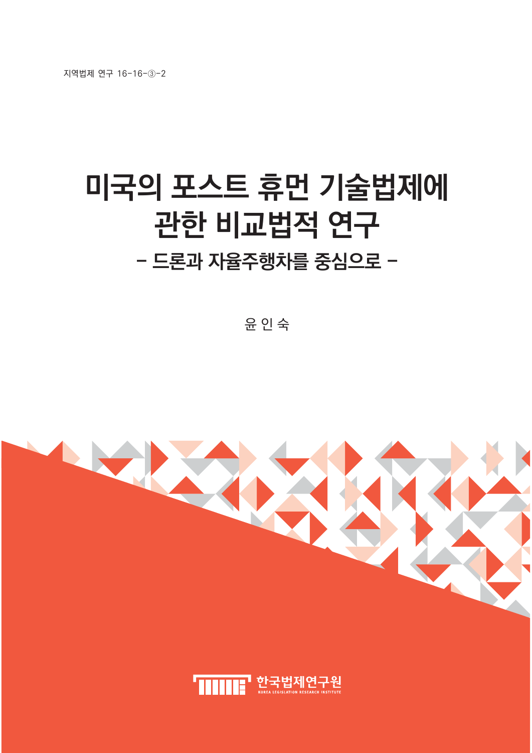지역법제 연구 16-16-3-2

# **미국의 포스트 휴먼 기술법제에** 관한 비교법적 연구 - 드론과 자율주행차를 중심으로 -

윤 인 숙

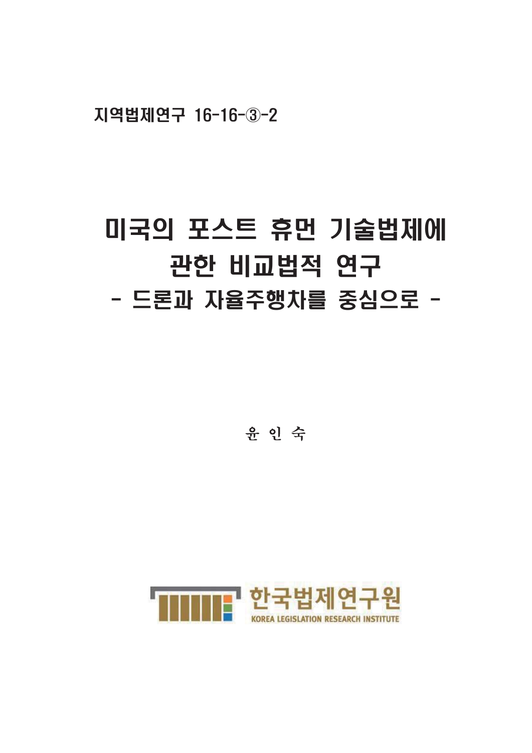지역법제연구 16-16-3-2

# 미국의 포스트 휴먼 기술법제에 관한 비교법적 연구 - 드론과 자율주행차를 중심으로 -

윤 인 숙

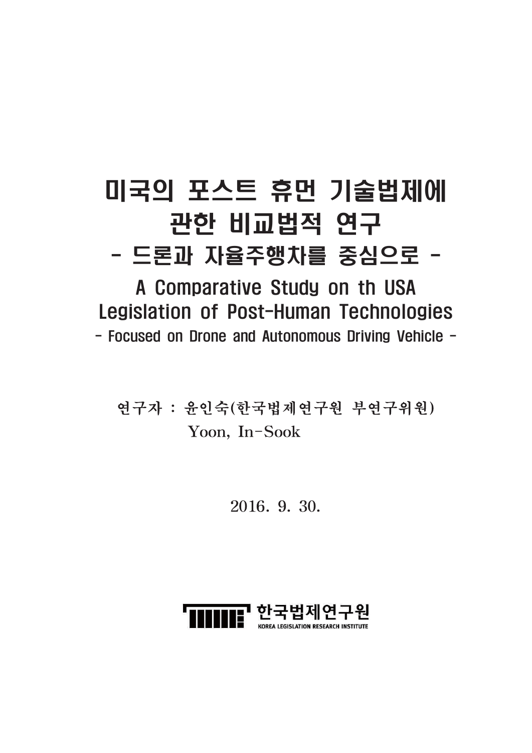# 미국의 포스트 휴먼 기술법제에 관한 비교법적 연구 - 드론과 자율주행차를 중심으로 -

A Comparative Study on th USA Legislation of Post-Human Technologies - Focused on Drone and Autonomous Driving Vehicle -

연구자 : 윤인숙(한국법제연구원 부연구위원) Yoon, In-Sook

2016, 9, 30,

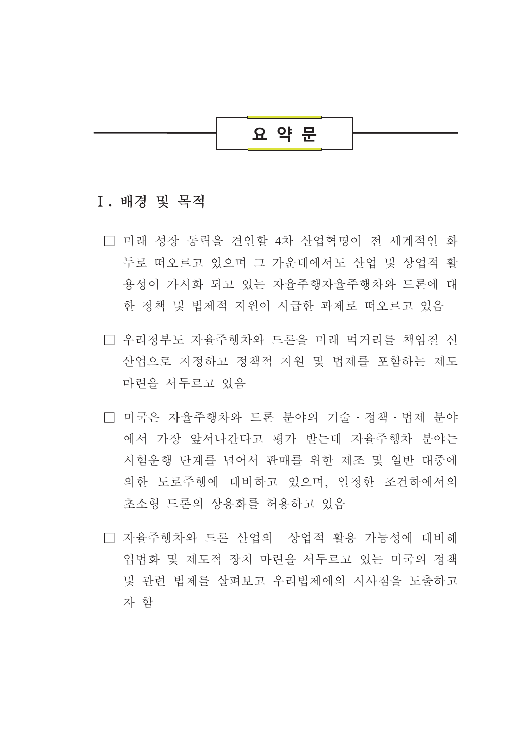

## I. 배경 및 목적

- □ 미래 성장 동력을 견인할 4차 산업혁명이 전 세계적인 화 두로 떠오르고 있으며 그 가우데에서도 산업 및 상업적 활 용성이 가시화 되고 있는 자율주행자율주행차와 드론에 대 한 정책 및 법제적 지워이 시급한 과제로 떠오르고 있음
- □ 우리정부도 자율주행차와 드론을 미래 먹거리를 책임질 신 산업으로 지정하고 정책적 지원 및 법제를 포함하는 제도 마련을 서두르고 있음
- □ 미국은 자율주행차와 드론 분야의 기술 · 정책 · 법제 분야 에서 가장 앞서나간다고 평가 받는데 자율주행차 분야는 시험운행 단계를 넘어서 판매를 위한 제조 및 일반 대중에 의한 도로주행에 대비하고 있으며, 일정한 조건하에서의 초소형 드론의 상용화를 허용하고 있음
- □ 자율주행차와 드론 산업의 상업적 활용 가능성에 대비해 입법화 및 제도적 장치 마련을 서두르고 있는 미국의 정책 및 관련 법제를 살펴보고 우리법제에의 시사점을 도출하고 자 함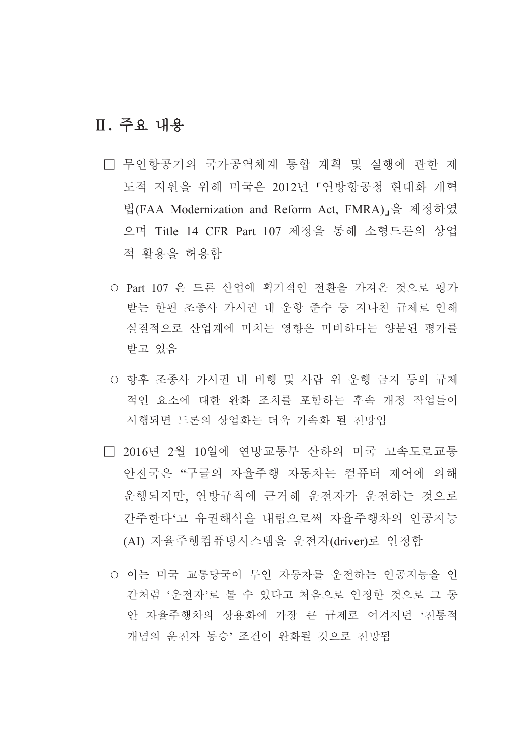# Ⅱ. 주요 내용

- □ 무인항공기의 국가공역체계 통합 계획 및 실행에 관한 제 도적 지워을 위해 미국은 2012년 「연방항공청 현대화 개혁 법(FAA Modernization and Reform Act, FMRA),을 제정하였 으며 Title 14 CFR Part 107 제정을 통해 소형드론의 상업 적 활용을 허용함
	- Part 107 은 드론 산업에 획기적인 전환을 가져온 것으로 평가 받는 한편 조종사 가시권 내 우항 주수 등 지나친 규제로 이해 실질적으로 산업계에 미치는 영향은 미비하다는 양분된 평가를 받고 있음
	- 향후 조종사 가시권 내 비행 및 사람 위 우행 금지 등의 규제 적인 요소에 대한 완화 조치를 포함하는 후속 개정 작업들이 시행되면 드론의 상업화는 더욱 가속화 될 전망임
- □ 2016년 2월 10일에 연방교통부 산하의 미국 고속도로교통 안전국은 "구글의 자율주행 자동차는 컴퓨터 제어에 의해 운행되지만, 연방규칙에 근거해 운전자가 운전하는 것으로 간주한다'고 유권해석을 내림으로써 자율주행차의 인공지능 (AI) 자율주행컴퓨팅시스템을 운전자(driver)로 인정함
	- 이는 미국 교통당국이 무인 자동차를 운전하는 인공지능을 인 간처럼 '운전자'로 볼 수 있다고 처음으로 인정한 것으로 그 동 안 자율주행차의 상용화에 가장 큰 규제로 여겨지던 '전통적 개념의 운전자 동승' 조건이 완화될 것으로 전망됨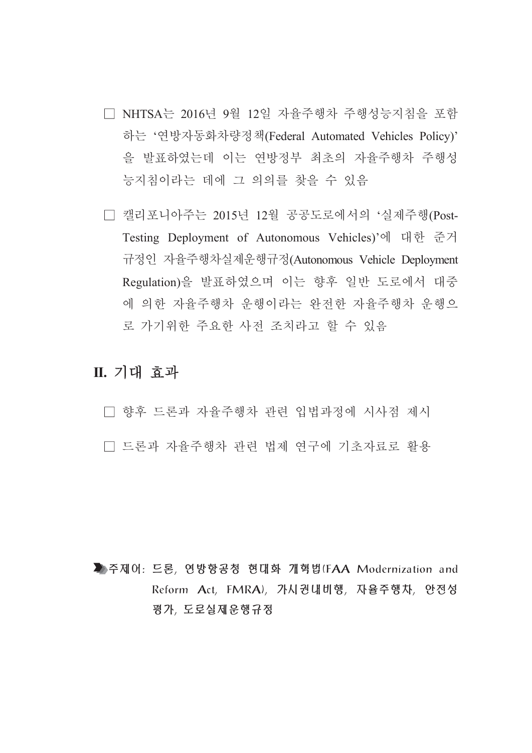- □ NHTSA는 2016년 9월 12일 자율주행차 주행성능지침을 포함 하는 '연방자동화차량정책(Federal Automated Vehicles Policy)' 을 발표하였는데 이는 연방정부 최초의 자율주행차 주행성 능지침이라는 데에 그 의의를 찾을 수 있음
- □ 캘리포니아주는 2015년 12월 공공도로에서의 '실제주행(Post-Testing Deployment of Autonomous Vehicles)'에 대한 준거 규정인 자율주행차실제운행규정(Autonomous Vehicle Deployment Regulation)을 발표하였으며 이는 향후 일반 도로에서 대중 에 의한 자율주행차 운행이라는 완전한 자율주행차 운행으 로 가기위한 주요한 사전 조치라고 할 수 있음

## Ⅱ. 기대 효과

□ 향후 드론과 자율주행차 관련 입법과정에 시사점 제시 □ 드론과 자율주행차 관련 법제 연구에 기초자료로 활용

▶주제어: 드론, 연방항공청 현대화 개혁법(FAA Modernization and Reform Act, FMRA), 가시권내비행, 자율주행차, 안전성 평가, 도로실제운행규정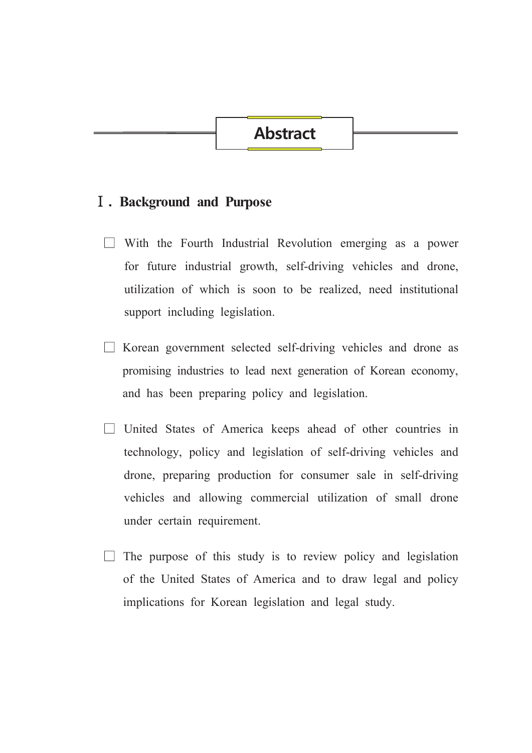# **Abstract**

## **I**. Background and Purpose

- $\Box$  With the Fourth Industrial Revolution emerging as a power for future industrial growth, self-driving vehicles and drone, utilization of which is soon to be realized, need institutional support including legislation.
- $\Box$  Korean government selected self-driving vehicles and drone as promising industries to lead next generation of Korean economy, and has been preparing policy and legislation.
- $\Box$  United States of America keeps ahead of other countries in technology, policy and legislation of self-driving vehicles and drone, preparing production for consumer sale in self-driving vehicles and allowing commercial utilization of small drone under certain requirement.
- $\Box$  The purpose of this study is to review policy and legislation of the United States of America and to draw legal and policy implications for Korean legislation and legal study.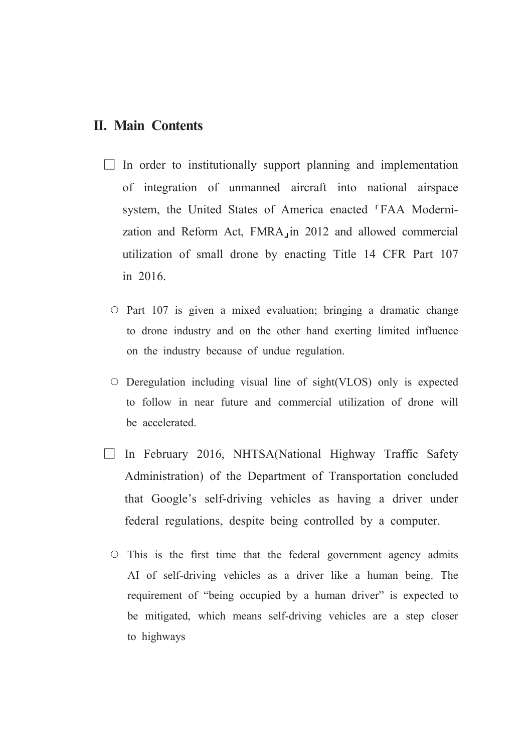## **II. Main Contents**

- $\Box$  In order to institutionally support planning and implementation of integration of unmanned aircraft into national airspace system, the United States of America enacted <sup>F</sup>FAA Modernization and Reform Act, FMRA in 2012 and allowed commercial utilization of small drone by enacting Title 14 CFR Part 107 in 2016
	- $\circ$  Part 107 is given a mixed evaluation; bringing a dramatic change to drone industry and on the other hand exerting limited influence on the industry because of undue regulation.
	- $\circ$  Deregulation including visual line of sight (VLOS) only is expected to follow in near future and commercial utilization of drone will be accelerated.
- $\Box$  In February 2016, NHTSA(National Highway Traffic Safety Administration) of the Department of Transportation concluded that Google's self-driving vehicles as having a driver under federal regulations, despite being controlled by a computer.
	- $\circ$  This is the first time that the federal government agency admits AI of self-driving vehicles as a driver like a human being. The requirement of "being occupied by a human driver" is expected to be mitigated, which means self-driving vehicles are a step closer to highways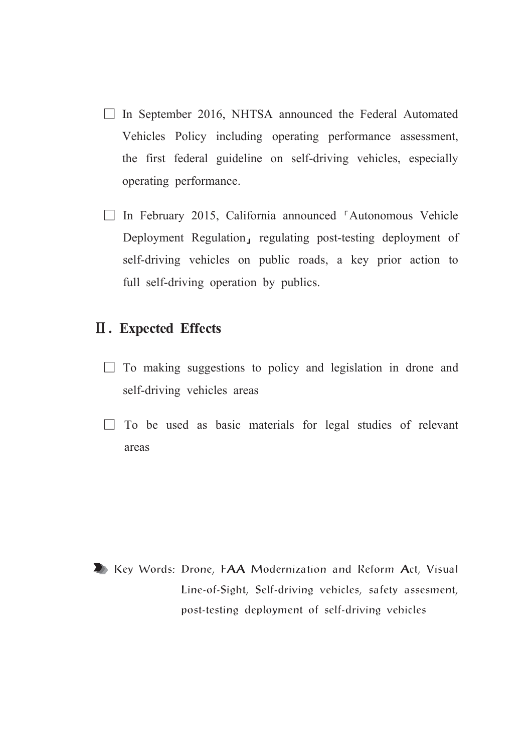- $\Box$  In September 2016, NHTSA announced the Federal Automated Vehicles Policy including operating performance assessment, the first federal guideline on self-driving vehicles, especially operating performance.
- $\Box$  In February 2015, California announced 'Autonomous Vehicle Deployment Regulation, regulating post-testing deployment of self-driving vehicles on public roads, a key prior action to full self-driving operation by publics.

## **II.** Expected Effects

- $\Box$  To making suggestions to policy and legislation in drone and self-driving vehicles areas
- $\Box$  To be used as basic materials for legal studies of relevant areas

Key Words: Drone, FAA Modernization and Reform Act, Visual Line-of-Sight, Self-driving vehicles, safety assesment, post-testing deployment of self-driving vehicles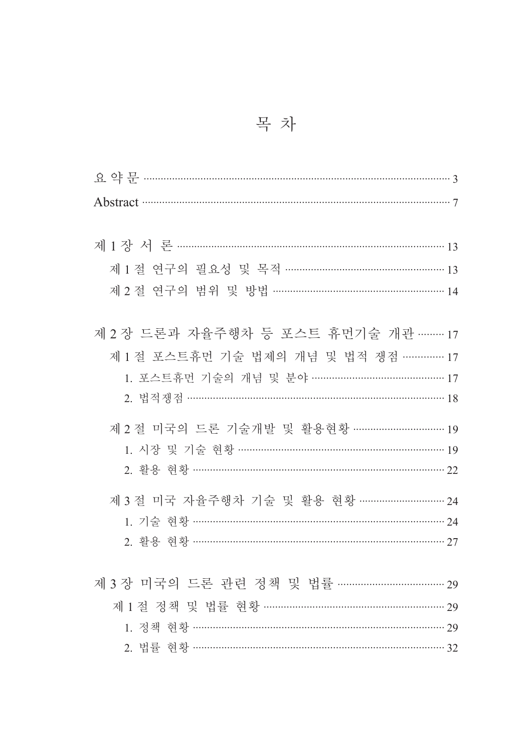|  | 목 차 |  |
|--|-----|--|
|  |     |  |

| Abstract 37                                                                                                                                                           |
|-----------------------------------------------------------------------------------------------------------------------------------------------------------------------|
| 제 1 절 연구의 필요성 및 목적 ……………………………………………… 13<br>제 2 절 연구의 범위 및 방법 …………………………………………………… 14                                                                                 |
| 제 2 장 드론과 자율주행차 등 포스트 휴먼기술 개관 ……… 17<br>제 1 절 포스트휴먼 기술 법제의 개념 및 법적 쟁점 ………… 17<br>1. 포스트휴먼 기술의 개념 및 분야 ……………………………………… 17<br>2. 법적쟁점 ……………………………………………………………………………… 18 |
| 제 2 절 미국의 드론 기술개발 및 활용현황 …………………………… 19<br>1. 시장 및 기술 현황 ……………………………………………………………… 19<br>2. 활용 현황 ………………………………………………………………………………… 22                                   |
| 1. 기술 현황 ……………………………………………………………………… 24<br>2. 활용 현황 ………………………………………………………………………… 27                                                                                   |
| 제 3 장 미국의 드론 관련 정책 및 법률 ……………………………… 29<br>제 1 절 정책 및 법률 현황 …………………………………………………… 29<br>1. 정책 현황 ………………………………………………………………………… 29                                       |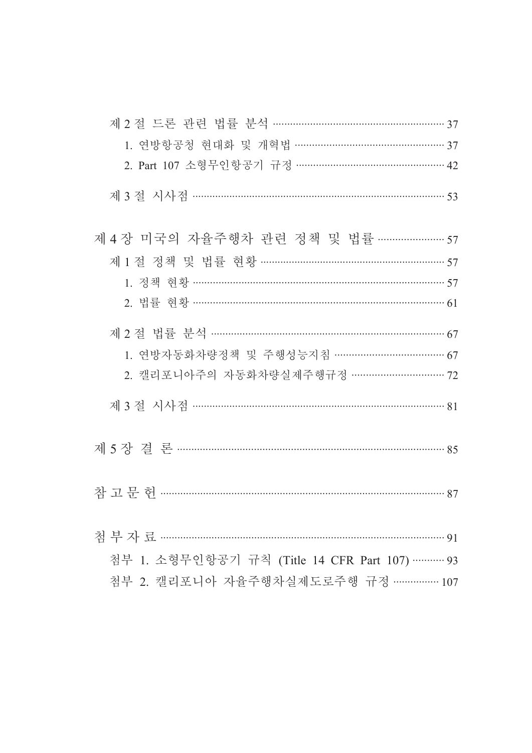| 1. 연방항공청 현대화 및 개혁법 …………………………………………… 37         |    |
|-------------------------------------------------|----|
| 2. Part 107 소형무인항공기 규정 ………………………………………… 42      |    |
|                                                 |    |
| 제 4 장 미국의 자율주행차 관련 정책 및 법률 …………………57            |    |
| 제 1 절 정책 및 법률 현황 ……………………………………………………… 57       |    |
| 1. 정책 현황 …………………………………………………………………………… 57       |    |
| 2. 법률 현황 ………………………………………………………………………… 61        |    |
| 제 2 절 법률 분석 ……………………………………………………………………… 67      |    |
| 1. 연방자동화차량정책 및 주행성능지침 ……………………………… 67           |    |
| 2. 캘리포니아주의 자동화차량실제주행규정 ………………………… 72            |    |
|                                                 |    |
| 제 5 장 결 론 ………………………………………………………………………… 85       |    |
|                                                 |    |
|                                                 | 91 |
| 첨부 1. 소형무인항공기 규칙 (Title 14 CFR Part 107)………… 93 |    |
| 첨부 2. 캘리포니아 자율주행차실제도로주행 규정 …………… 107            |    |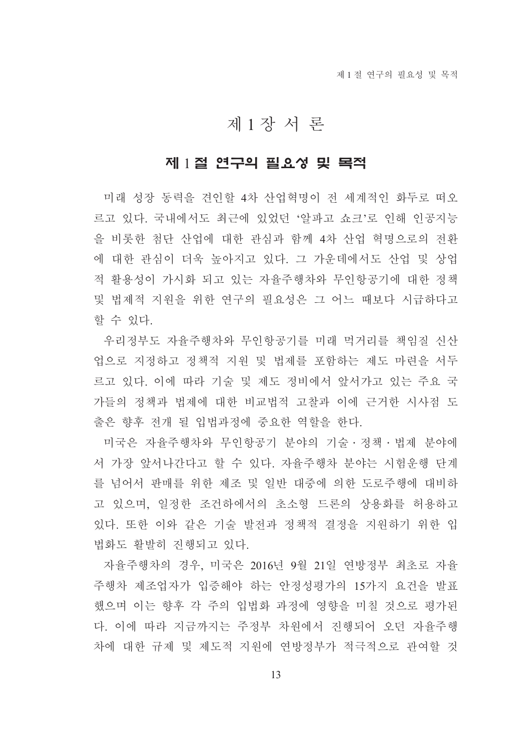# 제1장서론

### 제 1절 연구의 필요성 및 목적

미래 성장 동력을 견인할 4차 산업혁명이 전 세계적인 화두로 떠오 르고 있다. 국내에서도 최근에 있었던 '알파고 쇼크'로 인해 인공지능 을 비롯한 첨단 산업에 대한 관심과 함께 4차 산업 혁명으로의 전환 에 대한 관심이 더욱 높아지고 있다. 그 가운데에서도 산업 및 상업 적 활용성이 가시화 되고 있는 자율주행차와 무인항공기에 대한 정책 및 법제적 지워을 위한 연구의 필요성은 그 어느 때보다 시급하다고 할 수 있다.

우리정부도 자율주행차와 무인항공기를 미래 먹거리를 책임질 신산 업으로 지정하고 정책적 지원 및 법제를 포함하는 제도 마련을 서두 르고 있다. 이에 따라 기술 및 제도 정비에서 앞서가고 있는 주요 국 가들의 정책과 법제에 대한 비교법적 고찰과 이에 근거한 시사점 도 출은 향후 전개 될 입법과정에 중요한 역할을 한다.

미국은 자율주행차와 무인항공기 분야의 기술·정책·법제 분야에 서 가장 앞서나간다고 할 수 있다. 자율주행차 분야는 시험운행 단계 를 넘어서 판매를 위한 제조 및 일반 대중에 의한 도로주행에 대비하 고 있으며, 일정한 조건하에서의 초소형 드론의 상용화를 허용하고 있다. 또한 이와 같은 기술 발전과 정책적 결정을 지워하기 위한 입 법화도 활발히 진행되고 있다.

자율주행차의 경우, 미국은 2016년 9월 21일 연방정부 최초로 자율 주행차 제조업자가 입증해야 하는 안정성평가의 15가지 요건을 발표 했으며 이는 향후 각 주의 입법화 과정에 영향을 미칠 것으로 평가된 다. 이에 따라 지금까지는 주정부 차원에서 진행되어 오던 자율주행 차에 대한 규제 및 제도적 지원에 연방정부가 적극적으로 관여할 것

13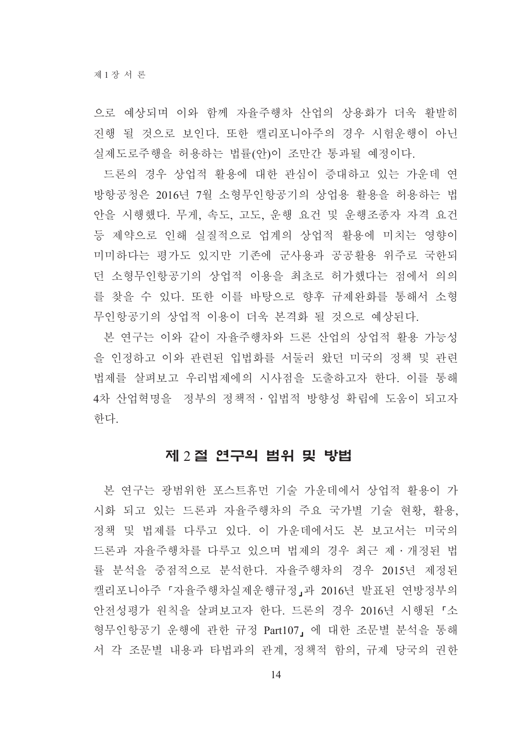으로 예상되며 이와 함께 자율주행차 산업의 상용화가 더욱 활발히 진행 될 것으로 보인다. 또한 캘리포니아주의 경우 시험운행이 아닌 실제도로주행을 허용하는 법률(안)이 조만간 통과될 예정이다.

드론의 경우 상업적 활용에 대한 관심이 증대하고 있는 가운데 연 방항공청은 2016년 7월 소형무인항공기의 상업용 활용을 허용하는 법 안을 시행했다. 무게, 속도, 고도, 운행 요건 및 운행조종자 자격 요건 등 제약으로 인해 실질적으로 업계의 상업적 활용에 미치는 영향이 미미하다는 평가도 있지만 기존에 군사용과 공공활용 위주로 국한되 던 소형무인항공기의 상업적 이용을 최초로 허가했다는 점에서 의의 를 찾을 수 있다. 또한 이를 바탕으로 향후 규제완화를 통해서 소형 무인항공기의 상업적 이용이 더욱 본격화 될 것으로 예상된다.

본 여구는 이와 같이 자율주행차와 드론 산업의 상업적 활용 가능성 을 인정하고 이와 관련된 입법화를 서둘러 왔던 미국의 정책 및 관련 법제를 살펴보고 우리법제에의 시사점을 도출하고자 한다. 이를 통해 4차 산업혁명을 정부의 정책적 · 입법적 방향성 확립에 도움이 되고자 하다.

#### 제 2 절 연구의 범위 및 방법

본 연구는 광범위한 포스트휴먼 기술 가운데에서 상업적 활용이 가 시화 되고 있는 드론과 자율주행차의 주요 국가별 기술 현황, 활용, 정책 및 법제를 다루고 있다. 이 가운데에서도 본 보고서는 미국의 드론과 자율주행차를 다루고 있으며 법제의 경우 최근 제·개정된 법 률 분석을 중점적으로 분석한다. 자율주행차의 경우 2015년 제정된 캘리포니아주 『자율주행차실제운행규정』과 2016년 발표된 연방정부의 안전성평가 원칙을 살펴보고자 한다. 드론의 경우 2016년 시행된『소 형무인항공기 운행에 관한 규정 Part107, 에 대한 조문별 분석을 통해 서 각 조문별 내용과 타법과의 관계, 정책적 함의, 규제 당국의 권한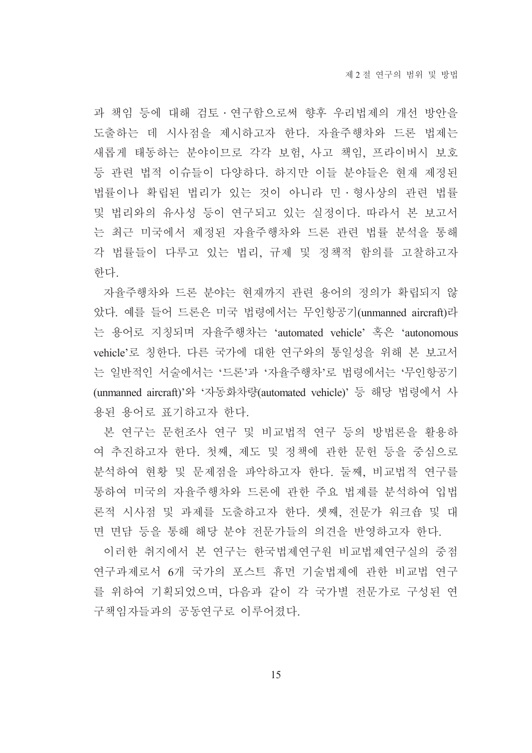과 책임 등에 대해 검토·연구함으로써 향후 우리법제의 개선 방안을 도출하는 데 시사점을 제시하고자 한다. 자율주행차와 드론 법제는 새롭게 태동하는 분야이므로 각각 보험, 사고 책임, 프라이버시 보호 등 관련 법적 이슈들이 다양하다. 하지만 이들 분야들은 현재 제정된 법률이나 확립된 법리가 있는 것이 아니라 민 형사상의 관련 법률 및 법리와의 유사성 등이 연구되고 있는 실정이다. 따라서 본 보고서 는 최근 미국에서 제정된 자율주행차와 드론 관련 법률 분석을 통해 각 법률들이 다루고 있는 법리, 규제 및 정책적 함의를 고찰하고자 하다

자율주행차와 드론 분야는 현재까지 관련 용어의 정의가 확립되지 않 았다. 예를 들어 드론은 미국 법령에서는 무인항공기(unmanned aircraft)라 는 용어로 지칭되며 자율주행차는 'automated vehicle' 혹은 'autonomous vehicle'로 칭한다. 다른 국가에 대한 연구와의 통일성을 위해 본 보고서 는 일반적인 서술에서는 '드론'과 '자율주행차'로 법령에서는 '무인항공기 (unmanned aircraft)'와 '자동화차량(automated vehicle)' 등 해당 법령에서 사 용된 용어로 표기하고자 한다.

본 연구는 문헌조사 연구 및 비교법적 연구 등의 방법론을 활용하 여 추진하고자 한다. 첫째, 제도 및 정책에 관한 문헌 등을 중심으로 분석하여 현황 및 문제점을 파악하고자 한다. 둘째, 비교법적 연구를 통하여 미국의 자율주행차와 드론에 관한 주요 법제를 분석하여 입법 론적 시사점 및 과제를 도출하고자 한다. 셋째, 전문가 워크숍 및 대 면 면담 등을 통해 해당 분야 전문가들의 의견을 반영하고자 한다.

이러한 취지에서 본 연구는 한국법제연구원 비교법제연구실의 중점 연구과제로서 6개 국가의 포스트 휴먼 기술법제에 관한 비교법 연구 를 위하여 기획되었으며, 다음과 같이 각 국가별 전문가로 구성된 연 구책임자들과의 공동여구로 이루어졌다.

15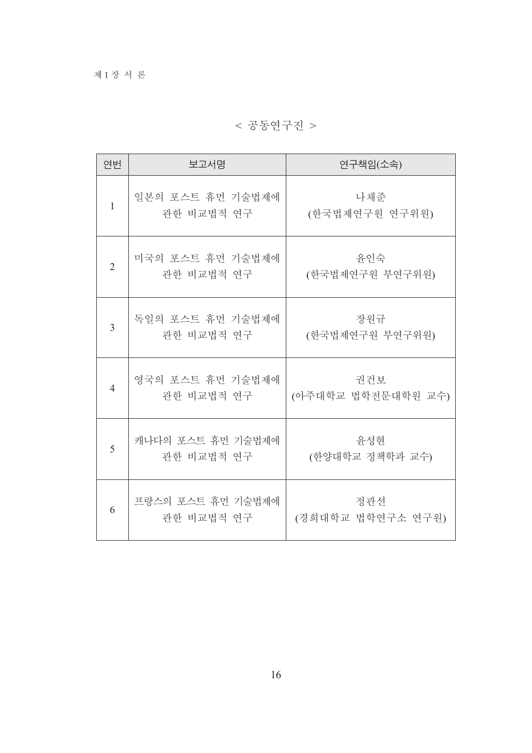< 공동연구진 >

| 연번             | 보고서명                            | 연구책임(소속)                  |
|----------------|---------------------------------|---------------------------|
| 1              | 일본의 포스트 휴먼 기술법제에<br>관한 비교법적 연구  | 나채준<br>(한국법제연구원 연구위원)     |
| $\overline{2}$ | 미국의 포스트 휴먼 기술법제에<br>관한 비교법적 연구  | 윤인숙<br>(한국법제연구원 부연구위원)    |
| $\overline{3}$ | 독일의 포스트 휴먼 기술법제에<br>관한 비교법적 연구  | 장원규<br>(한국법제연구원 부연구위원)    |
| $\overline{4}$ | 영국의 포스트 휴먼 기술법제에<br>관한 비교법적 연구  | 권건보<br>(아주대학교 법학전문대학원 교수) |
| 5              | 캐나다의 포스트 휴먼 기술법제에<br>관한 비교법적 연구 | 윤성현<br>(한양대학교 정책학과 교수)    |
| 6              | 프랑스의 포스트 휴먼 기술법제에<br>관한 비교법적 연구 | 정관선<br>(경희대학교 법학연구소 연구원)  |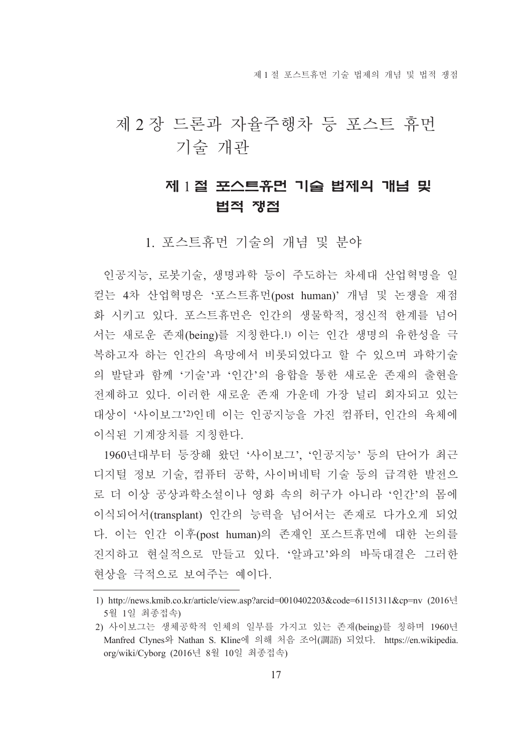제 1 절 포스트휴먼 기술 법제의 개념 및 법적 쟁점

# 제 2 장 드론과 자율주행차 등 포스트 휴먼 기술 개관

# 제 1절 포스트쥬먼 기술 법제의 개념 및 법적 쟁점

1. 포스트휴먼 기술의 개념 및 분야

인공지능, 로봇기술, 생명과학 등이 주도하는 차세대 산업혁명을 일 컫는 4차 산업혁명은 '포스트휴먼(post human)' 개념 및 논쟁을 재점 화 시키고 있다. 포스트휴먼은 인간의 생물학적, 정신적 한계를 넘어 서는 새로운 존재(being)를 지칭한다.1) 이는 인간 생명의 유한성을 극 복하고자 하는 인간의 욕망에서 비롯되었다고 할 수 있으며 과학기술 의 발달과 함께 '기술'과 '인간'의 융합을 통한 새로운 존재의 출현을 전제하고 있다. 이러한 새로운 존재 가운데 가장 널리 회자되고 있는 대상이 '사이보그'2)인데 이는 인공지능을 가진 컴퓨터, 인간의 육체에 이식된 기계장치를 지칭한다.

1960년대부터 등장해 왔던 '사이보그' '인공지능' 등의 단어가 최근 디지털 정보 기술, 컴퓨터 공학, 사이버네틱 기술 등의 급격한 발전으 로 더 이상 공상과학소설이나 영화 속의 허구가 아니라 '인간'의 몸에 이식되어서(transplant) 인간의 능력을 넘어서는 존재로 다가오게 되었 다. 이는 인간 이후(post human)의 존재인 포스트휴먼에 대한 논의를 진지하고 현실적으로 만들고 있다. '알파고'와의 바둑대결은 그러한 현상을 극적으로 보여주는 예이다.

<sup>1)</sup> http://news.kmib.co.kr/article/view.asp?arcid=0010402203&code=61151311&cp=nv (2016년 5월 1일 최종접속)

<sup>2)</sup> 사이보그는 생체공학적 인체의 일부를 가지고 있는 존재(being)를 칭하며 1960년 Manfred Clynes와 Nathan S. Kline에 의해 처음 조어(調語) 되었다. https://en.wikipedia. org/wiki/Cyborg (2016년 8월 10일 최종접속)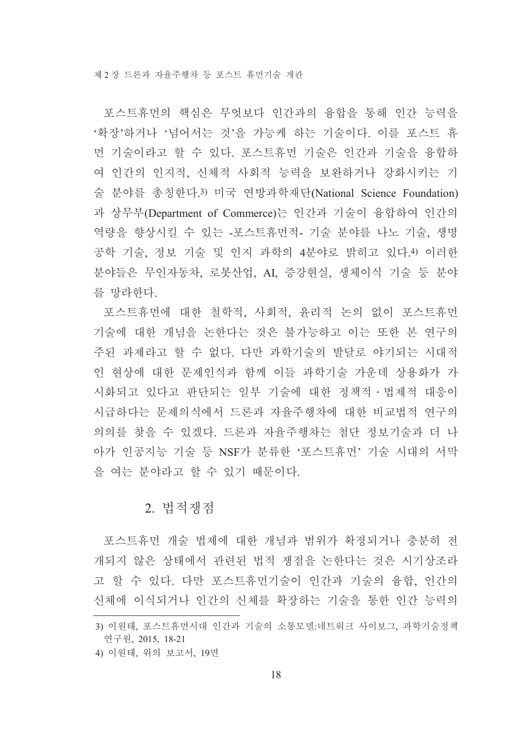포스트휴먼의 핵심은 무엇보다 인간과의 융합을 통해 인간 능력을 '확장'하거나 '넘어서는 것'을 가능케 하는 기술이다. 이를 포스트 휴 먼 기술이라고 할 수 있다. 포스트휴먼 기술은 인간과 기술을 융합하 여 인간의 인지적, 신체적 사회적 능력을 보완하거나 강화시키는 기 술 분야를 총칭한다.3) 미국 연방과학재단(National Science Foundation) 과 상무부(Department of Commerce)는 인간과 기술이 융합하여 인간의 역량을 향상시킬 수 있는 -포스트휴먼적- 기술 분야를 나노 기술, 생명 공학 기술, 정보 기술 및 인지 과학의 4분야로 밝히고 있다.4) 이러한 분야들은 무인자동차, 로봇산업, AI, 증강현실, 생체이식 기술 등 분야 를 망라하다.

포스트휴먼에 대한 철학적, 사회적, 유리적 논의 없이 포스트휴먼 기술에 대한 개념을 논한다는 것은 불가능하고 이는 또한 본 연구의 주된 과제라고 할 수 없다. 다만 과학기술의 발달로 야기되는 시대적 인 현상에 대한 문제인식과 함께 이들 과학기술 가운데 상용화가 가 시화되고 있다고 판단되는 일부 기술에 대한 정책적 · 법제적 대응이 시급하다는 문제의식에서 드론과 자율주행차에 대한 비교법적 연구의 의의를 찾을 수 있겠다. 드론과 자율주행차는 첨단 정보기술과 더 나 아가 인공지능 기술 등 NSF가 분류한 '포스트휴먼'기술 시대의 서막 을 여는 분야라고 할 수 있기 때문이다.

#### 2. 법적쟁점

포스트휴먼 개술 법제에 대한 개념과 범위가 확정되거나 충분히 전 개되지 않은 상태에서 관련된 법적 쟁점을 논한다는 것은 시기상조라 고 할 수 있다. 다만 포스트휴먼기술이 인간과 기술의 융합, 인간의 신체에 이식되거나 인간의 신체를 확장하는 기술을 통한 인간 능력의

<sup>3)</sup> 이원태, 포스트휴먼시대 인간과 기술의 소통모델:네트워크 사이보그, 과학기술정책 연구원, 2015, 18-21

<sup>4)</sup> 이원태, 위의 보고서, 19면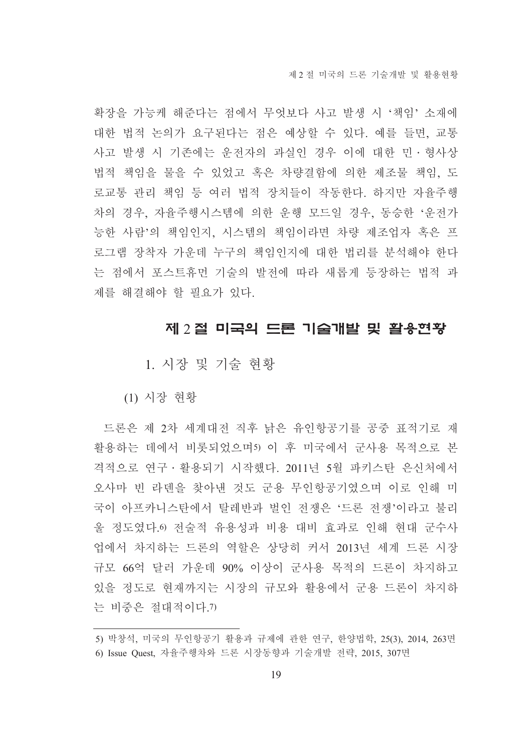확장을 가능케 해준다는 점에서 무엇보다 사고 발생 시 '책임' 소재에 대한 법적 논의가 요구된다는 점은 예상할 수 있다. 예를 들면, 교통 사고 발생 시 기존에는 운전자의 과실인 경우 이에 대한 민 · 형사상 법적 책임을 물을 수 있었고 혹은 차량결함에 의한 제조물 책임, 도 로교통 관리 책임 등 여러 법적 장치들이 작동한다. 하지만 자율주행 차의 경우, 자율주행시스템에 의한 운행 모드일 경우, 동승한 '운전가 능한 사람'의 책임인지, 시스템의 책임이라면 차량 제조업자 혹은 프 로그램 장착자 가운데 누구의 책임인지에 대한 법리를 분석해야 한다 는 점에서 포스트휴먼 기술의 발전에 따라 새롭게 등장하는 법적 과 제를 해결해야 할 필요가 있다.

#### 제 2 절 미국의 드론 기술개발 및 활용현황

1. 시장 및 기술 현황

(1) 시장 현황

드론은 제 2차 세계대전 직후 낡은 유인항공기를 공중 표적기로 재 활용하는 데에서 비롯되었으며5) 이 후 미국에서 군사용 목적으로 본 격적으로 연구 · 활용되기 시작했다. 2011년 5월 파키스탄 은신처에서 오사마 빈 라덴을 찾아낸 것도 군용 무인항공기였으며 이로 인해 미 국이 아프카니스탄에서 탈레반과 벌인 전쟁은 '드론 전쟁'이라고 불리 울 정도였다. 이전술적 유용성과 비용 대비 효과로 인해 현대 군수사 업에서 차지하는 드론의 역할은 상당히 커서 2013년 세계 드론 시장 규모 66억 달러 가운데 90% 이상이 군사용 목적의 드론이 차지하고 있을 정도로 현재까지는 시장의 규모와 활용에서 군용 드론이 차지하 는 비중은 절대적이다.7)

<sup>5)</sup> 박창석, 미국의 무인항공기 활용과 규제에 관한 연구, 한양법학, 25(3), 2014, 263면 6) Issue Quest, 자율주행차와 드론 시장동향과 기술개발 전략, 2015, 307면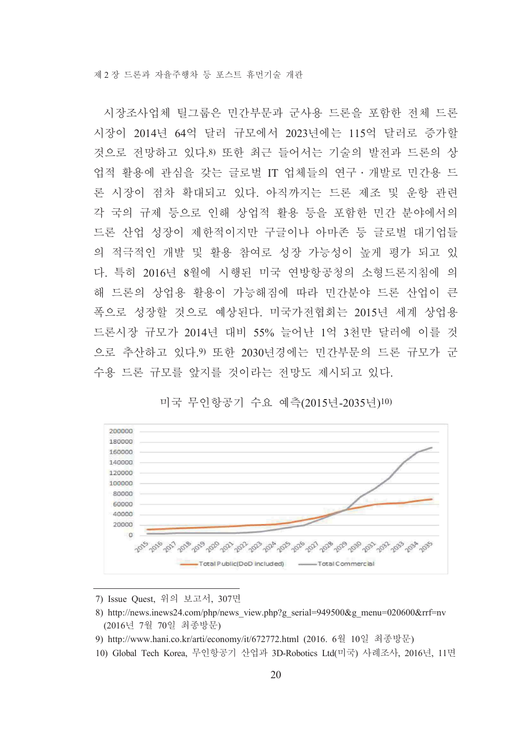시장조사업체 틸그룹은 민간부문과 군사용 드론을 포함한 전체 드론 시장이 2014년 64억 달러 규모에서 2023년에는 115억 달러로 증가할 것으로 전망하고 있다.8) 또한 최근 들어서는 기술의 발전과 드론의 상 업적 활용에 관심을 갖는 글로벌 IT 업체들의 연구 · 개발로 민간용 드 론 시장이 점차 확대되고 있다. 아직까지는 드론 제조 및 운항 관련 각 국의 규제 등으로 인해 상업적 활용 등을 포함한 민간 분야에서의 드론 산업 성장이 제한적이지만 구글이나 아마존 등 글로벌 대기업들 의 적극적인 개발 및 활용 참여로 성장 가능성이 높게 평가 되고 있 다. 특히 2016년 8월에 시행된 미국 연방항공청의 소형드론지침에 의 해 드론의 상업용 활용이 가능해짐에 따라 민가부야 드론 산업이 큰 폭으로 성장할 것으로 예상된다. 미국가전협회는 2015년 세계 상업용 드론시장 규모가 2014년 대비 55% 늘어난 1억 3천만 달러에 이를 것 으로 추산하고 있다. 9 또한 2030년경에는 민간부문의 드론 규모가 군 수용 드론 규모를 앞지를 것이라는 전망도 제시되고 있다.



미국 무인항공기 수요 예측(2015년-2035년)10)

- 7) Issue Ouest, 위의 보고서, 307면
- 8) http://news.inews24.com/php/news view.php?g serial=949500&g menu=020600&rrf=nv (2016년 7월 70일 최종방문)
- 9) http://www.hani.co.kr/arti/economy/it/672772.html (2016. 6월 10일 최종방문)
- 10) Global Tech Korea, 무인항공기 산업과 3D-Robotics Ltd(미국) 사례조사, 2016년, 11면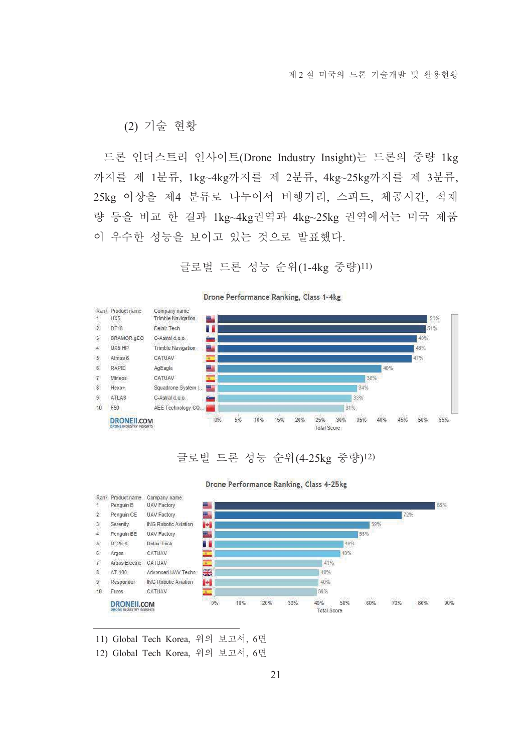(2) 기술 현황

드론 인더스트리 인사이트(Drone Industry Insight)는 드론의 중량 1kg 까지를 제 1분류, 1kg~4kg까지를 제 2분류, 4kg~25kg까지를 제 3분류, 25kg 이상을 제4 분류로 나누어서 비행거리, 스피드, 체공시간, 적재 량 등을 비교 한 결과 1kg~4kg권역과 4kg~25kg 권역에서는 미국 제품 이 우수한 성능을 보이고 있는 것으로 발표했다.

글로벌 드론 성능 순위(1-4kg 중량)11)



Drone Performance Ranking, Class 1-4kg

## 글로벌 드론 성능 순위(4-25kg 중량)12)



Drone Performance Ranking, Class 4-25kg

11) Global Tech Korea, 위의 보고서, 6면

12) Global Tech Korea, 위의 보고서, 6면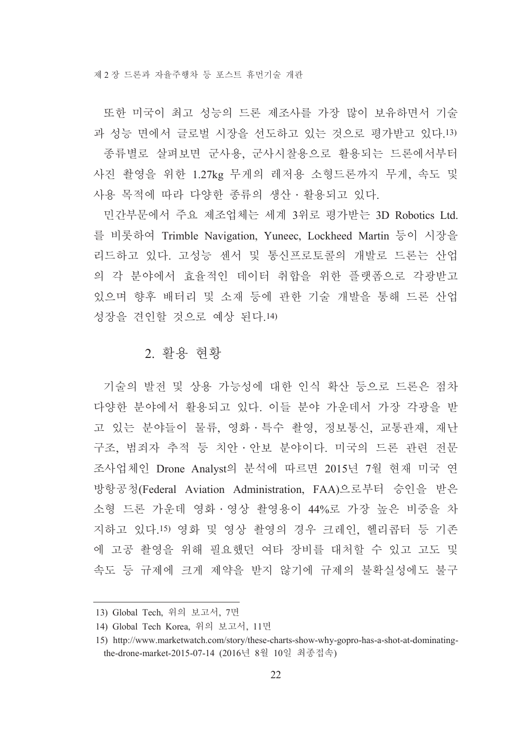또한 미국이 최고 성능의 드론 제조사를 가장 많이 보유하면서 기술 과 성능 면에서 글로벌 시장을 선도하고 있는 것으로 평가받고 있다.13) 종류별로 살펴보면 군사용, 군사시찰용으로 활용되는 드론에서부터 사진 촬영을 위한 1.27kg 무게의 레저용 소형드론까지 무게, 속도 및 사용 목적에 따라 다양한 종류의 생산 · 활용되고 있다.

민간부문에서 주요 제조업체는 세계 3위로 평가받는 3D Robotics Ltd. 를 비롯하여 Trimble Navigation, Yuneec, Lockheed Martin 등이 시장을 리드하고 있다. 고성능 센서 및 통신프로토콜의 개발로 드론는 산업 의 각 분야에서 효율적인 데이터 취합을 위한 플랫폼으로 각광받고 있으며 향후 배터리 및 소재 등에 관한 기술 개발을 통해 드론 산업 성장을 견인할 것으로 예상 된다.14)

#### 2. 활용 현황

기술의 발전 및 상용 가능성에 대한 인식 확산 등으로 드론은 점차 다양한 분야에서 활용되고 있다. 이들 분야 가운데서 가장 각광을 받 고 있는 분야들이 물류, 영화 · 특수 촬영, 정보통신, 교통관재, 재난 구조, 범죄자 추적 등 치아 · 아보 분야이다. 미국의 드론 관련 전문 조사업체인 Drone Analyst의 분석에 따르면 2015년 7월 현재 미국 연 방항공청(Federal Aviation Administration, FAA)으로부터 승인을 받은 소형 드론 가운데 영화 · 영상 촬영용이 44%로 가장 높은 비중을 차 지하고 있다.15) 영화 및 영상 촬영의 경우 크레인, 헬리콥터 등 기존 에 고공 촬영을 위해 필요했던 여타 장비를 대처할 수 있고 고도 및 속도 등 규제에 크게 제약을 받지 않기에 규제의 불확실성에도 불구

<sup>13)</sup> Global Tech, 위의 보고서, 7면

<sup>14)</sup> Global Tech Korea, 위의 보고서, 11면

<sup>15)</sup> http://www.marketwatch.com/story/these-charts-show-why-gopro-has-a-shot-at-dominatingthe-drone-market-2015-07-14 (2016년 8월 10일 최종접속)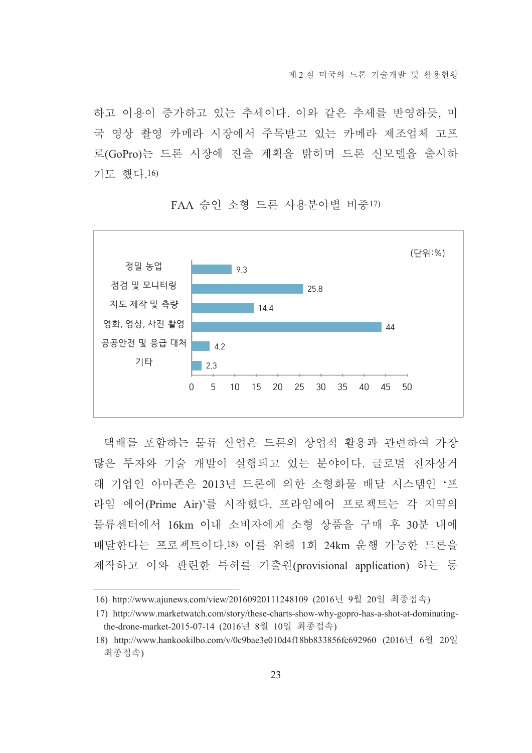하고 이용이 증가하고 있는 추세이다. 이와 같은 추세를 반영하듯. 미 국 영상 촬영 카메라 시장에서 주목받고 있는 카메라 제조업체 고프 로(GoPro)는 드론 시장에 진출 계획을 밝히며 드론 신모델을 출시하 기도 했다.16)



FAA 승인 소형 드론 사용부야별 비중17)

택배를 포함하는 물류 산업은 드론의 상업적 활용과 관련하여 가장 많은 투자와 기술 개발이 실행되고 있는 분야이다. 글로벌 전자상거 래 기업인 아마존은 2013년 드론에 의한 소형화물 배달 시스템인 '프 라임 에어(Prime Air)'를 시작했다. 프라임에어 프로젝트는 각 지역의 물류세터에서 16km 이내 소비자에게 소형 상품을 구매 후 30부 내에 배달한다는 프로젝트이다.18) 이를 위해 1회 24km 운행 가능한 드론을 제작하고 이와 관련한 특허를 가출원(provisional application) 하는 등

<sup>16)</sup> http://www.ajunews.com/view/20160920111248109 (2016년 9월 20일 최종접속)

<sup>17)</sup> http://www.marketwatch.com/story/these-charts-show-why-gopro-has-a-shot-at-dominatingthe-drone-market-2015-07-14 (2016년 8월 10일 최종접속)

<sup>18)</sup> http://www.hankookilbo.com/v/0c9bae3e010d4f18bb833856fc692960 (2016년 6월 20일 최종접속)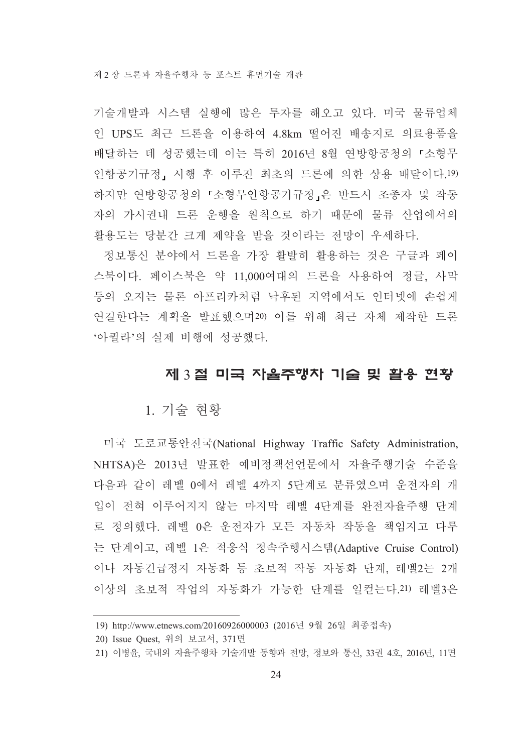기술개발과 시스템 실행에 많은 투자를 해오고 있다. 미국 물류업체 인 UPS도 최근 드론을 이용하여 4.8km 떨어진 배송지로 의료용품을 배달하는 데 성공했는데 이는 특히 2016년 8월 연방항공청의 『소형무 인항공기규정, 시행 후 이루진 최초의 드론에 의한 상용 배달이다.19) 하지만 연방항공청의 「소형무인항공기규정」은 반드시 조종자 및 작동 자의 가시권내 드론 운행을 원칙으로 하기 때문에 물류 산업에서의 활용도는 당분간 크게 제약을 받을 것이라는 전망이 우세하다.

정보통신 분야에서 드론을 가장 활발히 활용하는 것은 구글과 페이 스북이다. 페이스북은 약 11,000여대의 드론을 사용하여 정글, 사막 등의 오지는 물론 아프리카처럼 낙후된 지역에서도 인터넷에 손쉽게 연결한다는 계획을 발표했으며20) 이를 위해 최근 자체 제작한 드론 '아퀼라'의 실제 비행에 성공했다.

## 제 3절 미국 자율주행자 기술 및 활용 현황

### 1. 기술 현황

미국 도로교통안전국(National Highway Traffic Safety Administration, NHTSA)은 2013년 발표한 예비정책선언문에서 자율주행기술 수준을 다음과 같이 레벨 0에서 레벨 4까지 5단계로 분류였으며 운전자의 개 입이 전혀 이루어지지 않는 마지막 레벨 4단계를 완전자율주행 단계 로 정의했다. 레벨 0은 운전자가 모든 자동차 작동을 책임지고 다루 는 단계이고, 레벨 1은 적응식 정속주행시스템(Adaptive Cruise Control) 이나 자동긴급정지 자동화 등 초보적 작동 자동화 단계, 레벨2는 2개 이상의 초보적 작업의 자동화가 가능한 단계를 일컫는다.21) 레벨3은

<sup>19)</sup> http://www.etnews.com/20160926000003 (2016년 9월 26일 최종접속)

<sup>20)</sup> Issue Quest, 위의 보고서, 371면

<sup>21)</sup> 이병윤, 국내외 자율주행차 기술개발 동향과 전망, 정보와 통신, 33권 4호, 2016년, 11면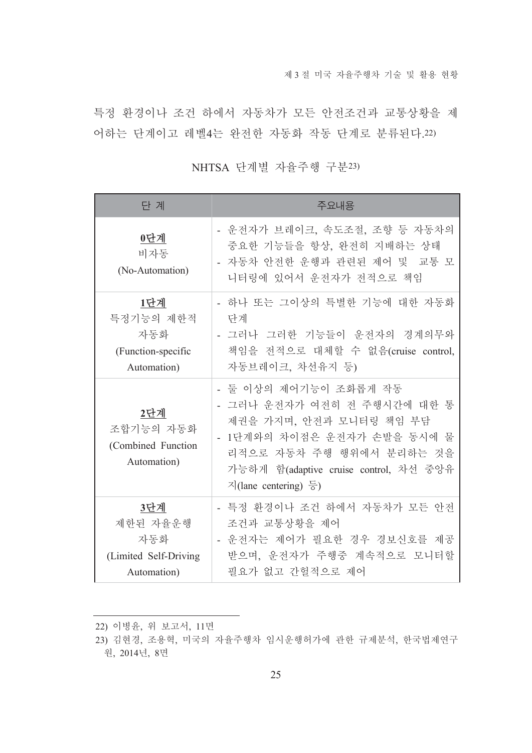특정 환경이나 조건 하에서 자동차가 모든 안전조건과 교통상황을 제 어하는 단계이고 레벨4는 완전한 자동화 작동 단계로 분류된다.22)

| 단 계                                                            | 주요내용                                                                                                                                                                                                                                       |
|----------------------------------------------------------------|--------------------------------------------------------------------------------------------------------------------------------------------------------------------------------------------------------------------------------------------|
| 0단계<br>비자동<br>(No-Automation)                                  | - 운전자가 브레이크, 속도조절, 조향 등 자동차의<br>중요한 기능들을 항상, 완전히 지배하는 상태<br>- 자동차 안전한 운행과 관련된 제어 및 교통 모<br>니터링에 있어서 운전자가 전적으로 책임                                                                                                                           |
| 1단계<br>특정기능의 제한적<br>자동화<br>(Function-specific<br>Automation)   | - 하나 또는 그이상의 특별한 기능에 대한 자동화<br>단계<br>- 그러나 그러한 기능들이 운전자의 경계의무와<br>책임을 전적으로 대체할 수 없음(cruise control,<br>자동브레이크, 차선유지 등)                                                                                                                     |
| 2단계<br>조합기능의 자동화<br>(Combined Function<br>Automation)          | - 둘 이상의 제어기능이 조화롭게 작동<br>- 그러나 운전자가 여전히 전 주행시간에 대한 통<br>제권을 가지며, 안전과 모니터링 책임 부담<br>- 1단계와의 차이점은 운전자가 손발을 동시에 물<br>리적으로 자동차 주행 행위에서 분리하는 것을<br>가능하게 함(adaptive cruise control, 차선 중앙유<br>$\sqrt{2}$ (lane centering) $\frac{\sqrt{5}}{2}$ ) |
| 3단계<br>제한된 자율운행<br>자동화<br>(Limited Self-Driving<br>Automation) | - 특정 환경이나 조건 하에서 자동차가 모든 안전<br>조건과 교통상황을 제어<br>- 운전자는 제어가 필요한 경우 경보신호를 제공<br>받으며, 운전자가 주행중 계속적으로 모니터할<br>필요가 없고 간헐적으로 제어                                                                                                                   |

NHTSA 단계별 자율주행 구분23)

<sup>22)</sup> 이병윤, 위 보고서, 11면

<sup>23)</sup> 김현경, 조용혁, 미국의 자율주행차 임시운행허가에 관한 규제분석, 한국법제연구 원, 2014년, 8면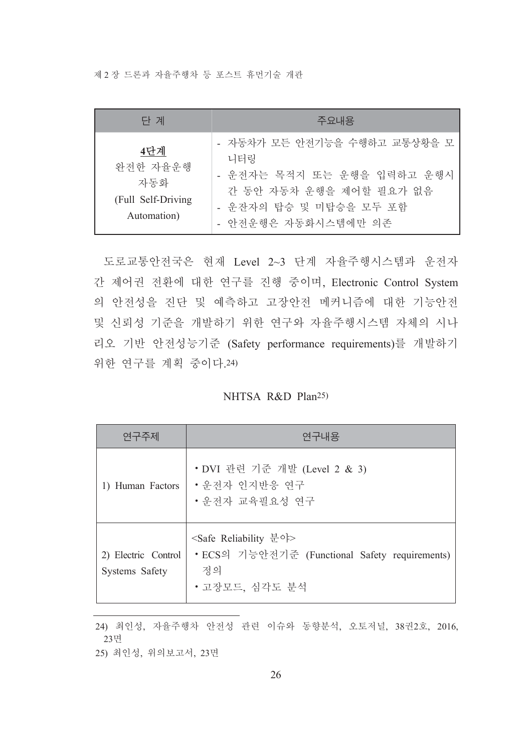제 2 장 드론과 자율주행차 등 포스트 휴먼기술 개관

| 단 계                                                         | 주요내용                                                                                                                                          |
|-------------------------------------------------------------|-----------------------------------------------------------------------------------------------------------------------------------------------|
| 4단계<br>완전한 자율운행<br>자동화<br>(Full Self-Driving<br>Automation) | - 자동차가 모든 안전기능을 수행하고 교통상황을 모<br>니터링<br>- 운전자는 목적지 또는 운행을 입력하고 운행시<br>간 동안 자동차 운행을 제어할 필요가 없음<br>- 운잔자의 탑승 및 미탑승을 모두 포함<br>- 안전운행은 자동화시스템에만 의존 |

도로교통안전국은 현재 Level 2~3 단계 자율주행시스템과 운전자 간 제어권 전환에 대한 연구를 진행 중이며, Electronic Control System 의 안전성을 진단 및 예측하고 고장안전 메커니즘에 대한 기능안전 및 신뢰성 기준을 개발하기 위한 연구와 자율주행시스템 자체의 시나 리오 기반 안전성능기준 (Safety performance requirements)를 개발하기 위한 연구를 계획 중이다.24)

NHTSA R&D Plan<sup>25)</sup>

| 연구주제                                  | 연구내용                                                                                                            |
|---------------------------------------|-----------------------------------------------------------------------------------------------------------------|
| 1) Human Factors                      | • DVI 관련 기준 개발 (Level 2 & 3)<br>• 우전자 인지반응 연구<br>• 우전자 교육필요성 여구                                                 |
| 2) Electric Control<br>Systems Safety | <safe reliability="" 분야=""><br/>• ECS의 기능안전기준 (Functional Safety requirements)<br/>정의<br/>• 고장모드, 심각도 분석</safe> |

<sup>24)</sup> 최인성, 자율주행차 안전성 관련 이슈와 동향분석, 오토저널, 38권2호, 2016, 23면

<sup>25)</sup> 최인성, 위의보고서, 23면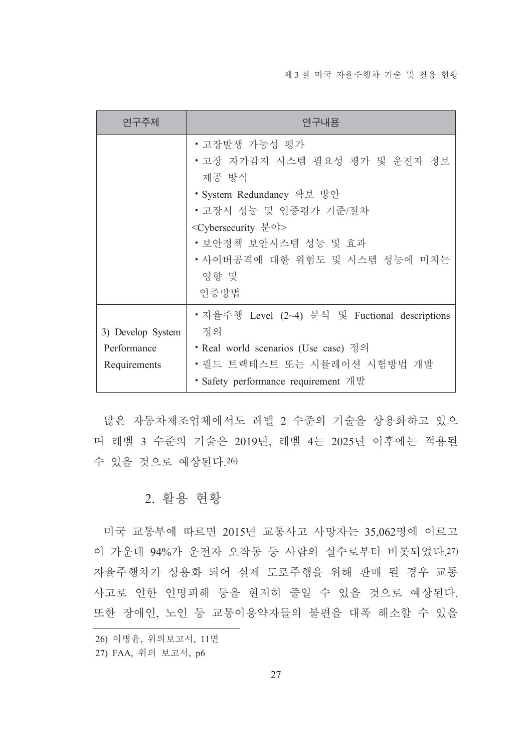| 연구주제              | 연구내용                                           |  |
|-------------------|------------------------------------------------|--|
|                   | • 고장발생 가능성 평가                                  |  |
|                   | •고장 자가감지 시스템 필요성 평가 및 운전자 정보                   |  |
|                   | 제공 방식                                          |  |
|                   | • System Redundancy 확보 방안                      |  |
|                   | • 고장시 성능 및 인증평가 기준/절차                          |  |
|                   | <cybersecurity 분야=""></cybersecurity>          |  |
|                   | • 보안정책 보안시스템 성능 및 효과                           |  |
|                   | •사이버공격에 대한 위험도 및 시스템 성능에 미치는                   |  |
|                   | 영향 및                                           |  |
|                   | 인증방법                                           |  |
|                   | • 자율주행 Level (2~4) 분석 및 Fuctional descriptions |  |
| 3) Develop System | 정의                                             |  |
| Performance       | • Real world scenarios (Use case) 정의           |  |
| Requirements      | • 필드 트랙테스트 또는 시뮬레이션 시험방법 개발                    |  |
|                   | • Safety performance requirement 개발            |  |

많은 자동차제조업체에서도 레벨 2 수준의 기술을 상용화하고 있으 며 레벨 3 수준의 기술은 2019년, 레벨 4는 2025년 이후에는 적용될 수 있을 것으로 예상된다.26)

## 2. 활용 현황

미국 교통부에 따르면 2015년 교통사고 사망자는 35,062명에 이르고 이 가운데 94%가 운전자 오작동 등 사람의 실수로부터 비롯되었다.27) 자율주행차가 상용화 되어 실제 도로주행을 위해 판매 될 경우 교통 사고로 인한 인명피해 등을 현저히 줄일 수 있을 것으로 예상된다. 또한 장애인, 노인 등 교통이용약자들의 불편을 대폭 해소할 수 있을

<sup>26)</sup> 이병윤, 위의보고서, 11면

<sup>27)</sup> FAA, 위의 보고서, p6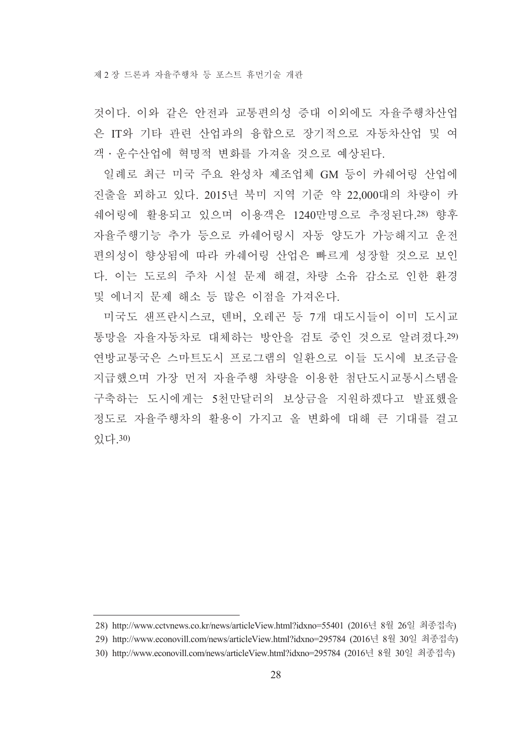것이다. 이와 같은 안전과 교통편의성 증대 이외에도 자율주행차산업 은 IT와 기타 관련 산업과의 융합으로 장기적으로 자동차산업 및 여 객 · 운수산업에 혁명적 변화를 가져올 것으로 예상된다.

일례로 최근 미국 주요 완성차 제조업체 GM 등이 카쉐어링 산업에 진출을 꾀하고 있다. 2015년 북미 지역 기주 약 22.000대의 차량이 카 쉐어링에 활용되고 있으며 이용객은 1240만명으로 추정된다.28) 향후 자율주행기능 추가 등으로 카쉐어링시 자동 양도가 가능해지고 운전 편의성이 향상됨에 따라 카쉐어링 산업은 빠르게 성장할 것으로 보인 다. 이는 도로의 주차 시설 문제 해결, 차량 소유 감소로 인한 환경 및 에너지 문제 해소 등 많은 이점을 가져온다.

미국도 샌프란시스코, 덴버, 오레곤 등 7개 대도시들이 이미 도시교 통망을 자율자동차로 대체하는 방안을 검토 중인 것으로 알려졌다.29) 연방교통국은 스마트도시 프로그램의 일화으로 이들 도시에 보조금을 지급했으며 가장 먼저 자율주행 차량을 이용한 첨단도시교통시스템을 구축하는 도시에게는 5천만달러의 보상금을 지원하겠다고 발표했을 정도로 자율주행차의 활용이 가지고 올 변화에 대해 큰 기대를 걸고 있다 30)

<sup>28)</sup> http://www.cctvnews.co.kr/news/articleView.html?idxno=55401 (2016년 8월 26일 최종접속)

<sup>29)</sup> http://www.econovill.com/news/articleView.html?idxno=295784 (2016년 8월 30일 최종접속)

<sup>30)</sup> http://www.econovill.com/news/articleView.html?idxno=295784 (2016년 8월 30일 최종접속)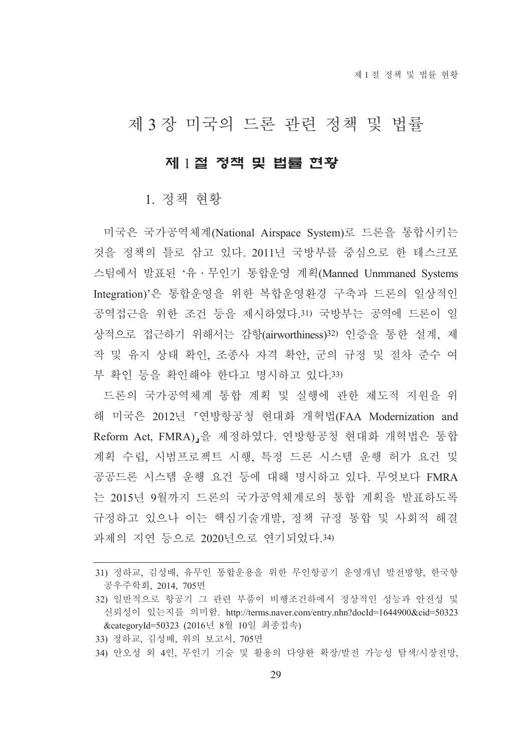# 제 3 장 미국의 드론 관련 정책 및 법률

### 제 1절 정책 및 법률 현황

#### 1. 정책 현황

미국은 국가공역체계(National Airspace System)로 드론을 통합시키는 것을 정책의 틀로 삼고 있다. 2011년 국방부를 중심으로 한 테스크포 스팀에서 발표된 '유 · 무인기 통합운영 계획(Manned Unmmaned Systems Integration)'은 통합운영을 위한 복합운영환경 구축과 드론의 일상적인 공역접근을 위한 조건 등을 제시하였다.31) 국방부는 공역에 드론이 일 상적으로 접근하기 위해서는 감항(airworthiness)32) 인증을 통한 설계, 제 작 및 유지 상태 확인, 조종사 자격 확안, 군의 규정 및 절차 준수 여 부 확인 등을 확인해야 한다고 명시하고 있다.33)

드론의 국가공역체계 통합 계획 및 실행에 관한 제도적 지원을 위 해 미국은 2012년 「연방항공청 현대화 개혁법(FAA Modernization and Reform Act. FMRA) 을 제정하였다. 연방항공청 현대화 개혁법은 통합 계획 수립, 시범프로젝트 시행, 특정 드론 시스템 운행 허가 요건 및 공공드론 시스템 운행 요건 등에 대해 명시하고 있다. 무엇보다 FMRA 는 2015년 9월까지 드론의 국가공역체계로의 통합 계획을 발표하도록 규정하고 있으나 이는 핵심기술개발, 정책 규정 통합 및 사회적 해결 과제의 지연 등으로 2020년으로 연기되었다.34)

- 33) 정하교, 김성배, 위의 보고서, 705면
- 34) 안오성 외 4인, 무인기 기술 및 활용의 다양한 확장/발전 가능성 탐색/시장전망,

<sup>31)</sup> 정하교, 김성배, 유무인 통합운용을 위한 무인항공기 운영개념 발전방향, 한국항 공우주학회, 2014, 705면

<sup>32)</sup> 일반적으로 항공기 그 관련 부품이 비행조건하에서 정상적인 성능과 안전성 및 신뢰성이 있는지를 의미함. http://terms.naver.com/entry.nhn?docId=1644900&cid=50323 &categoryId=50323 (2016년 8월 10일 최종접속)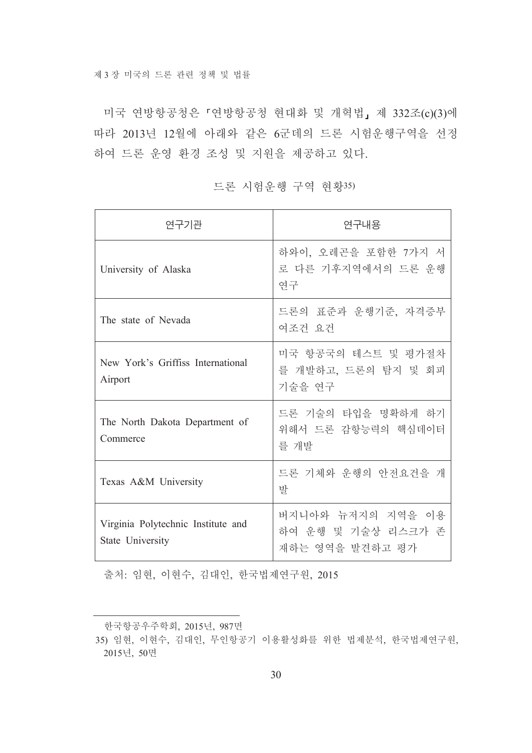미국 연방항공청은 「연방항공청 현대화 및 개혁법」 제 332조(c)(3)에 따라 2013년 12월에 아래와 같은 6군데의 드론 시험운행구역을 선정 하여 드론 운영 환경 조성 및 지원을 제공하고 있다.

| 연구기관                                                   | 연구내용                                                       |
|--------------------------------------------------------|------------------------------------------------------------|
| University of Alaska                                   | 하와이, 오레곤을 포함한 7가지 서<br>로 다른 기후지역에서의 드론 운행<br>연구            |
| The state of Nevada                                    | 드론의 표준과 운행기준, 자격증부<br>여조건 요건                               |
| New York's Griffiss International<br>Airport           | 미국 항공국의 테스트 및 평가절차<br>를 개발하고, 드론의 탐지 및 회피<br>기술을 연구        |
| The North Dakota Department of<br>Commerce             | 드론 기술의 타입을 명확하게 하기<br>위해서 드론 감항능력의 핵심데이터<br>를 개발           |
| Texas A&M University                                   | 드론 기체와 운행의 안전요건을 개<br>발                                    |
| Virginia Polytechnic Institute and<br>State University | 버지니아와 뉴저지의 지역을 이용<br>하여 운행 및 기술상 리스크가 존<br>재하는 영역을 발견하고 평가 |

드론 시험운행 구역 현황35)

출처: 임현, 이현수, 김대인, 한국법제연구원, 2015

한국항공우주학회, 2015년, 987면

<sup>35)</sup> 임현, 이현수, 김대인, 무인항공기 이용활성화를 위한 법제분석, 한국법제연구원, 2015년, 50면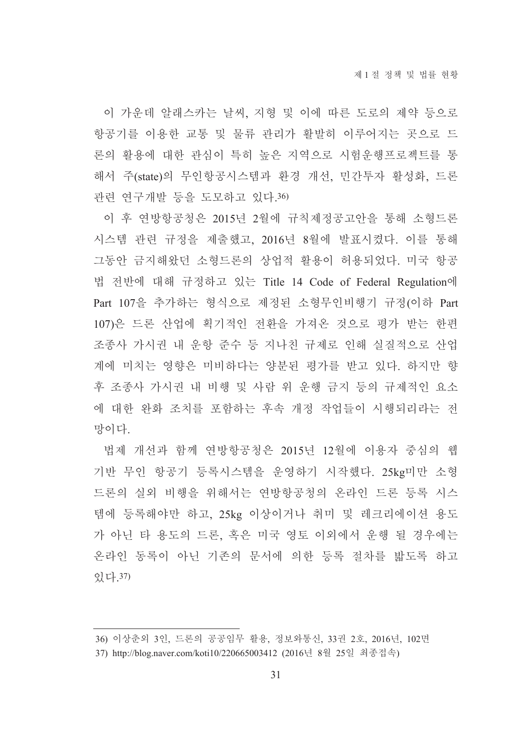이 가운데 알래스카는 날씨, 지형 및 이에 따른 도로의 제약 등으로 항공기를 이용한 교통 및 물류 관리가 활발히 이루어지는 곳으로 드 론의 활용에 대한 관심이 특히 높은 지역으로 시험운행프로젝트를 통 해서 주(state)의 무인항공시스템과 환경 개선, 민간투자 활성화, 드론 관련 연구개발 등을 도모하고 있다.36)

이 후 연방항공청은 2015년 2월에 규칙제정공고안을 통해 소형드론 시스템 관련 규정을 제출했고, 2016년 8월에 발표시켰다. 이를 통해 그동안 금지해왔던 소형드론의 상업적 활용이 허용되었다. 미국 항공 법 전반에 대해 규정하고 있는 Title 14 Code of Federal Regulation에 Part 107을 추가하는 형식으로 제정된 소형무인비행기 규정(이하 Part 107)은 드론 산업에 획기적인 전환을 가져온 것으로 평가 받는 한편 조종사 가시권 내 운항 준수 등 지나친 규제로 인해 실질적으로 산업 계에 미치는 영향은 미비하다는 양분된 평가를 받고 있다. 하지만 향 후 조종사 가시권 내 비행 및 사람 위 운행 금지 등의 규제적인 요소 에 대한 완화 조치를 포함하는 후속 개정 작업들이 시행되리라는 전 망이다

법제 개선과 함께 연방항공청은 2015년 12월에 이용자 중심의 웹 기반 무인 항공기 등록시스템을 운영하기 시작했다. 25kg미만 소형 드론의 실외 비행을 위해서는 연방항공청의 온라인 드론 등록 시스 템에 등록해야만 하고, 25kg 이상이거나 취미 및 레크리에이션 용도 가 아닌 타 용도의 드론, 혹은 미국 영토 이외에서 운행 될 경우에는 온라인 동록이 아닌 기존의 문서에 의한 등록 절차를 밟도록 하고 있다. 37)

<sup>36)</sup> 이상춘외 3인, 드론의 공공임무 활용, 정보와통신, 33권 2호, 2016년, 102면

<sup>37)</sup> http://blog.naver.com/koti10/220665003412 (2016년 8월 25일 최종접속)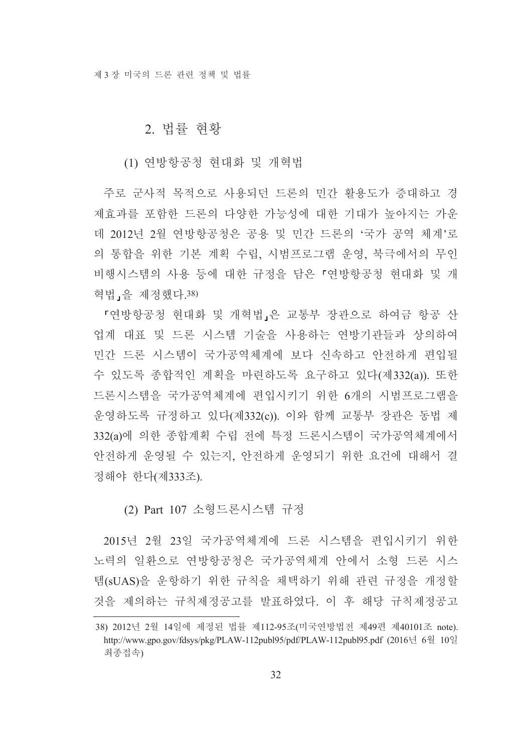#### 2. 법률 혀홧

#### (1) 연방항공청 현대화 및 개혁법

주로 군사적 목적으로 사용되던 드론의 민간 활용도가 증대하고 경 제효과를 포함한 드론의 다양한 가능성에 대한 기대가 높아지는 가운 데 2012년 2월 연방항공청은 공용 및 민간 드론의 '국가 공역 체계'로 의 통합을 위한 기본 계획 수립, 시범프로그램 운영, 북극에서의 무인 비행시스템의 사용 등에 대한 규정을 담은 「여방항공청 현대화 및 개 혁법,을 제정했다.38)

『연방항공청 현대화 및 개혁법』은 교통부 장관으로 하여금 항공 산 업계 대표 및 드론 시스템 기술을 사용하는 연방기관들과 상의하여 민간 드론 시스템이 국가공역체계에 보다 신속하고 안전하게 편입될 수 있도록 종합적인 계획을 마련하도록 요구하고 있다(제332(a)). 또한 드론시스템을 국가공역체계에 편입시키기 위한 6개의 시범프로그램을 운영하도록 규정하고 있다(제332(c)). 이와 함께 교통부 장관은 동법 제 332(a)에 의한 종합계획 수립 전에 특정 드론시스템이 국가공역체계에서 안전하게 운영될 수 있는지. 안전하게 운영되기 위한 요건에 대해서 결 정해야 한다(제333조).

#### (2) Part 107 소형드론시스템 규정

2015년 2월 23일 국가공역체계에 드론 시스템을 편입시키기 위한 노력의 일환으로 연방항공청은 국가공역체계 안에서 소형 드론 시스 템(sUAS)을 운항하기 위한 규칙을 채택하기 위해 관련 규정을 개정할 것을 제의하는 규칙제정공고를 발표하였다. 이 후 해당 규칙제정공고

<sup>38) 2012</sup>년 2월 14일에 제정된 법률 제112-95조(미국연방법전 제49편 제40101조 note). http://www.gpo.gov/fdsys/pkg/PLAW-112publ95/pdf/PLAW-112publ95.pdf (2016년 6월 10일 최종접속)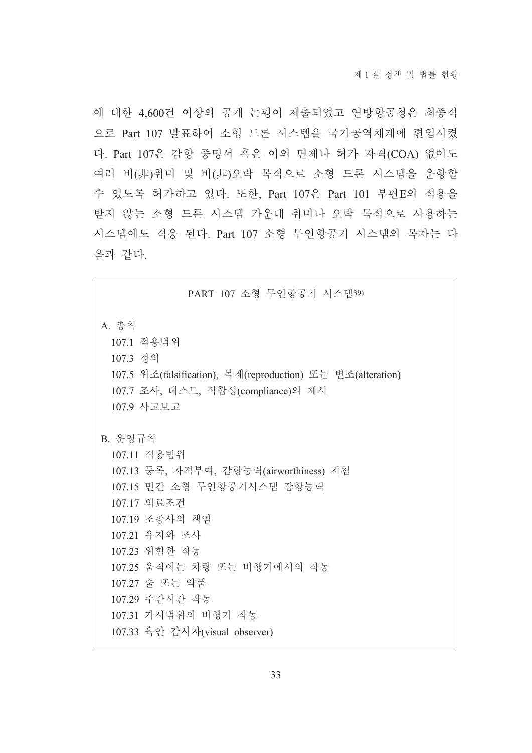에 대한 4,600건 이상의 공개 논평이 제출되었고 연방항공청은 최종적 으로 Part 107 발표하여 소형 드론 시스템을 국가공역체계에 편입시켰 다. Part 107은 감항 증명서 혹은 이의 면제나 허가 자격(COA) 없이도 여러 비(非)취미 및 비(非)오락 목적으로 소형 드론 시스템을 운항할 수 있도록 허가하고 있다. 또한, Part 107은 Part 101 부편E의 적용을 받지 않는 소형 드론 시스템 가운데 취미나 오락 목적으로 사용하는 시스템에도 적용 된다. Part 107 소형 무인항공기 시스템의 목차는 다 음과 같다.

# PART 107 소형 무인항공기 시스템39) A. 총칙 107.1 적용범위 107.3 정의 107.5 위조(falsification), 복제(reproduction) 또는 변조(alteration) 107.7 조사, 테스트, 적합성(compliance)의 제시 107.9 사고보고 B. 운영규칙 107.11 적용범위 107.13 등록, 자격부여, 감항능력(airworthiness) 지침 107.15 민간 소형 무인항공기시스템 감항능력 107.17 의료조건 107.19 조종사의 책임 107.21 유지와 조사 107.23 위험한 작동 107.25 움직이는 차량 또는 비행기에서의 작동 107.27 술 또는 약품 107.29 주간시간 작동 107.31 가시범위의 비행기 작동 107.33 육안 감시자(visual observer)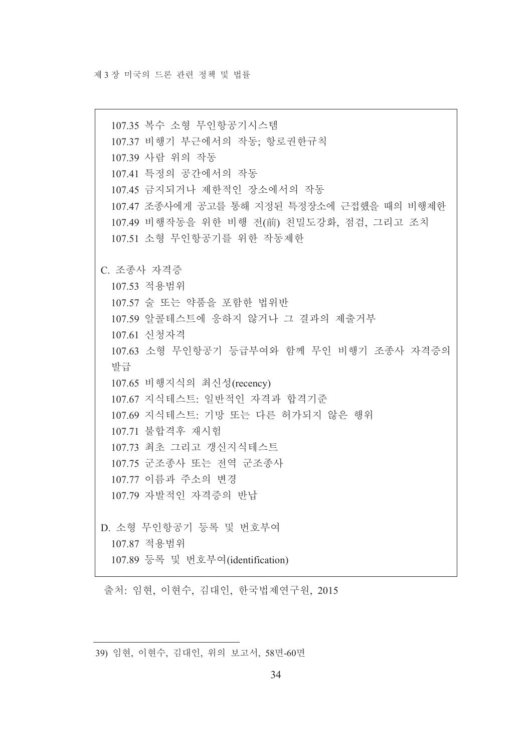107.35 복수 소형 무인항공기시스템 107.37 비행기 부근에서의 작동; 항로권한규칙 107.39 사람 위의 작동 107.41 특정의 공간에서의 작동 107.45 금지되거나 제한적인 장소에서의 작동 107.47 조종사에게 공고를 통해 지정된 특정장소에 근접했을 때의 비행제한 107.49 비행작동을 위한 비행 전(前) 친밀도강화, 점검, 그리고 조치 107.51 소형 무인항공기를 위한 작동제한 C. 조종사 자격증 107.53 적용범위 107.57 술 또는 약품을 포함한 법위반 107.59 알콜테스트에 응하지 않거나 그 결과의 제출거부 107.61 신청자격 107.63 소형 무인항공기 등급부여와 함께 무인 비행기 조종사 자격증의 발급 107.65 비행지식의 최신성(recency) 107.67 지식테스트: 일반적인 자격과 합격기준 107.69 지식테스트: 기망 또는 다른 허가되지 않은 행위 107.71 불합격후 재시험 107.73 최초 그리고 갱신지식테스트 107.75 군조종사 또는 전역 군조종사 10777 이름과 주소의 변경 107 79 자발적인 자격증의 반납 D. 소형 무인항공기 등록 및 번호부여 10787 적용범위 107.89 등록 및 번호부여(identification)

출처: 임현, 이현수, 김대인, 한국법제연구원, 2015

39) 임현, 이현수, 김대인, 위의 보고서, 58면-60면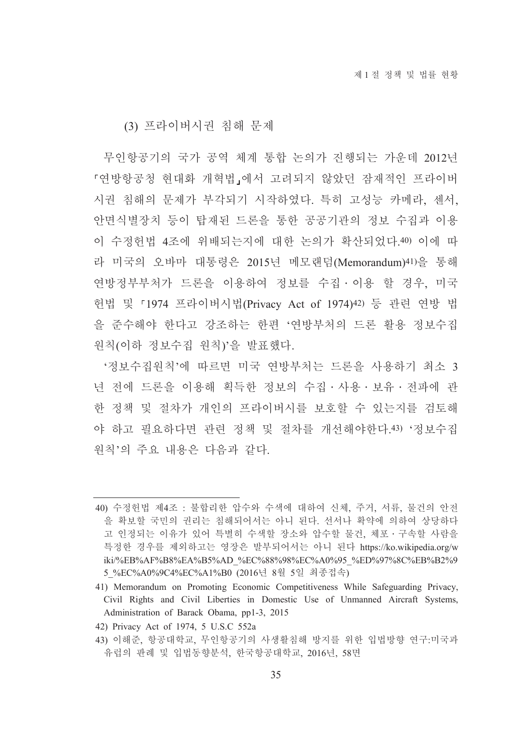(3) 프라이버시권 침해 문제

무인항공기의 국가 공역 체계 통합 논의가 진행되는 가운데 2012년 『연방항공청 현대화 개혁법』에서 고려되지 않았던 잠재적인 프라이버 시권 침해의 문제가 부각되기 시작하였다. 특히 고성능 카메라, 센서, 안면식별장치 등이 탑재된 드론을 통한 공공기관의 정보 수집과 이용 이 수정헌법 4조에 위배되는지에 대한 논의가 확산되었다.40) 이에 따 라 미국의 오바마 대통령은 2015년 메모랜덤(Memorandum)41)을 통해 연방정부부처가 드론을 이용하여 정보를 수집 이용 할 경우, 미국 헌법 및 『1974 프라이버시법(Privacy Act of 1974)<sup>42)</sup> 등 관련 연방 법 을 준수해야 한다고 강조하는 한편 '연방부처의 드론 활용 정보수집 원칙(이하 정보수집 원칙)'을 발표했다.

'정보수집원칙'에 따르면 미국 연방부처는 드론을 사용하기 최소 3 년 전에 드론을 이용해 획득한 정보의 수집 · 사용 · 보유 · 전파에 관 한 정책 및 절차가 개인의 프라이버시를 보호할 수 있는지를 검토해 야 하고 필요하다면 관련 정책 및 절차를 개선해야한다.43) '정보수집 워칙'의 주요 내용은 다음과 같다.

<sup>40)</sup> 수정헌법 제4조 : 불합리한 압수와 수색에 대하여 신체, 주거, 서류, 물건의 안전 을 확보할 국민의 권리는 침해되어서는 아니 된다. 선서나 확약에 의하여 상당하다 고 인정되는 이유가 있어 특별히 수색할 장소와 압수할 물건, 체포 · 구속할 사람을 특정한 경우를 제외하고는 영장은 발부되어서는 아니 된다 https://ko.wikipedia.org/w iki/%EB%AF%B8%EA%B5%AD\_%EC%88%98%EC%A0%95\_%ED%97%8C%EB%B2%9 5 %EC%A0%9C4%EC%A1%B0 (2016년 8월 5일 최종접속)

<sup>41)</sup> Memorandum on Promoting Economic Competitiveness While Safeguarding Privacy, Civil Rights and Civil Liberties in Domestic Use of Unmanned Aircraft Systems, Administration of Barack Obama, pp1-3, 2015

<sup>42)</sup> Privacy Act of 1974, 5 U.S.C 552a

<sup>43)</sup> 이해준, 항공대학교, 무인항공기의 사생활침해 방지를 위한 입법방향 연구:미국과 유럽의 판례 및 입법동향분석, 한국항공대학교, 2016년, 58면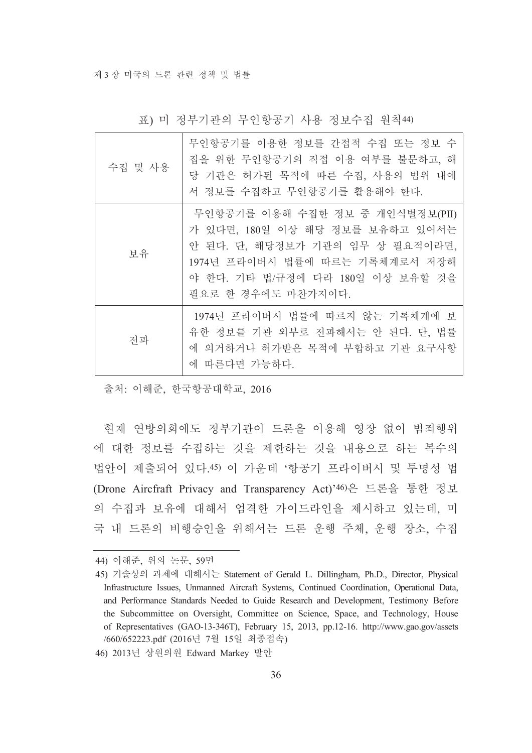| 수집 및 사용 | 무인항공기를 이용한 정보를 간접적 수집 또는 정보 수<br>집을 위한 무인항공기의 직접 이용 여부를 불문하고, 해<br>당 기관은 허가된 목적에 따른 수집, 사용의 범위 내에<br>서 정보를 수집하고 무인항공기를 활용해야 한다.                                                                   |
|---------|---------------------------------------------------------------------------------------------------------------------------------------------------------------------------------------------------|
| 보유      | 무인항공기를 이용해 수집한 정보 중 개인식별정보(PII)<br>가 있다면, 180일 이상 해당 정보를 보유하고 있어서는<br>안 된다. 단, 해당정보가 기관의 임무 상 필요적이라면,<br>1974년 프라이버시 법률에 따르는 기록체계로서 저장해<br>야 한다. 기타 법/규정에 다라 180일 이상 보유할 것을<br>필요로 한 경우에도 마찬가지이다. |
| 전파      | 1974년 프라이버시 법률에 따르지 않는 기록체계에 보<br>유한 정보를 기관 외부로 전파해서는 안 된다. 단, 법률<br>에 의거하거나 허가받은 목적에 부합하고 기관 요구사항<br>에 따른다면 가능하다.                                                                                |

표) 미 정부기관의 무인항공기 사용 정보수집 원칙44)

출처: 이해준, 한국항공대학교, 2016

현재 연방의회에도 정부기관이 드론을 이용해 영장 없이 범죄행위 에 대한 정보를 수집하는 것을 제한하는 것을 내용으로 하는 복수의 법안이 제출되어 있다.45) 이 가운데 '항공기 프라이버시 및 투명성 법 (Drone Aircfraft Privacy and Transparency Act)'46)은 드론을 통한 정보 의 수집과 보유에 대해서 엄격한 가이드라인을 제시하고 있는데, 미 국 내 드론의 비행승인을 위해서는 드론 운행 주체, 운행 장소, 수집

46) 2013년 상원의원 Edward Markey 발안

<sup>44)</sup> 이해준, 위의 논문, 59면

<sup>45)</sup> 기술상의 과제에 대해서는 Statement of Gerald L. Dillingham, Ph.D., Director, Physical Infrastructure Issues, Unmanned Aircraft Systems, Continued Coordination, Operational Data, and Performance Standards Needed to Guide Research and Development, Testimony Before the Subcommittee on Oversight, Committee on Science, Space, and Technology, House of Representatives (GAO-13-346T), February 15, 2013, pp.12-16. http://www.gao.gov/assets /660/652223.pdf (2016년 7월 15일 최종접속)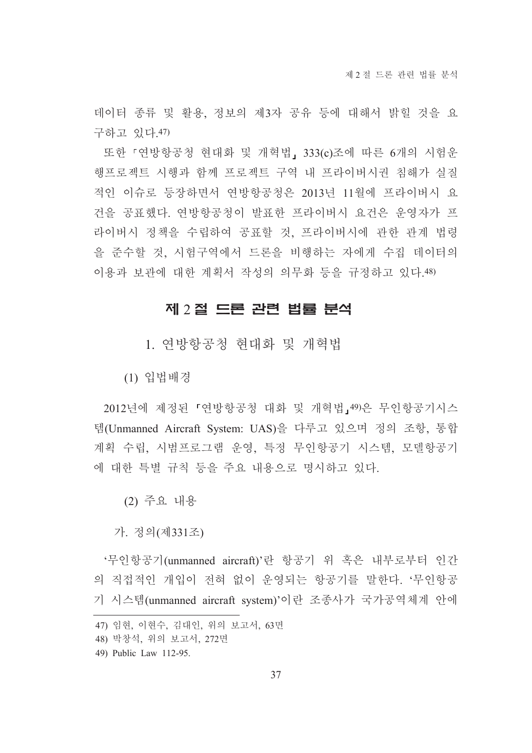데이터 종류 및 활용, 정보의 제3자 공유 등에 대해서 밝힐 것을 요 구하고 있다.47)

또한 『여방항공청 현대화 및 개혁법, 333(c)조에 따른 6개의 시험운 행프로젝트 시행과 함께 프로젝트 구역 내 프라이버시권 침해가 실질 적인 이슈로 등장하면서 연방항공청은 2013년 11월에 프라이버시 요 건을 공표했다. 연방항공청이 발표한 프라이버시 요건은 운영자가 프 라이버시 정책을 수립하여 공표할 것, 프라이버시에 관한 관계 법령 을 준수할 것, 시험구역에서 드론을 비행하는 자에게 수집 데이터의 이용과 보관에 대한 계획서 작성의 의무화 등을 규정하고 있다.48)

#### 제 2 절 드론 관련 법률 분석

1. 연방항공청 현대화 및 개혁법

(1) 입법배경

2012년에 제정된 『연방항공청 대화 및 개혁법』49)은 무인항공기시스 템(Unmanned Aircraft System: UAS)을 다루고 있으며 정의 조항, 통합 계획 수립. 시범프로그램 운영. 특정 무인항공기 시스템. 모델항공기 에 대한 특별 규칙 등을 주요 내용으로 명시하고 있다.

(2) 주요 내용

가. 정의(제331조)

'무인항공기(unmanned aircraft)'란 항공기 위 혹은 내부로부터 인간 의 직접적인 개입이 전혀 없이 운영되는 항공기를 말한다. '무인항공 기 시스템(unmanned aircraft system)'이란 조종사가 국가공역체계 안에

<sup>47)</sup> 임현, 이현수, 김대인, 위의 보고서, 63면

<sup>48)</sup> 박창석, 위의 보고서, 272면

<sup>49)</sup> Public Law 112-95.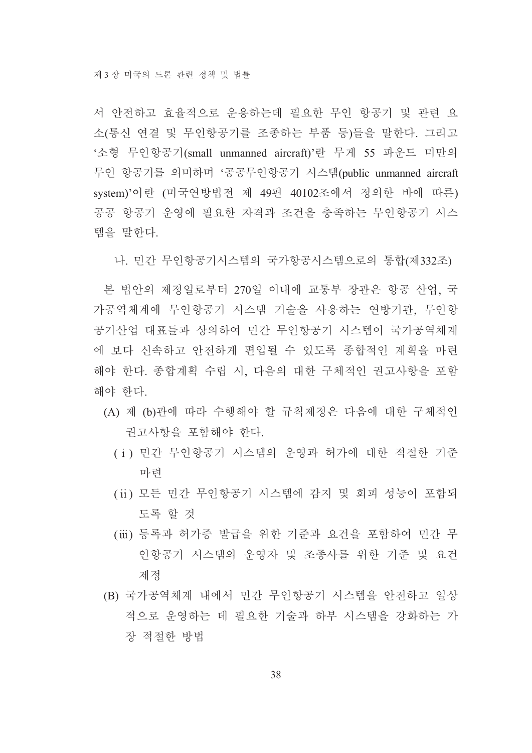서 안전하고 효율적으로 운용하는데 필요한 무인 항공기 및 관련 요 소(통신 연결 및 무인항공기를 조종하는 부품 등)들을 말한다. 그리고 '소형 무인항공기(small unmanned aircraft)'란 무게 55 파운드 미만의 무인 항공기를 의미하며 '공공무인항공기 시스템(public unmanned aircraft system)'이란 (미국연방법전 제 49편 40102조에서 정의한 바에 따른) 공공 항공기 우영에 필요한 자격과 조건을 충족하는 무인항공기 시스 템을 말하다.

나 민간 무인항공기시스템의 국가항공시스템으로의 통합(제332조)

본 법안의 제정일로부터 270일 이내에 교통부 장관은 항공 산업. 국 가공역체계에 무인항공기 시스템 기술을 사용하는 연방기관, 무인항 공기산업 대표들과 상의하여 민간 무인항공기 시스템이 국가공역체계 에 보다 신속하고 안전하게 편입될 수 있도록 종합적인 계획을 마련 해야 한다. 종합계획 수립 시, 다음의 대한 구체적인 권고사항을 포함 해야 한다.

- (A) 제 (b)관에 따라 수행해야 할 규칙제정은 다음에 대한 구체적인 권고사항을 포함해야 한다.
	- (i) 민간 무인항공기 시스템의 운영과 허가에 대한 적절한 기준 마련
	- (ii) 모든 민간 무인항공기 시스템에 감지 및 회피 성능이 포함되 도록 할 것
	- (iii) 등록과 허가증 발급을 위한 기준과 요건을 포함하여 민간 무 인항공기 시스템의 운영자 및 조종사를 위한 기준 및 요건 제정
- (B) 국가공역체계 내에서 민간 무인항공기 시스템을 안전하고 일상 적으로 운영하는 데 필요한 기술과 하부 시스템을 강화하는 가 장 적절한 방법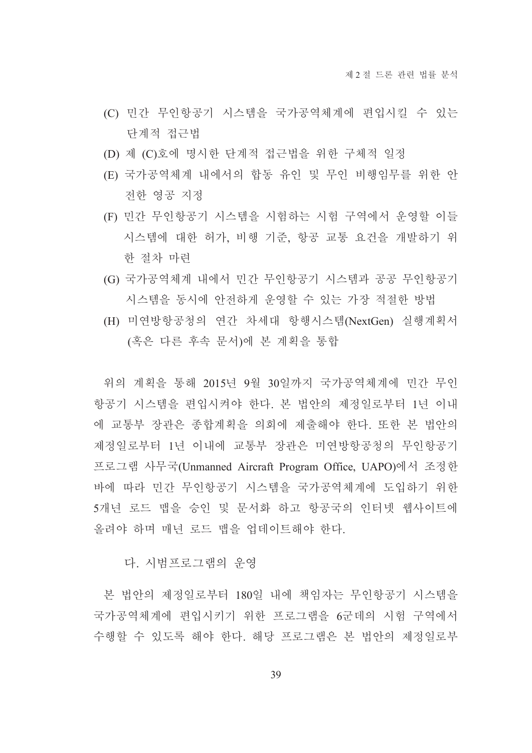- (C) 민간 무인항공기 시스템을 국가공역체계에 편입시킬 수 있는 다계적 접근법
- (D) 제 (C)호에 명시한 단계적 접근법을 위한 구체적 일정
- (E) 국가공역체계 내에서의 합동 유인 및 무인 비행임무를 위한 안 전한 영공 지정
- (F) 민간 무인항공기 시스템을 시험하는 시험 구역에서 운영할 이들 시스템에 대한 허가, 비행 기준, 항공 교통 요건을 개발하기 위 한 절차 마런
- (G) 국가공역체계 내에서 민간 무인항공기 시스템과 공공 무인항공기 시스템을 동시에 안전하게 운영할 수 있는 가장 적절한 방법
- (H) 미연방항공청의 연간 차세대 항행시스템(NextGen) 실행계획서 (혹은 다른 후속 문서)에 본 계획을 통합

위의 계획을 통해 2015년 9월 30일까지 국가공역체계에 민간 무인 항공기 시스템을 편입시켜야 한다. 본 법안의 제정일로부터 1년 이내 에 교통부 장관은 종합계획을 의회에 제출해야 한다. 또한 본 법안의 제정일로부터 1년 이내에 교통부 장관은 미연방항공청의 무인항공기 프로그램 사무국(Unmanned Aircraft Program Office, UAPO)에서 조정한 바에 따라 민간 무인항공기 시스템을 국가공역체계에 도입하기 위한 5개년 로드 맵을 승인 및 문서화 하고 항공국의 인터넷 웹사이트에 올려야 하며 매년 로드 맵을 업데이트해야 하다.

#### 다. 시범프로그램의 우영

본 법안의 제정일로부터 180일 내에 책임자는 무인항공기 시스템을 국가공역체계에 편입시키기 위한 프로그램을 6군데의 시험 구역에서 수행할 수 있도록 해야 한다. 해당 프로그램은 본 법안의 제정일로부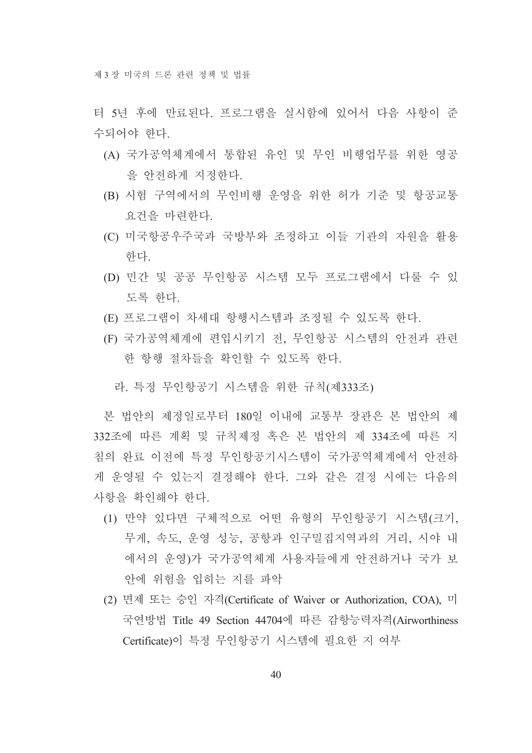터 5년 후에 만료되다. 프로그램을 실시함에 있어서 다음 사항이 주 수되어야 하다.

- (A) 국가공역체계에서 통합된 유인 및 무인 비행업무를 위한 영공 을 아저하게 지정하다.
- (B) 시험 구역에서의 무인비행 운영을 위한 허가 기준 및 항공교통 요거을 마려하다.
- (C) 미국항공우주국과 국방부와 조정하고 이들 기관의 자원을 활용 하다.
- (D) 민간 및 공공 무인항공 시스템 모두 프로그램에서 다룰 수 있 도록 한다.
- (E) 프로그램이 차세대 항행시스템과 조정될 수 있도록 하다.
- (F) 국가공역체계에 편입시키기 전, 무인항공 시스템의 안전과 관련 한 항행 절차들을 확인할 수 있도록 하다.

라. 특정 무인항공기 시스템을 위한 규칙(제333조)

본 법안의 제정일로부터 180일 이내에 교통부 장관은 본 법안의 제 332조에 따른 계획 및 규칙제정 혹은 본 법안의 제 334조에 따른 지 침의 완료 이전에 특정 무인항공기시스템이 국가공역체계에서 안전하 게 운영될 수 있는지 결정해야 한다. 그와 같은 결정 시에는 다음의 사항을 확인해야 한다.

- (1) 만약 있다면 구체적으로 어떤 유형의 무인항공기 시스템(크기, 무게, 속도, 운영 성능, 공항과 인구밀집지역과의 거리, 시야 내 에서의 운영)가 국가공역체계 사용자들에게 안전하거나 국가 보 안에 위험을 입히는 지를 파악
- (2) 면제 또는 승인 자격(Certificate of Waiver or Authorization, COA), 미 국연방법 Title 49 Section 44704에 따른 감항능력자격(Airworthiness Certificate)이 특정 무인항공기 시스템에 필요한 지 여부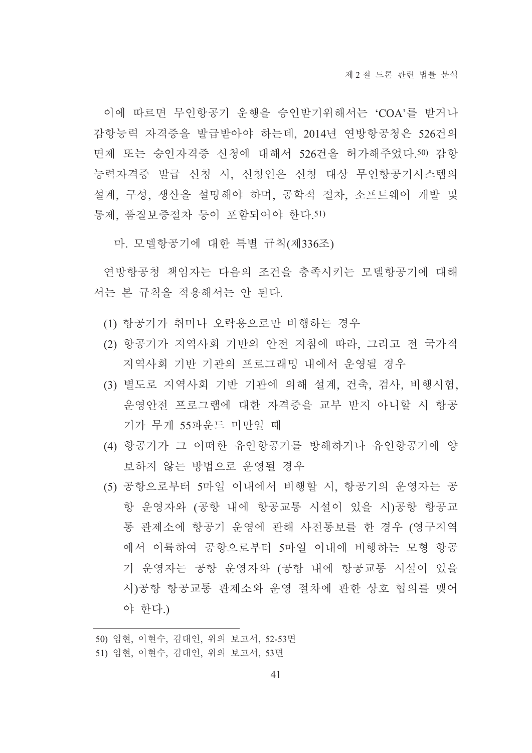이에 따르면 무인항공기 운행을 승인받기위해서는 'COA'를 받거나 감항능력 자격증을 발급받아야 하는데, 2014년 연방항공청은 526건의 면제 또는 승인자격증 신청에 대해서 526건을 허가해주었다.50) 감항 능력자격증 발급 신청 시, 신청인은 신청 대상 무인항공기시스템의 설계, 구성, 생산을 설명해야 하며, 공학적 절차, 소프트웨어 개발 및 통제, 품질보증절차 등이 포함되어야 한다.51)

마. 모델항공기에 대한 특별 규칙(제336조)

연방항공청 책임자는 다음의 조건을 충족시키는 모델항공기에 대해 서는 본 규칙을 적용해서는 안 된다.

- (1) 항공기가 취미나 오락용으로만 비행하는 경우
- (2) 항공기가 지역사회 기반의 안전 지침에 따라, 그리고 전 국가적 지역사회 기반 기관의 프로그래밍 내에서 운영될 경우
- (3) 별도로 지역사회 기반 기관에 의해 설계, 건축, 검사, 비행시험, 운영안전 프로그램에 대한 자격증을 교부 받지 아니할 시 항공 기가 무게 55파운드 미만일 때
- (4) 항공기가 그 어떠한 유인항공기를 방해하거나 유인항공기에 양 보하지 않는 방법으로 운영될 경우
- (5) 공항으로부터 5마일 이내에서 비행할 시, 항공기의 운영자는 공 항 운영자와 (공항 내에 항공교통 시설이 있을 시)공항 항공교 통 관제소에 항공기 운영에 관해 사전통보를 한 경우 (영구지역 에서 이륙하여 공항으로부터 5마일 이내에 비행하는 모형 항공 기 운영자는 공항 운영자와 (공항 내에 항공교통 시설이 있을 시)공항 항공교통 관제소와 운영 절차에 관한 상호 협의를 맺어 야 한다.)

<sup>50)</sup> 임현, 이현수, 김대인, 위의 보고서, 52-53면

<sup>51)</sup> 임현, 이현수, 김대인, 위의 보고서, 53면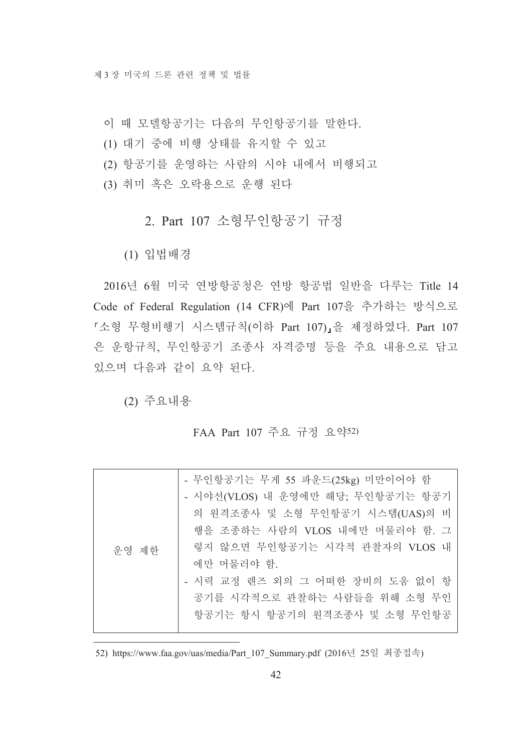- 이 때 모델항공기는 다음의 무인항공기를 말한다.
- (1) 대기 중에 비행 상태를 유지할 수 있고
- (2) 항공기를 운영하는 사람의 시야 내에서 비행되고
- (3) 취미 혹은 오락용으로 우행 된다

# 2. Part 107 소형무인항공기 규정

(1) 입법배경

2016년 6월 미국 연방항공청은 연방 항공법 일반을 다루는 Title 14 Code of Federal Regulation (14 CFR)에 Part 107을 추가하는 방식으로 「소형 무형비행기 시스템규칙(이하 Part 107)」을 제정하였다. Part 107 은 운항규칙, 무인항공기 조종사 자격증명 등을 주요 내용으로 담고 있으며 다음과 같이 요약 된다.

(2) 주요내용

#### FAA Part 107 주요 규정 요약52)

|       | - 무인항공기는 무게 55 파운드(25kg) 미만이어야 함  |
|-------|-----------------------------------|
| 우영 제한 | - 시야선(VLOS) 내 운영에만 해당; 무인항공기는 항공기 |
|       | 의 원격조종사 및 소형 무인항공기 시스템(UAS)의 비    |
|       | 행을 조종하는 사람의 VLOS 내에만 머물러야 함. 그    |
|       | 렇지 않으면 무인항공기는 시각적 관찰자의 VLOS 내     |
|       | 에만 머물러야 함.                        |
|       | - 시력 교정 렌즈 외의 그 어떠한 장비의 도움 없이 항   |
|       | 공기를 시각적으로 관찰하는 사람들을 위해 소형 무인      |
|       | 항공기는 항시 항공기의 원격조종사 및 소형 무인항공      |
|       |                                   |

<sup>52)</sup> https://www.faa.gov/uas/media/Part 107 Summary.pdf (2016년 25일 최종접속)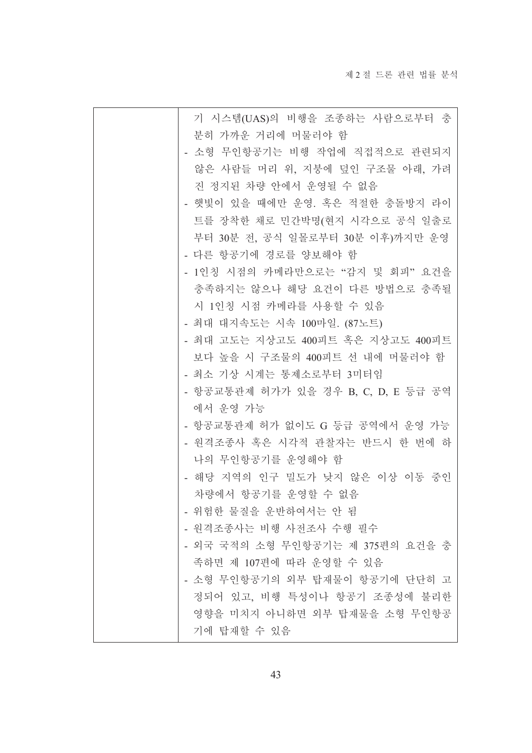| 기 시스템(UAS)의 비행을 조종하는 사람으로부터 충       |
|-------------------------------------|
| 분히 가까운 거리에 머물러야 함                   |
| - 소형 무인항공기는 비행 작업에 직접적으로 관련되지       |
| 않은 사람들 머리 위, 지붕에 덮인 구조물 아래, 가려      |
| 진 정지된 차량 안에서 운영될 수 없음               |
| 햇빛이 있을 때에만 운영. 혹은 적절한 충돌방지 라이       |
| 트를 장착한 채로 민간박명(현지 시각으로 공식 일출로       |
| 부터 30분 전, 공식 일몰로부터 30분 이후)까지만 운영    |
| - 다른 항공기에 경로를 양보해야 함                |
| - 1인칭 시점의 카메라만으로는 "감지 및 회피" 요건을     |
| 충족하지는 않으나 해당 요건이 다른 방법으로 충족될        |
| 시 1인칭 시점 카메라를 사용할 수 있음              |
| - 최대 대지속도는 시속 100마일. (87노트)         |
| - 최대 고도는 지상고도 400피트 혹은 지상고도 400피트   |
| 보다 높을 시 구조물의 400피트 선 내에 머물러야 함      |
| - 최소 기상 시계는 통제소로부터 3미터임             |
| - 항공교통관제 허가가 있을 경우 B, C, D, E 등급 공역 |
| 에서 운영 가능                            |
| - 항공교통관제 허가 없이도 G 등급 공역에서 운영 가능     |
| - 원격조종사 혹은 시각적 관찰자는 반드시 한 번에 하      |
| 나의 무인항공기를 운영해야 함                    |
| 해당 지역의 인구 밀도가 낮지 않은 이상 이동 중인        |
| 차량에서 항공기를 운영할 수 없음                  |
| - 위험한 물질을 운반하여서는 안 됨                |
| - 원격조종사는 비행 사전조사 수행 필수              |
| - 외국 국적의 소형 무인항공기는 제 375편의 요건을 충    |
| 족하면 제 107편에 따라 운영할 수 있음             |
| 소형 무인항공기의 외부 탑재물이 항공기에 단단히 고        |
| 정되어 있고, 비행 특성이나 항공기 조종성에 불리한        |
| 영향을 미치지 아니하면 외부 탑재물을 소형 무인항공        |
| 기에 탑재할 수 있음                         |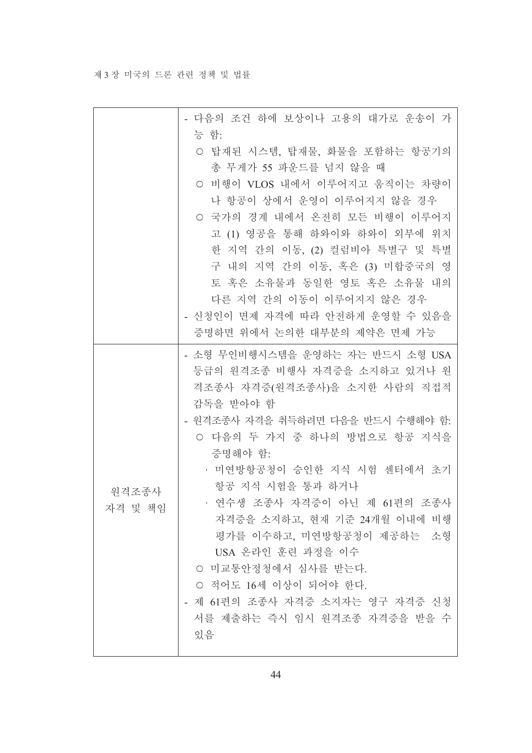#### 제 3 장 미국의 드론 관련 정책 및 법률

|                  | - 다음의 조건 하에 보상이나 고용의 대가로 운송이 가<br>능 함:                                                                                                                                                                                                                                                                                                                                                                                                                                                      |
|------------------|---------------------------------------------------------------------------------------------------------------------------------------------------------------------------------------------------------------------------------------------------------------------------------------------------------------------------------------------------------------------------------------------------------------------------------------------------------------------------------------------|
|                  | ○ 탑재된 시스템, 탑재물, 화물을 포함하는 항공기의<br>총 무게가 55 파운드를 넘지 않을 때<br>○ 비행이 VLOS 내에서 이루어지고 움직이는 차량이<br>나 항공이 상에서 운영이 이루어지지 않을 경우<br>○ 국가의 경계 내에서 온전히 모든 비행이 이루어지<br>고 (1) 영공을 통해 하와이와 하와이 외부에 위치<br>한 지역 간의 이동, (2) 컬럼비아 특별구 및 특별<br>구 내의 지역 간의 이동, 혹은 (3) 미합중국의 영<br>토 혹은 소유물과 동일한 영토 혹은 소유물 내의<br>다른 지역 간의 이동이 이루어지지 않은 경우<br>- 신청인이 면제 자격에 따라 안전하게 운영할 수 있음을<br>증명하면 위에서 논의한 대부분의 제약은 면제 가능                                                                                                          |
| 워격조종사<br>자격 및 책임 | - 소형 무인비행시스템을 운영하는 자는 반드시 소형 USA<br>등급의 원격조종 비행사 자격증을 소지하고 있거나 원<br>격조종사 자격증(원격조종사)을 소지한 사람의 직접적<br>감독을 받아야 함<br>- 원격조종사 자격을 취득하려면 다음을 반드시 수행해야 함.<br>○ 다음의 두 가지 중 하나의 방법으로 항공 지식을<br>증명해야 함:<br>• 미연방항공청이 승인한 지식 시험 센터에서 초기<br>항공 지식 시험을 통과 하거나<br>· 연수생 조종사 자격증이 아닌 제 61편의 조종사<br>자격증을 소지하고, 현재 기준 24개월 이내에 비행<br>평가를 이수하고, 미연방항공청이 제공하는 소형<br>USA 온라인 훈련 과정을 이수<br>○ 미교통안정청에서 심사를 받는다.<br>○ 적어도 16세 이상이 되어야 한다.<br>- 제 61편의 조종사 자격증 소지자는 영구 자격증 신청<br>서를 제출하는 즉시 임시 원격조종 자격증을 받을 수<br>있음 |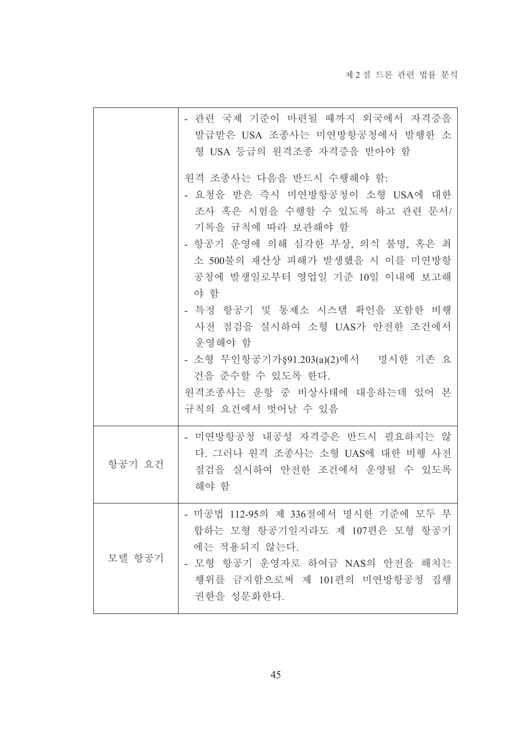|        | - 관련 국제 기준이 마련될 때까지 외국에서 자격증을<br>발급받은 USA 조종사는 미연방항공청에서 발행한 소<br>형 USA 등급의 원격조종 자격증을 받아야 함                                                                                                                                                                                                     |
|--------|------------------------------------------------------------------------------------------------------------------------------------------------------------------------------------------------------------------------------------------------------------------------------------------------|
|        | 원격 조종사는 다음을 반드시 수행해야 함.<br>- 요청을 받은 즉시 미연방항공청이 소형 USA에 대한<br>조사 혹은 시험을 수행할 수 있도록 하고 관련 문서/<br>기록을 규칙에 따라 보관해야 함<br>- 항공기 운영에 의해 심각한 부상, 의식 불명, 혹은 최<br>소 500불의 재산상 피해가 발생했을 시 이를 미연방항<br>공청에 발생일로부터 영업일 기준 10일 이내에 보고해<br>야 함<br>- 특정 항공기 및 통제소 시스템 확인을 포함한 비행<br>사전 점검을 실시하여 소형 UAS가 안전한 조건에서 |
|        | 운영해야 함<br>- 소형 무인항공기가 §91.203(a)(2)에서 명시한 기존 요<br>건을 준수할 수 있도록 한다.<br>원격조종사는 운항 중 비상사태에 대응하는데 있어 본<br>규칙의 요건에서 벗어날 수 있음                                                                                                                                                                        |
| 항공기 요건 | - 미연방항공청 내공성 자격증은 반드시 필요하지는 않<br>다. 그러나 원격 조종사는 소형 UAS에 대한 비행 사전<br>점검을 실시하여 안전한 조건에서 운영될 수 있도록<br>해야 함                                                                                                                                                                                        |
| 모델 항공기 | - 미공법 112-95의 제 336절에서 명시한 기준에 모두 부<br>합하는 모형 항공기일지라도 제 107편은 모형 항공기<br>에는 적용되지 않는다.<br>- 모형 항공기 운영자로 하여금 NAS의 안전을 해치는<br>행위를 금지함으로써 제 101편의 미연방항공청 집행<br>권한을 성문화한다.                                                                                                                           |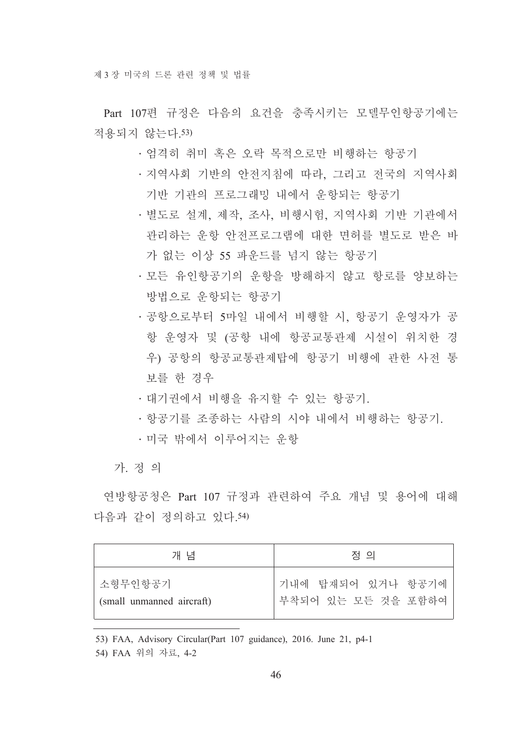Part 107편 규정은 다음의 요건을 충족시키는 모델무인항공기에는 적용되지 않는다 53)

- •엄격히 취미 혹은 오락 목적으로만 비행하는 항공기
- 지역사회 기반의 안전지침에 따라, 그리고 전국의 지역사회 기반 기관의 프로그래밍 내에서 운항되는 항공기
- •별도로 설계, 제작, 조사, 비행시험, 지역사회 기반 기관에서 관리하는 운항 안전프로그램에 대한 면허를 별도로 받은 바 가 없는 이상 55 파운드를 넘지 않는 항공기
- 모든 유인항공기의 운항을 방해하지 않고 항로를 양보하는 방법으로 운항되는 항공기
- 공항으로부터 5마일 내에서 비행할 시, 항공기 운영자가 공 항 운영자 및 (공항 내에 항공교통관제 시설이 위치한 경 우) 공항의 항공교통관제탑에 항공기 비행에 관한 사전 통 보를 한 경우
- · 대기권에서 비행을 유지할 수 있는 항공기.
- 항공기를 조종하는 사람의 시야 내에서 비행하는 항공기.
- •미국 밖에서 이루어지는 우항

가 정 의

여방항공청은 Part 107 규정과 관련하여 주요 개념 및 용어에 대해 다음과 같이 정의하고 있다 54)

| 개 념                       | 정 의                |
|---------------------------|--------------------|
| 소형무인항공기                   | 기내에 탑재되어 있거나 항공기에  |
| (small unmanned aircraft) | 부착되어 있는 모든 것을 포함하여 |

<sup>53)</sup> FAA, Advisory Circular(Part 107 guidance), 2016. June 21, p4-1

<sup>54)</sup> FAA 위의 자료, 4-2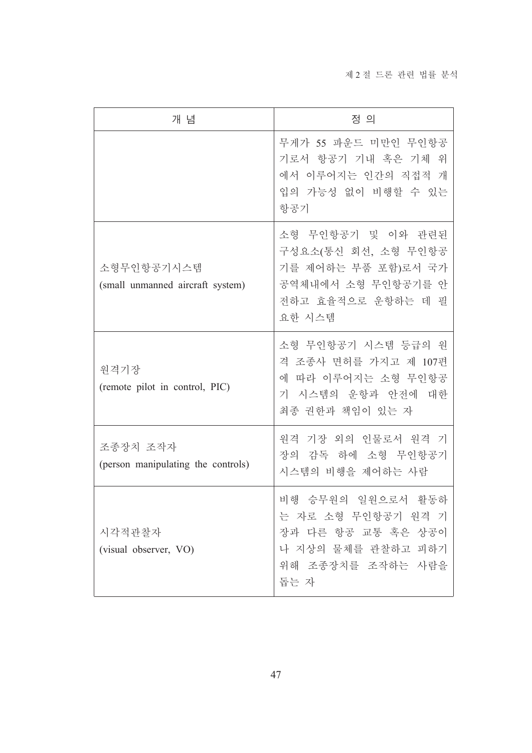| 개 념                                            | 정 의                                                                                                                   |
|------------------------------------------------|-----------------------------------------------------------------------------------------------------------------------|
|                                                | 무게가 55 파운드 미만인 무인항공<br>기로서 항공기 기내 혹은 기체 위<br>에서 이루어지는 인간의 직접적 개<br>입의 가능성 없이 비행할 수 있는<br>항공기                          |
| 소형무인항공기시스템<br>(small unmanned aircraft system) | 소형 무인항공기 및 이와 관련된<br>구성요소(통신 회선, 소형 무인항공<br>기를 제어하는 부품 포함)로서 국가<br>공역체내에서 소형 무인항공기를 안<br>전하고 효율적으로 운항하는 데 필<br>요한 시스템 |
| 원격기장<br>(remote pilot in control, PIC)         | 소형 무인항공기 시스템 등급의 워<br>격 조종사 면허를 가지고 제 107편<br>에 따라 이루어지는 소형 무인항공<br>기 시스템의 운항과 안전에 대한<br>최종 권한과 책임이 있는 자              |
| 조종장치 조작자<br>(person manipulating the controls) | 기장 외의 인물로서 원격 기<br>워격<br>장의 감독 하에 소형 무인항공기<br>시스템의 비행을 제어하는 사람                                                        |
| 시각적관찰자<br>(visual observer, VO)                | 비행 승무원의 일원으로서 활동하<br>는 자로 소형 무인항공기 원격 기<br>장과 다른 항공 교통 혹은 상공이<br>나 지상의 물체를 관찰하고 피하기<br>위해 조종장치를 조작하는 사람을<br>돕는 자      |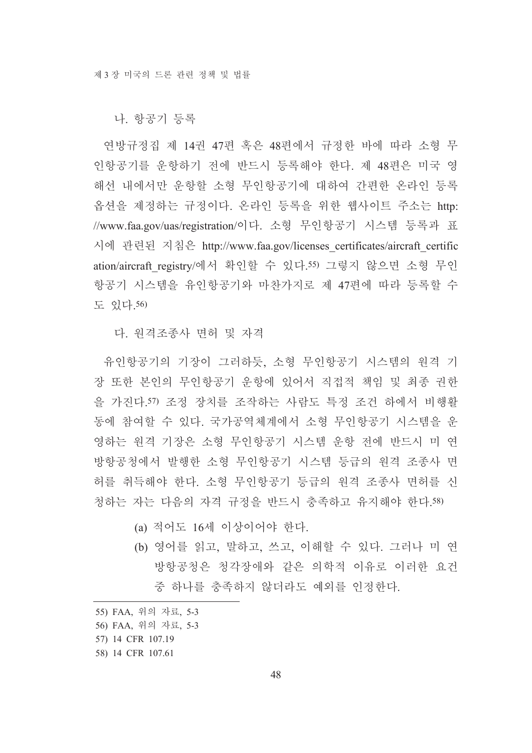나. 항공기 등록

연방규정집 제 14권 47편 혹은 48편에서 규정한 바에 따라 소형 무 인항공기를 운항하기 전에 반드시 등록해야 한다. 제 48편은 미국 영 해선 내에서만 운항할 소형 무인항공기에 대하여 간편한 온라인 등록 옵션을 제정하는 규정이다. 온라인 등록을 위한 웹사이트 주소는 http: //www.faa.gov/uas/registration/이다. 소형 무인항공기 시스템 등록과 표 시에 관련된 지침은 http://www.faa.gov/licenses certificates/aircraft certific ation/aircraft registry/에서 확인할 수 있다.55) 그렇지 않으면 소형 무인 항공기 시스템을 유인항공기와 마찬가지로 제 47편에 따라 등록할 수 도 있다.56)

다. 원격조종사 면허 및 자격

유인항공기의 기장이 그러하듯. 소형 무인항공기 시스템의 원격 기 장 또한 본인의 무인항공기 운항에 있어서 직접적 책임 및 최종 권한 을 가진다.57) 조정 장치를 조작하는 사람도 특정 조건 하에서 비행활 동에 참여할 수 있다. 국가공역체계에서 소형 무인항공기 시스템을 운 영하는 원격 기장은 소형 무인항공기 시스템 운항 전에 반드시 미 연 방항공청에서 발행한 소형 무인항공기 시스템 등급의 원격 조종사 면 허를 취득해야 한다. 소형 무인항공기 등급의 원격 조종사 면허를 신 청하는 자는 다음의 자격 규정을 반드시 충족하고 유지해야 한다.58)

- (a) 적어도 16세 이상이어야 한다.
- (b) 영어를 읽고, 말하고, 쓰고, 이해할 수 있다. 그러나 미 연 방항공청은 청각장애와 같은 의학적 이유로 이러한 요건 중 하나를 충족하지 않더라도 예외를 이정하다.

<sup>55)</sup> FAA, 위의 자료, 5-3

<sup>56)</sup> FAA, 위의 자료, 5-3

<sup>57) 14</sup> CFR 107.19

<sup>58) 14</sup> CFR 107.61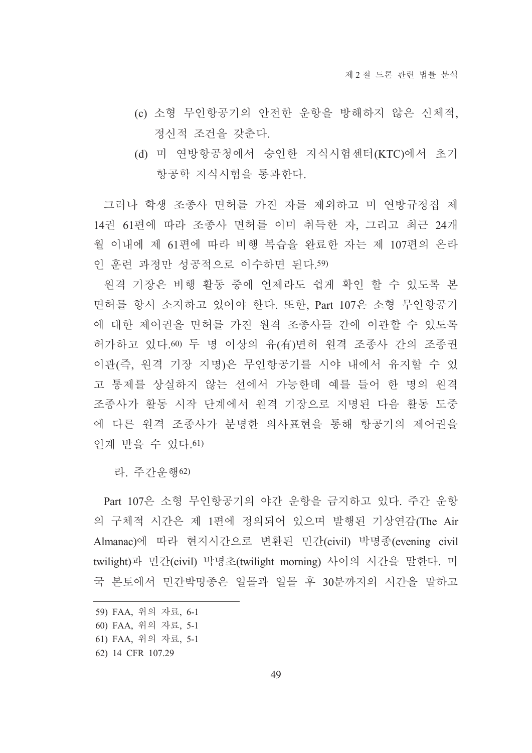- (c) 소형 무인항공기의 안전한 운항을 방해하지 않은 신체적. 정신적 조건을 갖춘다.
- (d) 미 연방항공청에서 승인한 지식시험센터(KTC)에서 초기 항공학 지식시험을 통과한다.

그러나 학생 조종사 면허를 가진 자를 제외하고 미 연방규정집 제 14권 61편에 따라 조종사 면허를 이미 취득한 자, 그리고 최근 24개 월 이내에 제 61편에 따라 비행 복습을 완료한 자는 제 107편의 온라 인 훈련 과정만 성공적으로 이수하면 된다.59)

원격 기장은 비행 활동 중에 언제라도 쉽게 확인 할 수 있도록 본 면허를 항시 소지하고 있어야 한다. 또한, Part 107은 소형 무인항공기 에 대한 제어권을 면허를 가진 원격 조종사들 간에 이관할 수 있도록 허가하고 있다.60) 두 명 이상의 유(有)면허 원격 조종사 간의 조종권 이관(즉, 원격 기장 지명)은 무인항공기를 시야 내에서 유지할 수 있 고 통제를 상실하지 않는 선에서 가능한데 예를 들어 한 명의 원격 조종사가 활동 시작 단계에서 원격 기장으로 지명된 다음 활동 도중 에 다른 원격 조종사가 분명한 의사표현을 통해 항공기의 제어권을 인계 받을 수 있다.61)

라. 주간운행62)

Part 107은 소형 무인항공기의 야간 운항을 금지하고 있다. 주간 운항 의 구체적 시간은 제 1편에 정의되어 있으며 발행된 기상연감(The Air Almanac)에 따라 현지시간으로 변환된 민간(civil) 박명종(evening civil twilight)과 민간(civil) 박명초(twilight morning) 사이의 시간을 말한다. 미 국 본토에서 민간박명종은 일몰과 일몰 후 30분까지의 시간을 말하고

<sup>59)</sup> FAA, 위의 자료, 6-1

<sup>60)</sup> FAA, 위의 자료, 5-1

<sup>61)</sup> FAA, 위의 자료, 5-1

<sup>62) 14</sup> CFR 107.29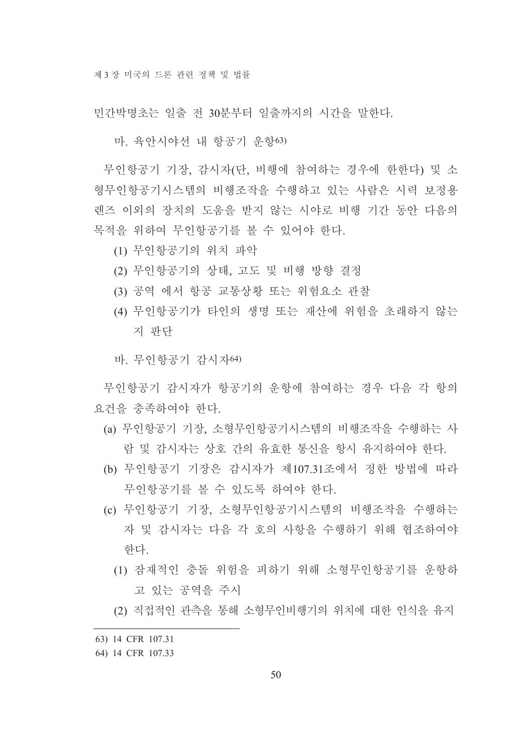민간박명초는 일출 전 30분부터 일출까지의 시간을 말한다.

마. 육안시야선 내 항공기 운항63)

무인항공기 기장, 감시자(단, 비행에 참여하는 경우에 한한다) 및 소 형무인항공기시스템의 비행조작을 수행하고 있는 사람은 시력 보정용 레즈 이외의 장치의 도움을 받지 않는 시야로 비행 기간 동안 다음의 목적을 위하여 무인항공기를 볼 수 있어야 한다.

- (1) 무인항공기의 위치 파악
- (2) 무인항공기의 상태, 고도 및 비행 방향 결정
- (3) 공역 에서 항공 교통상황 또는 위험요소 관찰
- (4) 무인항공기가 타인의 생명 또는 재산에 위험을 초래하지 않는 지 판단
- 바. 무인항공기 감시자64)

무인항공기 감시자가 항공기의 우항에 참여하는 경우 다음 각 항의 요건을 충족하여야 하다.

- (a) 무인항공기 기장, 소형무인항공기시스템의 비행조작을 수행하는 사 람 및 감시자는 상호 간의 유효한 통신을 항시 유지하여야 한다.
- (b) 무인항공기 기장은 감시자가 제107.31조에서 정한 방법에 따라 무인항공기를 볼 수 있도록 하여야 한다.
- (c) 무인항공기 기장, 소형무인항공기시스템의 비행조작을 수행하는 자 및 감시자는 다음 각 호의 사항을 수행하기 위해 협조하여야 한다.
	- (1) 잠재적인 충돌 위험을 피하기 위해 소형무인항공기를 운항하 고 있는 공역을 주시
	- (2) 직접적인 관측을 통해 소형무인비행기의 위치에 대한 인식을 유지

<sup>63) 14</sup> CFR 107.31

<sup>64) 14</sup> CFR 107.33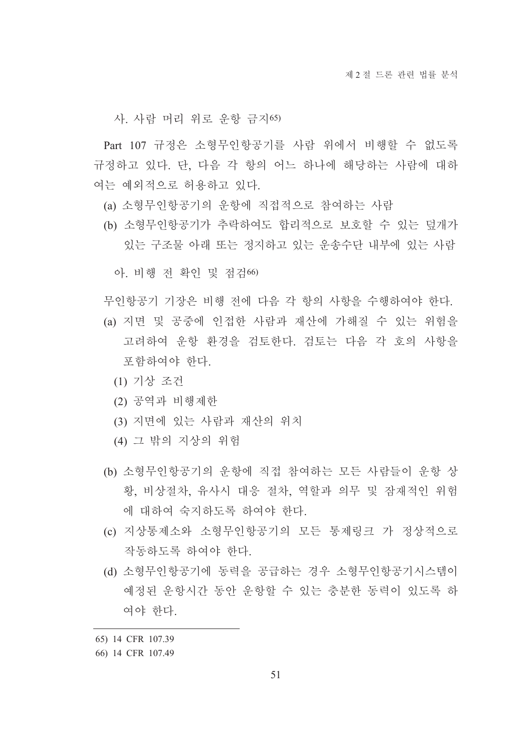사. 사람 머리 위로 운항 금지65)

Part 107 규정은 소형무인항공기를 사람 위에서 비행할 수 없도록 규정하고 있다. 단, 다음 각 항의 어느 하나에 해당하는 사람에 대하 여는 예외적으로 허용하고 있다.

- (a) 소형무인항공기의 운항에 직접적으로 참여하는 사람
- (b) 소형무인항공기가 추락하여도 합리적으로 보호할 수 있는 덮개가 있는 구조물 아래 또는 정지하고 있는 운송수단 내부에 있는 사람

아 비행 저 확인 및 점검66)

무인항공기 기장은 비행 전에 다음 각 항의 사항을 수행하여야 한다.

- (a) 지면 및 공중에 인접한 사람과 재산에 가해질 수 있는 위험을 고려하여 우항 화경을 검토한다. 검토는 다음 각 호의 사항을 포함하여야 한다.
	- (1) 기상 조건
	- (2) 공역과 비행제한
	- (3) 지면에 있는 사람과 재산의 위치
	- (4) 그 밖의 지상의 위험
- (b) 소형무인항공기의 운항에 직접 참여하는 모든 사람들이 운항 상 황, 비상절차, 유사시 대응 절차, 역할과 의무 및 잠재적인 위험 에 대하여 숙지하도록 하여야 한다.
- (c) 지상통제소와 소형무인항공기의 모든 통제링크 가 정상적으로 작동하도록 하여야 한다.
- (d) 소형무인항공기에 동력을 공급하는 경우 소형무인항공기시스템이 예정된 운항시간 동안 운항할 수 있는 충분한 동력이 있도록 하 여야 한다.
- 65) 14 CFR 107.39

<sup>66) 14</sup> CFR 107.49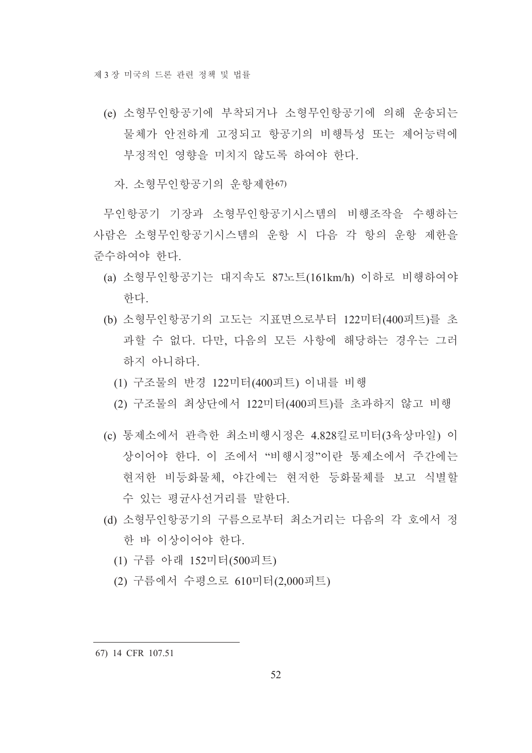- (e) 소형무인항공기에 부착되거나 소형무인항공기에 의해 우송되는 물체가 안전하게 고정되고 항공기의 비행특성 또는 제어능력에 부정적인 영향을 미치지 않도록 하여야 한다.
	- 자 소형무이항공기의 우항제하67)

무인항공기 기장과 소형무인항공기시스템의 비행조작을 수행하는 사람은 소형무이항공기시스템의 운항 시 다음 각 항의 우항 제한을 주수하여야 한다.

- (a) 소형무인항공기는 대지속도 87노트(161km/h) 이하로 비행하여야 한다.
- (b) 소형무인항공기의 고도는 지표면으로부터 122미터(400피트)를 초 과할 수 없다. 다만, 다음의 모든 사항에 해당하는 경우는 그러 하지 아니하다.
	- (1) 구조물의 반경 122미터(400피트) 이내를 비행
	- (2) 구조물의 최상단에서 122미터(400피트)를 초과하지 않고 비행
- (c) 통제소에서 관측한 최소비행시정은 4.828킬로미터(3육상마일) 이 상이어야 하다. 이 조에서 "비행시정"이란 통제소에서 주간에는 현저한 비등화물체, 야간에는 현저한 등화물체를 보고 식별할 수 있는 평규사선거리를 말한다.
- (d) 소형무인항공기의 구름으로부터 최소거리는 다음의 각 호에서 정 한 바 이상이어야 한다.
	- (1) 구름 아래 152미터(500피트)
	- (2) 구름에서 수평으로 610미터(2,000피트)

<sup>67) 14</sup> CFR 107.51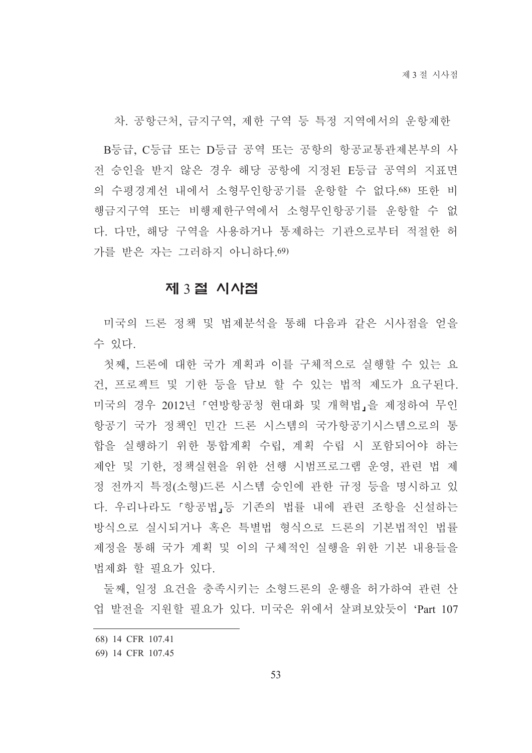차. 공항근처, 금지구역, 제한 구역 등 특정 지역에서의 운항제한

B등급, C등급 또는 D등급 공역 또는 공항의 항공교통관제본부의 사 전 승인을 받지 않은 경우 해당 공항에 지정된 E등급 공역의 지표면 의 수평경계선 내에서 소형무인항공기를 우항할 수 없다.68) 또한 비 행금지구역 또는 비행제한구역에서 소형무인항공기를 운항할 수 없 다. 다만. 해당 구역을 사용하거나 통제하는 기관으로부터 적절한 허 가를 받은 자는 그러하지 아니하다 69)

### 제 3절 시사점

미국의 드론 정책 및 법제분석을 통해 다음과 같은 시사점을 얻을 수 있다.

첫째, 드론에 대한 국가 계획과 이를 구체적으로 실행할 수 있는 요 건, 프로젝트 및 기한 등을 담보 할 수 있는 법적 제도가 요구된다. 미국의 경우 2012년 「연방항공청 현대화 및 개혁법」을 제정하여 무인 항공기 국가 정책인 민간 드론 시스템의 국가항공기시스템으로의 통 합을 실행하기 위한 통합계획 수립, 계획 수립 시 포함되어야 하는 제안 및 기한, 정책실현을 위한 선행 시범프로그램 운영, 관련 법 제 정 전까지 특정(소형)드론 시스템 승인에 관한 규정 등을 명시하고 있 다. 우리나라도 「항공법」등 기존의 법률 내에 관련 조항을 신설하는 방식으로 실시되거나 혹은 특별법 형식으로 드론의 기본법적인 법률 제정을 통해 국가 계획 및 이의 구체적인 실행을 위한 기본 내용들을 법제화 할 필요가 있다.

둘째, 일정 요건을 충족시키는 소형드론의 운행을 허가하여 관련 산 업 발전을 지원할 필요가 있다. 미국은 위에서 살펴보았듯이 'Part 107

<sup>68) 14</sup> CFR 107.41

<sup>69) 14</sup> CFR 107.45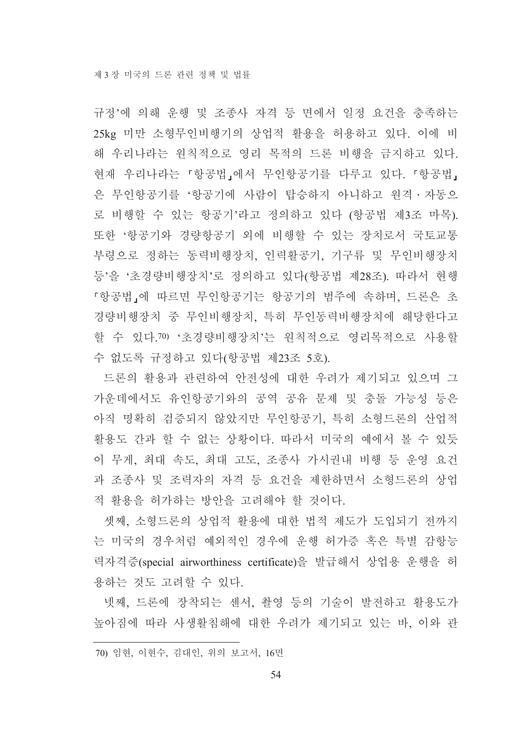규정'에 의해 운행 및 조종사 자격 등 면에서 일정 요건을 충족하는 25kg 미만 소형무인비행기의 상업적 활용을 허용하고 있다. 이에 비 해 우리나라는 원칙적으로 영리 목적의 드론 비행을 금지하고 있다. 현재 우리나라는 「항공법」에서 무인항공기를 다루고 있다. 「항공법」 은 무인항공기를 '항공기에 사람이 탑승하지 아니하고 워격 · 자동으 로 비행할 수 있는 항공기'라고 정의하고 있다 (항공법 제3조 마목). 또한 '항공기와 경량항공기 외에 비행할 수 있는 장치로서 국토교통 부령으로 정하는 동력비행장치, 인력활공기, 기구류 및 무인비행장치 등'을 '초경량비행장치'로 정의하고 있다(항공법 제28조). 따라서 현행 『항공법』에 따르면 무인항공기는 항공기의 범주에 속하며, 드론은 초 경량비행장치 중 무인비행장치, 특히 무인동력비행장치에 해당한다고 할 수 있다.70) '초경량비행장치'는 워칙적으로 영리목적으로 사용할 수 없도록 규정하고 있다(항공법 제23조 5호).

드론의 활용과 관련하여 안전성에 대한 우려가 제기되고 있으며 그 가운데에서도 유인항공기와의 공역 공유 문제 및 충돌 가능성 등은 아직 명확히 검증되지 않았지만 무인항공기, 특히 소형드론의 산업적 활용도 간과 할 수 없는 상황이다. 따라서 미국의 예에서 볼 수 있듯 이 무게, 최대 속도, 최대 고도, 조종사 가시권내 비행 등 운영 요건 과 조종사 및 조력자의 자격 등 요건을 제한하면서 소형드론의 상업 적 활용을 허가하는 방안을 고려해야 할 것이다.

셋째, 소형드론의 상업적 활용에 대한 법적 제도가 도입되기 전까지 는 미국의 경우처럼 예외적인 경우에 운행 허가증 혹은 특별 감항능 력자격증(special airworthiness certificate)을 발급해서 상업용 운행을 허 용하는 것도 고려할 수 있다.

넷째, 드론에 장착되는 센서, 촬영 등의 기술이 발전하고 활용도가 높아짐에 따라 사생활침해에 대한 우려가 제기되고 있는 바. 이와 관

70) 임현, 이현수, 김대인, 위의 보고서, 16면

54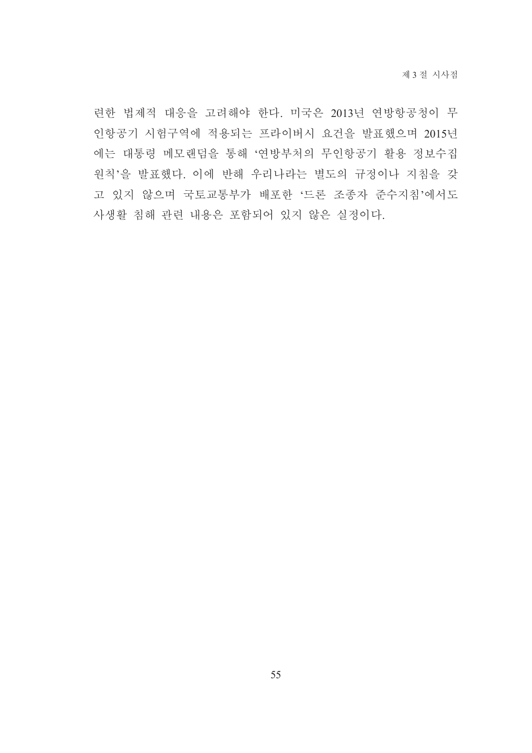련한 법제적 대응을 고려해야 한다. 미국은 2013년 연방항공청이 무 인항공기 시험구역에 적용되는 프라이버시 요건을 발표했으며 2015년 에는 대통령 메모랜덤을 통해 '연방부처의 무인항공기 활용 정보수집 원칙'을 발표했다. 이에 반해 우리나라는 별도의 규정이나 지침을 갖 고 있지 않으며 국토교통부가 배포한 '드론 조종자 준수지침'에서도 사생활 침해 관련 내용은 포함되어 있지 않은 실정이다.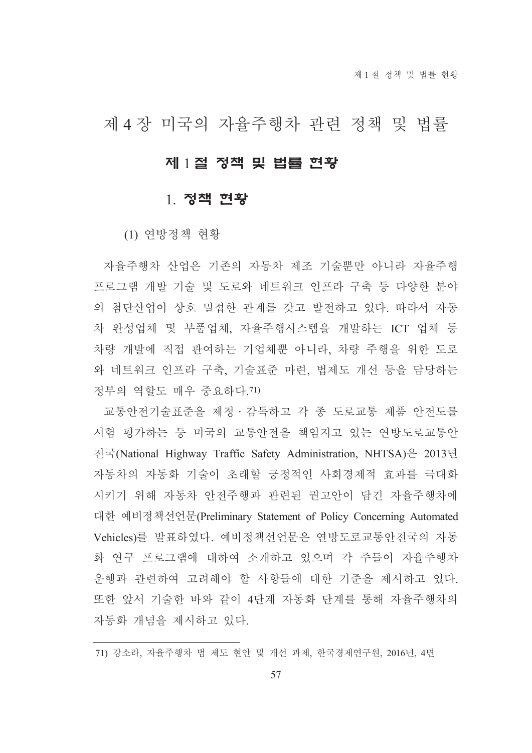# 제 4 장 미국의 자율주행차 관련 정책 및 법률

## 제 1절 정책 및 법률 현황

## 1. 정책 현황

(1) 여방정책 현황

자율주행차 산업은 기존의 자동차 제조 기술뿐만 아니라 자율주행 프로그램 개발 기술 및 도로와 네트워크 인프라 구축 등 다양한 분야 의 첨단산업이 상호 밀접한 관계를 갖고 발전하고 있다. 따라서 자동 차 와성업체 및 부품업체, 자율주행시스템을 개발하는 ICT 업체 등 차량 개발에 직접 관여하는 기업체뿐 아니라, 차량 주행을 위한 도로 와 네트워크 인프라 구축. 기술표주 마련. 법제도 개선 등을 담당하는 정부의 역할도 매우 중요하다 71)

교통안전기술표준을 제정 · 감독하고 각 종 도로교통 제품 안전도를 시험 평가하는 등 미국의 교통안전을 책임지고 있는 연방도로교통안 전국(National Highway Traffic Safety Administration, NHTSA)은 2013년 자동차의 자동화 기술이 초래할 긍정적인 사회경제적 효과를 극대화 시키기 위해 자동차 안전주행과 관련된 권고안이 담긴 자율주행차에 대한 예비정책선언문(Preliminary Statement of Policy Concerning Automated Vehicles)를 발표하였다. 예비정책선언문은 연방도로교통안전국의 자동 화 연구 프로그램에 대하여 소개하고 있으며 각 주들이 자율주행차 운행과 관련하여 고려해야 할 사항들에 대한 기준을 제시하고 있다. 또한 앞서 기술한 바와 같이 4단계 자동화 단계를 통해 자율주행차의 자동화 개념을 제시하고 있다.

<sup>71)</sup> 강소라, 자율주행차 법 제도 현안 및 개선 과제, 한국경제연구원, 2016년, 4면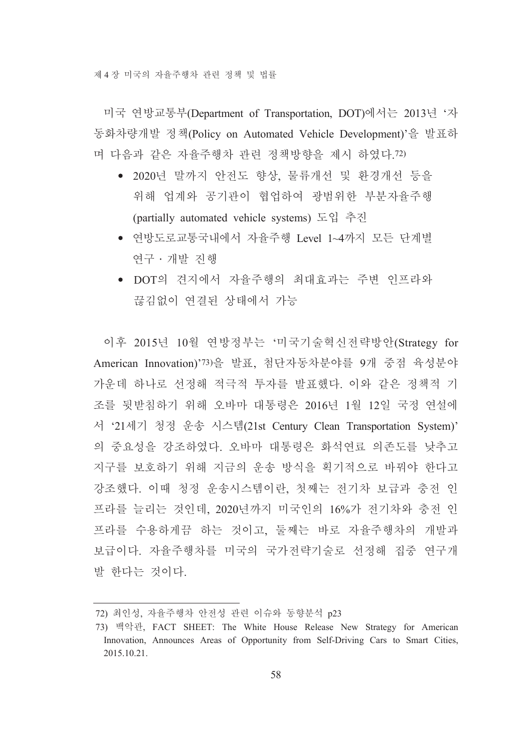제 4 장 미국의 자율주행차 관련 정책 및 법률

미국 연방교통부(Department of Transportation, DOT)에서는 2013년 '자 동화차량개발 정책(Policy on Automated Vehicle Development)'을 발표하 며 다음과 같은 자율주행차 관련 정책방향을 제시 하였다.72)

- 2020년 말까지 안전도 향상, 물류개선 및 환경개선 등을 위해 업계와 공기관이 협업하여 광범위한 부분자율주행 (partially automated vehicle systems) 도입 추진
- 연방도로교통국내에서 자율주행 Level 1~4까지 모든 단계별 여구 · 개발 진행
- DOT의 견지에서 자율주행의 최대효과는 주변 인프라와 끊김없이 여결된 상태에서 가능

이후 2015년 10월 연방정부는 '미국기술혁신전략방안(Strategy for American Innovation)'73)을 발표, 첨단자동차분야를 9개 중점 육성분야 가운데 하나로 선정해 적극적 투자를 발표했다. 이와 같은 정책적 기 조를 뒷받침하기 위해 오바마 대통령은 2016년 1월 12일 국정 연설에 서 '21세기 청정 운송 시스템(21st Century Clean Transportation System)' 의 중요성을 강조하였다. 오바마 대통령은 화석연료 의존도를 낮추고 지구를 보호하기 위해 지금의 운송 방식을 획기적으로 바꿔야 한다고 강조했다. 이때 청정 운송시스템이란, 첫째는 전기차 보급과 충전 인 프라를 늘리는 것인데, 2020년까지 미국인의 16%가 전기차와 충전 인 프라를 수용하게끔 하는 것이고, 둘째는 바로 자율주행차의 개발과 보급이다. 자율주행차를 미국의 국가전략기술로 선정해 집중 연구개 발 한다는 것이다.

<sup>72)</sup> 최인성, 자율주행차 안전성 관련 이슈와 동향분석 p23

<sup>73)</sup> 백악관, FACT SHEET: The White House Release New Strategy for American Innovation, Announces Areas of Opportunity from Self-Driving Cars to Smart Cities, 2015.10.21.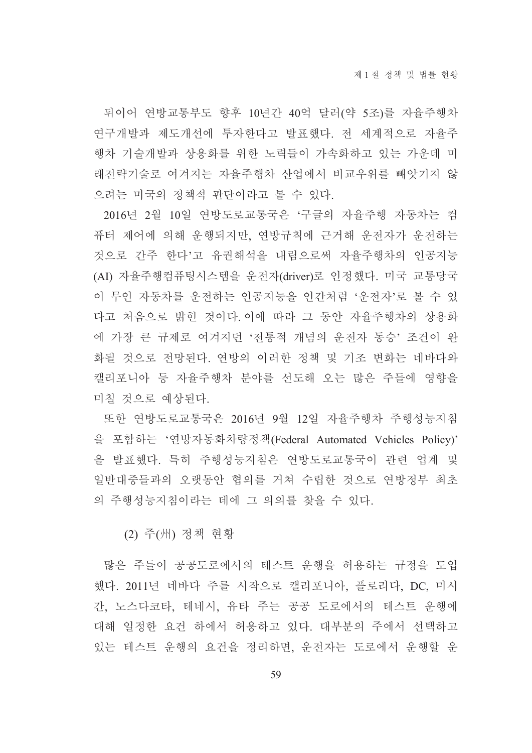뒤이어 연방교통부도 향후 10년간 40억 달러(약 5조)를 자율주행차 연구개발과 제도개선에 투자한다고 발표했다. 전 세계적으로 자율주 행차 기술개발과 상용화를 위한 노력들이 가속화하고 있는 가운데 미 래전략기술로 여겨지는 자율주행차 산업에서 비교우위를 빼앗기지 않 으려는 미국의 정책적 판단이라고 볼 수 있다.

2016년 2월 10일 연방도로교통국은 '구글의 자율주행 자동차는 컴 퓨터 제어에 의해 운행되지만, 연방규칙에 근거해 운전자가 운전하는 것으로 간주 한다'고 유권해석을 내림으로써 자율주행차의 인공지능 (AI) 자율주행컴퓨팅시스템을 운전자(driver)로 인정했다. 미국 교통당국 이 무인 자동차를 운전하는 인공지능을 인간처럼 '운전자'로 볼 수 있 다고 처음으로 밝힌 것이다.이에 따라 그 동안 자율주행차의 상용화 에 가장 큰 규제로 여겨지던 '전통적 개념의 우전자 동승' 조건이 와 화될 것으로 전망된다. 연방의 이러한 정책 및 기조 변화는 네바다와 캘리포니아 등 자율주행차 분야를 선도해 오는 많은 주들에 영향을 미칠 것으로 예상된다.

또한 연방도로교통국은 2016년 9월 12일 자율주행차 주행성능지침 을 포함하는 '연방자동화차량정책(Federal Automated Vehicles Policy)' 을 발표했다. 특히 주행성능지침은 연방도로교통국이 관련 업계 및 일반대중들과의 오랫동안 협의를 거쳐 수립한 것으로 연방정부 최초 의 주행성능지침이라는 데에 그 의의를 찾을 수 있다.

(2) 주(州) 정책 현황

많은 주들이 공공도로에서의 테스트 운행을 허용하는 규정을 도입 했다. 2011년 네바다 주를 시작으로 캘리포니아, 플로리다, DC, 미시 간, 노스다코타, 테네시, 유타 주는 공공 도로에서의 테스트 운행에 대해 일정한 요건 하에서 허용하고 있다. 대부분의 주에서 선택하고 있는 테스트 운행의 요건을 정리하면, 운전자는 도로에서 운행할 운

59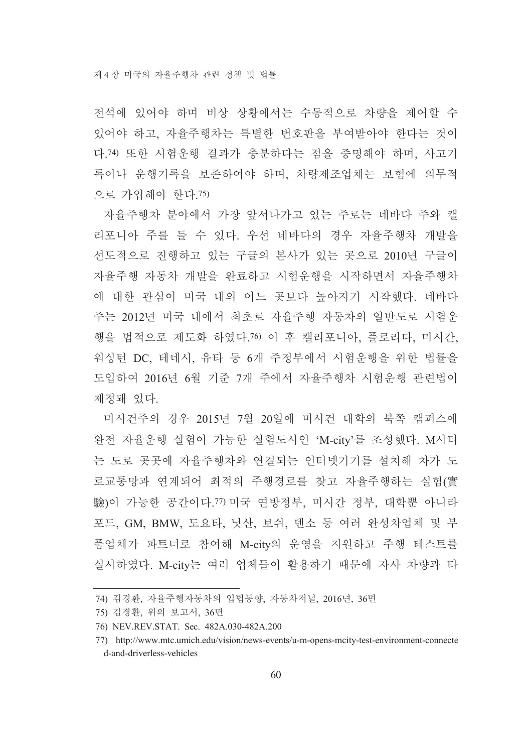전석에 있어야 하며 비상 상황에서는 수동적으로 차량을 제어할 수 있어야 하고, 자율주행차는 특별한 번호판을 부여받아야 한다는 것이 다.74) 또한 시험운행 결과가 충분하다는 점을 증명해야 하며, 사고기 록이나 운행기록을 보존하여야 하며, 차량제조업체는 보험에 의무적 으로 가입해야 한다. 75)

자율주행차 분야에서 가장 앞서나가고 있는 주로는 네바다 주와 캘 리포니아 주를 들 수 있다. 우선 네바다의 경우 자율주행차 개발을 선도적으로 진행하고 있는 구글의 본사가 있는 곳으로 2010년 구글이 자율주행 자동차 개발을 완료하고 시험운행을 시작하면서 자율주행차 에 대한 관심이 미국 내의 어느 곳보다 높아지기 시작했다. 네바다 주는 2012년 미국 내에서 최초로 자율주행 자동차의 일반도로 시험운 행을 법적으로 제도화 하였다.76) 이 후 캘리포니아. 플로리다. 미시간. 워싱턴 DC, 테네시, 유타 등 6개 주정부에서 시험운행을 위한 법률을 도입하여 2016년 6월 기주 7개 주에서 자율주행차 시험운행 관련법이 제정돼 있다.

미시건주의 경우 2015년 7월 20일에 미시건 대학의 북쪽 캠퍼스에 완전 자율운행 실험이 가능한 실험도시인 'M-city'를 조성했다. M시티 는 도로 곳곳에 자율주행차와 연결되는 인터넷기기를 설치해 차가 도 로교통망과 연계되어 최적의 주행경로를 찾고 자율주행하는 실험(實 驗)이 가능한 공간이다.77) 미국 연방정부, 미시간 정부, 대학뿐 아니라 포드, GM, BMW, 도요타, 닛산, 보쉬, 덴소 등 여러 완성차업체 및 부 품업체가 파트너로 참여해 M-city의 운영을 지원하고 주행 테스트를 실시하였다. M-city는 여러 업체들이 활용하기 때문에 자사 차량과 타

<sup>74)</sup> 김경환, 자율주행자동차의 입법동향, 자동차저널, 2016년, 36면

<sup>75)</sup> 김경환, 위의 보고서, 36면

<sup>76)</sup> NEV.REV.STAT. Sec. 482A.030-482A.200

<sup>77)</sup> http://www.mtc.umich.edu/vision/news-events/u-m-opens-mcity-test-environment-connecte d-and-driverless-vehicles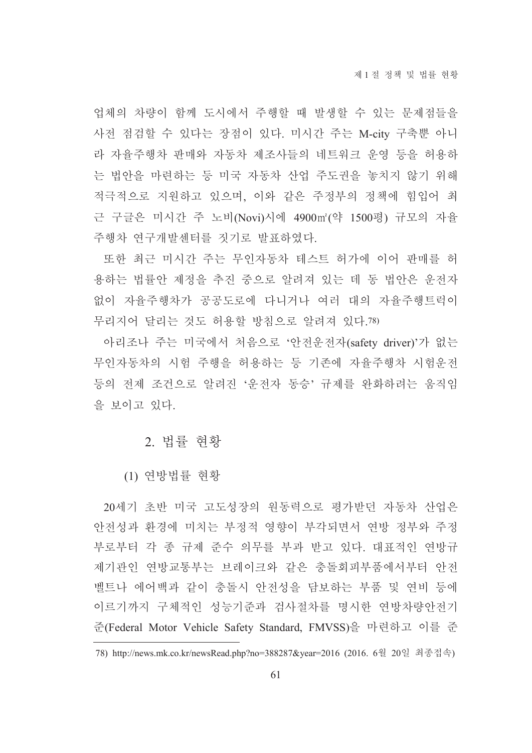업체의 차량이 함께 도시에서 주행할 때 발생할 수 있는 문제점들을 사전 점검할 수 있다는 장점이 있다. 미시간 주는 M-city 구축뿐 아니 라 자율주행차 판매와 자동차 제조사들의 네트워크 운영 등을 허용하 는 법안을 마련하는 등 미국 자동차 산업 주도권을 놓치지 않기 위해 적극적으로 지원하고 있으며, 이와 같은 주정부의 정책에 힘입어 최 근 구글은 미시간 주 노비(Novi)시에 4900㎡(약 1500평) 규모의 자율 주행차 여구개발센터를 짓기로 발표하였다.

또한 최근 미시간 주는 무인자동차 테스트 허가에 이어 판매를 허 용하는 법률안 제정을 추진 중으로 알려져 있는 데 동 법안은 운전자 없이 자율주행차가 공공도로에 다니거나 여러 대의 자율주행트럭이 무리지어 달리는 것도 허용할 방침으로 알려져 있다.78)

아리조나 주는 미국에서 처음으로 '안전운전자(safety driver)'가 없는 무인자동차의 시험 주행을 허용하는 등 기존에 자율주행차 시험운전 등의 전제 조건으로 알려진 '운전자 동승' 규제를 완화하려는 움직임 을 보이고 있다.

## 2. 법률 현황

(1) 연방법률 현황

20세기 초반 미국 고도성장의 원동력으로 평가받던 자동차 산업은 안전성과 환경에 미치는 부정적 영향이 부각되면서 연방 정부와 주정 부로부터 각 종 규제 주수 의무를 부과 받고 있다. 대표적인 연방규 제기관인 연방교통부는 브레이크와 같은 충돌회피부품에서부터 안전 벨트나 에어백과 같이 충돌시 안전성을 담보하는 부품 및 연비 등에 이르기까지 구체적인 성능기준과 검사절차를 명시한 연방차량안전기 준(Federal Motor Vehicle Safety Standard, FMVSS)을 마련하고 이를 준

<sup>78)</sup> http://news.mk.co.kr/newsRead.php?no=388287&year=2016 (2016. 6월 20일 최종접속)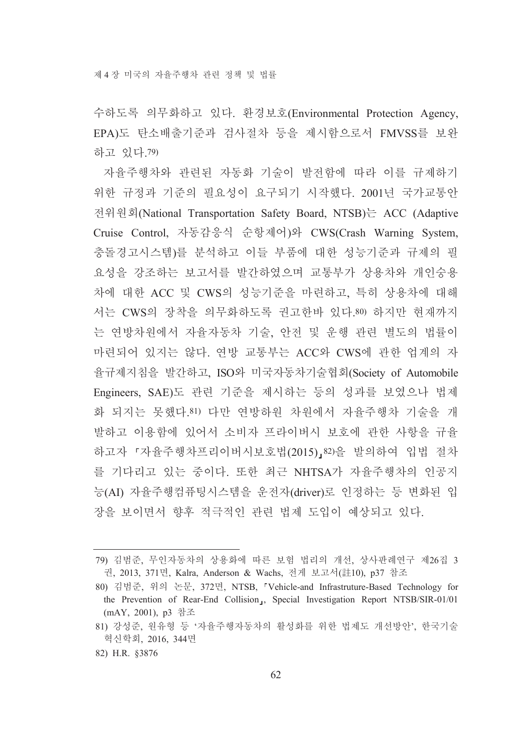수하도록 의무화하고 있다. 환경보호(Environmental Protection Agency, EPA)도 탄소배출기준과 검사절차 등을 제시함으로서 FMVSS를 보완 하고 있다 79)

자율주행차와 관련된 자동화 기술이 발전함에 따라 이를 규제하기 위한 규정과 기준의 필요성이 요구되기 시작했다. 2001년 국가교통안 전위원회(National Transportation Safety Board, NTSB)는 ACC (Adaptive Cruise Control, 자동감응식 순항제어)와 CWS(Crash Warning System, 충돌경고시스템)를 분석하고 이들 부품에 대한 성능기준과 규제의 필 요성을 강조하는 보고서를 발간하였으며 교통부가 상용차와 개인숭용 차에 대한 ACC 및 CWS의 성능기준을 마련하고, 특히 상용차에 대해 서는 CWS의 장착을 의무화하도록 권고한바 있다.80) 하지만 현재까지 는 연방차원에서 자율자동차 기술, 안전 및 운행 관련 별도의 법률이 마련되어 있지는 않다. 연방 교통부는 ACC와 CWS에 관한 업계의 자 율규제지침을 발간하고, ISO와 미국자동차기술협회(Society of Automobile Engineers, SAE)도 관련 기준을 제시하는 등의 성과를 보였으나 법제 화 되지는 못했다.81) 다만 연방하원 차원에서 자율주행차 기술을 개 발하고 이용함에 있어서 소비자 프라이버시 보호에 관한 사항을 규율 하고자 『자율주행차프리이버시보호법(2015)』82)을 발의하여 입법 절차 를 기다리고 있는 중이다. 또한 최근 NHTSA가 자율주행차의 인공지 능(AI) 자율주행컴퓨팅시스템을 운전자(driver)로 인정하는 등 변화된 입 장을 보이면서 향후 적극적인 관련 법제 도입이 예상되고 있다.

<sup>79)</sup> 김범준, 무인자동차의 상용화에 따른 보험 법리의 개선, 상사판례연구 제26집 3 권, 2013, 371면, Kalra, Anderson & Wachs, 전게 보고서(註10), p37 참조

<sup>80)</sup> 김범준, 위의 논문, 372면, NTSB, 『Vehicle-and Infrastruture-Based Technology for the Prevention of Rear-End Collision<sub>1</sub>, Special Investigation Report NTSB/SIR-01/01 (mAY, 2001), p3 참조

<sup>81)</sup> 강성준, 원유형 등 '자율주행자동차의 활성화를 위한 법제도 개선방안', 한국기술 혁신학회, 2016, 344면

<sup>82)</sup> H.R. §3876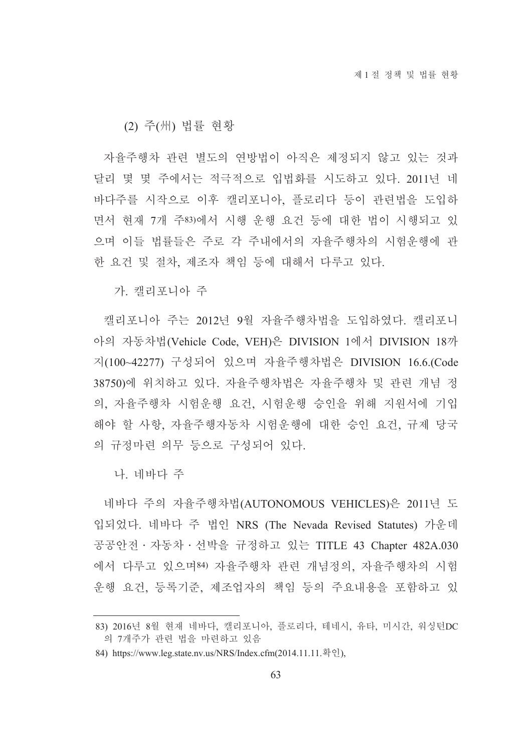### (2) 주(州) 법률 현황

자율주행차 관련 별도의 연방법이 아직은 제정되지 않고 있는 것과 달리 몇 몇 주에서는 적극적으로 입법화를 시도하고 있다. 2011년 네 바다주를 시작으로 이후 캘리포니아. 플로리다 등이 관련법을 도입하 면서 현재 7개 주83)에서 시행 운행 요건 등에 대한 법이 시행되고 있 으며 이들 법률들은 주로 각 주내에서의 자율주행차의 시험운행에 관 한 요건 및 절차. 제조자 책임 등에 대해서 다루고 있다.

가. 캘리포니아 주

캘리포니아 주는 2012년 9월 자율주행차법을 도입하였다. 캘리포니 아의 자동차법(Vehicle Code, VEH)은 DIVISION 1에서 DIVISION 18까 지(100~42277) 구성되어 있으며 자율주행차법은 DIVISION 16.6.(Code 38750)에 위치하고 있다. 자율주행차법은 자율주행차 및 관련 개념 정 의, 자율주행차 시험운행 요건, 시험운행 승인을 위해 지원서에 기입 해야 할 사항, 자율주행자동차 시험운행에 대한 승인 요건, 규제 당국 의 규정마련 의무 등으로 구성되어 있다.

나. 네바다 주

네바다 주의 자율주행차법(AUTONOMOUS VEHICLES)은 2011년 도 입되었다. 네바다 주 법인 NRS (The Nevada Revised Statutes) 가운데 공공안전 · 자동차 · 선박을 규정하고 있는 TITLE 43 Chapter 482A.030 에서 다루고 있으며84) 자율주행차 관련 개념정의, 자율주행차의 시험 운행 요건, 등록기준, 제조업자의 책임 등의 주요내용을 포함하고 있

<sup>83) 2016</sup>년 8월 현재 네바다, 캘리포니아, 플로리다, 테네시, 유타, 미시간, 워싱턴DC 의 7개주가 관련 법을 마련하고 있음

<sup>84)</sup> https://www.leg.state.nv.us/NRS/Index.cfm(2014.11.11.확인),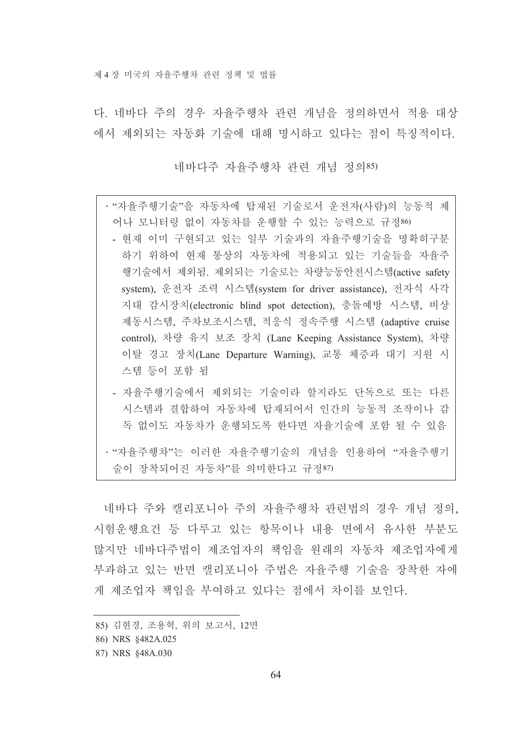다. 네바다 주의 경우 자율주행차 관련 개념을 정의하면서 적용 대상 에서 제외되는 자동화 기술에 대해 명시하고 있다는 점이 특징적이다.

네바다주 자율주행차 관련 개념 정의85)

- · "자율주행기술"을 자동차에 탑재된 기술로서 운전자(사람)의 능동적 제 어나 모니터링 없이 자동차를 운행할 수 있는 능력으로 규정86) - 현재 이미 구현되고 있는 일부 기술과의 자율주행기술을 명확히구분 하기 위하여 현재 통상의 자동차에 적용되고 있는 기술들을 자율주 행기술에서 제외됨. 제외되는 기술로는 차량능동안전시스템(active safety system), 운전자 조력 시스템(system for driver assistance), 전자식 사각 지대 감시장치(electronic blind spot detection), 충돌예방 시스템, 비상 제동시스템, 주차보조시스템, 적응식 정속주행 시스템 (adaptive cruise control), 차량 유지 보조 장치 (Lane Keeping Assistance System), 차량 이탈 경고 장치(Lane Departure Warning), 교통 체증과 대기 지원 시 스템 등이 포함 됨
	- 자율주행기술에서 제외되는 기술이라 할지라도 단독으로 또는 다른 시스템과 결합하여 자동차에 탑재되어서 인간의 능동적 조작이나 감 독 없이도 자동차가 운행되도록 한다면 자율기술에 포함 될 수 있음
- · "자율주행차"는 이러한 자율주행기술의 개념을 인용하여 "자율주행기 술이 장착되어진 자동차"를 의미하다고 규정87)

네바다 주와 캘리포니아 주의 자율주행차 관련법의 경우 개념 정의, 시험운행요건 등 다루고 있는 항목이나 내용 면에서 유사한 부분도 많지만 네바다주법이 제조업자의 책임을 원래의 자동차 제조업자에게 부과하고 있는 반면 캘리포니아 주법은 자율주행 기술을 장착한 자에 게 제조업자 책임을 부여하고 있다는 점에서 차이를 보인다.

<sup>85)</sup> 김현경, 조용혁, 위의 보고서, 12면

<sup>86)</sup> NRS §482A.025

<sup>87)</sup> NRS §48A.030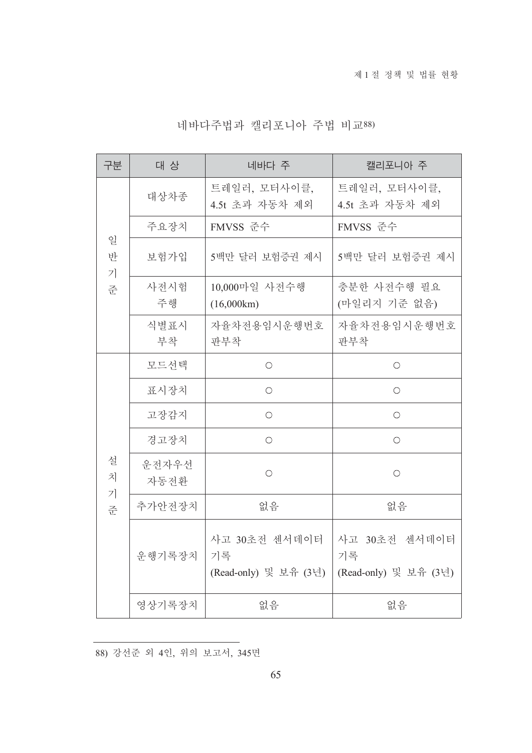| 네바다주법과 캘리포니아 주법 비교88) |  |  |  |
|-----------------------|--|--|--|
|-----------------------|--|--|--|

| 구분               | 대 상           | 네바다 주                                        | 캘리포니아 주                                      |
|------------------|---------------|----------------------------------------------|----------------------------------------------|
| 일<br>반<br>7<br>준 | 대상차종          | 트레일러, 모터사이클,<br>4.5t 초과 자동차 제외               | 트레일러, 모터사이클,<br>4.5t 초과 자동차 제외               |
|                  | 주요장치          | FMVSS 준수                                     | FMVSS 준수                                     |
|                  | 보험가입          | 5백만 달러 보험증권 제시                               | 5백만 달러 보험증권 제시                               |
|                  | 사전시험<br>주행    | 10,000마일 사전수행<br>(16,000km)                  | 충분한 사전수행 필요<br>(마일리지 기준 없음)                  |
|                  | 식별표시<br>부착    | 자율차전용임시운행번호<br>판부착                           | 자율차전용임시운행번호<br>판부착                           |
|                  | 모드선택          | $\bigcirc$                                   | $\bigcirc$                                   |
|                  | 표시장치          | $\bigcirc$                                   | $\bigcirc$                                   |
|                  | 고장감지          | $\bigcirc$                                   | $\bigcirc$                                   |
|                  | 경고장치          | $\bigcirc$                                   | $\bigcirc$                                   |
| 설<br>치<br>7<br>준 | 운전자우선<br>자동전환 | $\bigcirc$                                   | $\bigcirc$                                   |
|                  | 추가안전장치        | 없음                                           | 없음                                           |
|                  | 운행기록장치        | 사고 30초전 센서데이터<br>기록<br>(Read-only) 및 보유 (3년) | 사고 30초전 센서데이터<br>기록<br>(Read-only) 및 보유 (3년) |
|                  | 영상기록장치        | 없음                                           | 없음                                           |

88) 강선준 외 4인, 위의 보고서, 345면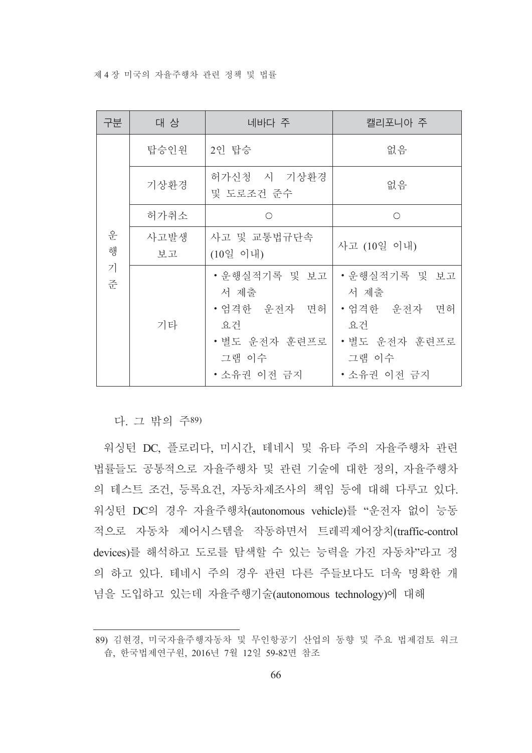제 4 장 미국의 자율주행차 관련 정책 및 법률

| 구분     | 대 상        | 네바다 주                                                                              | 캘리포니아 주                                                                            |
|--------|------------|------------------------------------------------------------------------------------|------------------------------------------------------------------------------------|
| 운<br>행 | 탑승인원       | 2인 탑승                                                                              | 없음                                                                                 |
|        | 기상환경       | 허가신청 시 기상환경<br>및 도로조건 준수                                                           | 없음                                                                                 |
|        | 허가취소       | ∩                                                                                  | ∩                                                                                  |
|        | 사고발생<br>보고 | 사고 및 교통법규단속<br>(10일 이내)                                                            | 사고 (10일 이내)                                                                        |
| 7<br>준 | 기타         | •운행실적기록 및 보고<br>서 제출<br>• 엄격한 운전자 면허<br>요건<br>•별도 운전자 훈련프로<br>그램 이수<br>• 소유권 이전 금지 | •운행실적기록 및 보고<br>서 제출<br>• 엄격한 운전자 면허<br>요건<br>•별도 운전자 훈련프로<br>그램 이수<br>• 소유권 이전 금지 |

다. 그 밖의 주89)

워싱턴 DC. 플로리다. 미시간, 테네시 및 유타 주의 자율주행차 관련 법률들도 공통적으로 자율주행차 및 관련 기술에 대한 정의, 자율주행차 의 테스트 조건, 등록요건, 자동차제조사의 책임 등에 대해 다루고 있다. 워싱턴 DC의 경우 자율주행차(autonomous vehicle)를 "운전자 없이 능동 적으로 자동차 제어시스템을 작동하면서 트레픽제어장치(traffic-control devices)를 해석하고 도로를 탐색할 수 있는 능력을 가진 자동차"라고 정 의 하고 있다. 테네시 주의 경우 관련 다른 주들보다도 더욱 명확한 개 념을 도입하고 있는데 자율주행기술(autonomous technology)에 대해

<sup>89)</sup> 김현경, 미국자율주행자동차 및 무인항공기 산업의 동향 및 주요 법제검토 워크 숍, 한국법제연구원, 2016년 7월 12일 59-82면 참조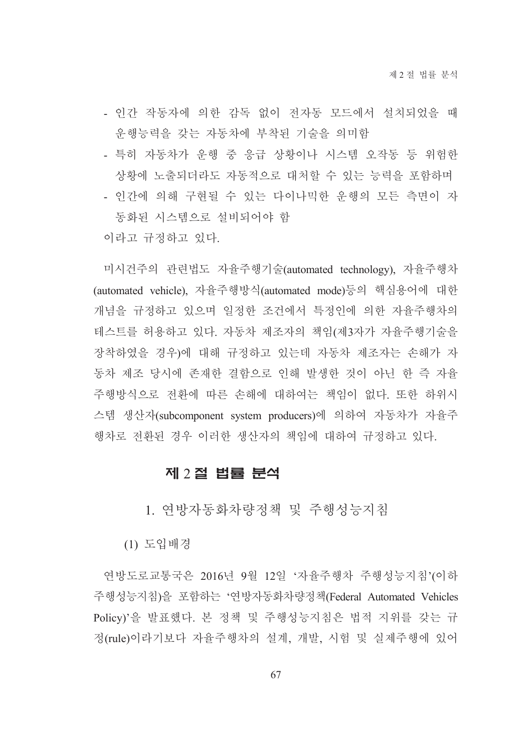- 인간 작동자에 의한 감독 없이 전자동 모드에서 설치되었을 때 운행능력을 갖는 자동차에 부착된 기술을 의미함
- 특히 자동차가 운행 중 응급 상황이나 시스템 오작동 등 위험한 상황에 노출되더라도 자동적으로 대처할 수 있는 능력을 포함하며
- 인간에 의해 구현될 수 있는 다이나믹한 운행의 모든 측면이 자 동화된 시스템으로 설비되어야 함

이라고 규정하고 있다.

미시건주의 관련법도 자율주행기술(automated technology), 자율주행차 (automated vehicle), 자율주행방식(automated mode)등의 핵심용어에 대한 개념을 규정하고 있으며 일정한 조건에서 특정인에 의한 자율주행차의 테스트를 허용하고 있다. 자동차 제조자의 책임(제3자가 자율주행기술을 장착하였을 경우)에 대해 규정하고 있는데 자동차 제조자는 손해가 자 동차 제조 당시에 존재한 결함으로 인해 발생한 것이 아닌 한 즉 자율 주행방식으로 전환에 따른 손해에 대하여는 책임이 없다. 또한 하위시 스템 생산자(subcomponent system producers)에 의하여 자동차가 자율주 행차로 전화된 경우 이러한 생산자의 책임에 대하여 규정하고 있다.

## 제 2 절 법률 분석

1. 연방자동화차량정책 및 주행성능지침

(1) 도입배경

연방도로교통국은 2016년 9월 12일 '자율주행차 주행성능지침'(이하 주행성능지침)을 포함하는 '연방자동화차량정책(Federal Automated Vehicles Policy)'을 발표했다. 본 정책 및 주행성능지침은 법적 지위를 갖는 규 정(rule)이라기보다 자율주행차의 설계, 개발, 시험 및 실제주행에 있어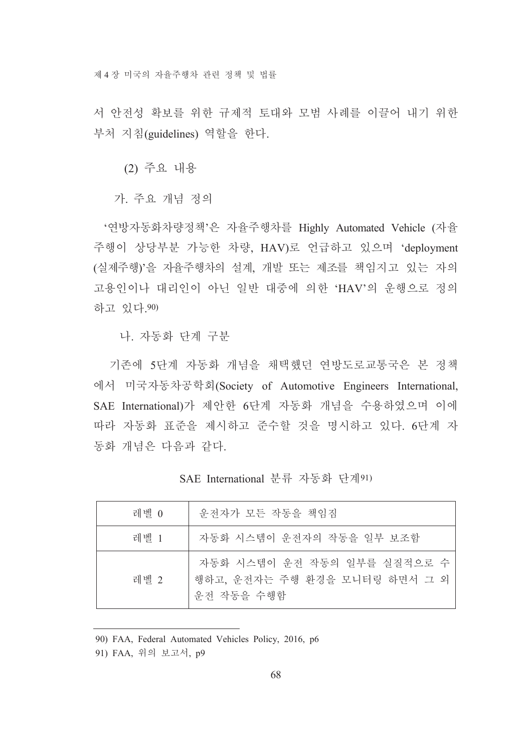서 안전성 확보를 위한 규제적 토대와 모범 사례를 이끌어 내기 위한 부처 지침(guidelines) 역할을 한다.

(2) 주요 내용

가. 주요 개념 정의

'연방자동화차량정책'은 자율주행차를 Highly Automated Vehicle (자율 주행이 상당부분 가능한 차량, HAV)로 언급하고 있으며 'deployment (실제주행)'을 자율주행차의 설계, 개발 또는 제조를 책임지고 있는 자의 고용인이나 대리인이 아닌 일반 대중에 의한 'HAV'의 운행으로 정의 하고 있다.90)

나. 자동화 단계 구분

기존에 5단계 자동화 개념을 채택했던 연방도로교통국은 본 정책 에서 미국자동차공학회(Society of Automotive Engineers International, SAE International)가 제안한 6단계 자동화 개념을 수용하였으며 이에 따라 자동화 표준을 제시하고 준수할 것을 명시하고 있다. 6단계 자 동화 개념은 다음과 같다.

SAE International 분류 자동화 단계91)

| 레벨 0 | 운전자가 모든 작동을 책임짐                                                            |
|------|----------------------------------------------------------------------------|
| 레벨 1 | 자동화 시스템이 운전자의 작동을 일부 보조함                                                   |
| 레벨 2 | 자동화 시스템이 운전 작동의 일부를 실질적으로 수<br>행하고, 운전자는 주행 환경을 모니터링 하면서 그 외<br>우저 작동을 수행함 |

90) FAA, Federal Automated Vehicles Policy, 2016, p6

91) FAA, 위의 보고서, p9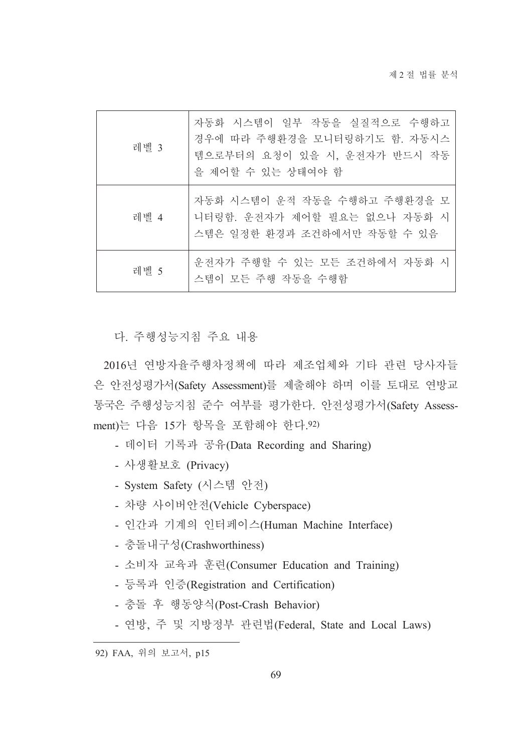| 레벨 3 | 자동화 시스템이 일부 작동을 실질적으로 수행하고<br>경우에 따라 주행환경을 모니터링하기도 함. 자동시스<br>템으로부터의 요청이 있을 시, 운전자가 반드시 작동<br>을 제어할 수 있는 상태여야 함 |
|------|-----------------------------------------------------------------------------------------------------------------|
| 레벨 4 | 자동화 시스템이 운적 작동을 수행하고 주행환경을 모<br>니터링함. 운전자가 제어할 필요는 없으나 자동화 시<br>스템은 일정한 환경과 조건하에서만 작동할 수 있음                     |
| 레벨 5 | 운전자가 주행할 수 있는 모든 조건하에서 자동화 시<br>스템이 모든 주행 작동을 수행함                                                               |

다. 주행성능지침 주요 내용

2016년 연방자율주행차정책에 따라 제조업체와 기타 관련 당사자들 은 안전성평가서(Safety Assessment)를 제출해야 하며 이를 토대로 연방교 통국은 주행성능지침 준수 여부를 평가한다. 안전성평가서(Safety Assessment)는 다음 15가 항목을 포함해야 한다.92)

- 데이터 기록과 공유(Data Recording and Sharing)
- 사생활보호 (Privacy)
- System Safety (시스템 안전)
- 차량 사이버안전(Vehicle Cyberspace)
- 인간과 기계의 인터페이스(Human Machine Interface)
- 충돌내구성(Crashworthiness)
- 소비자 교육과 훈련(Consumer Education and Training)
- 등록과 인증(Registration and Certification)
- 충돌 후 행동양식(Post-Crash Behavior)
- 연방, 주 및 지방정부 관련법(Federal, State and Local Laws)

<sup>92)</sup> FAA, 위의 보고서, p15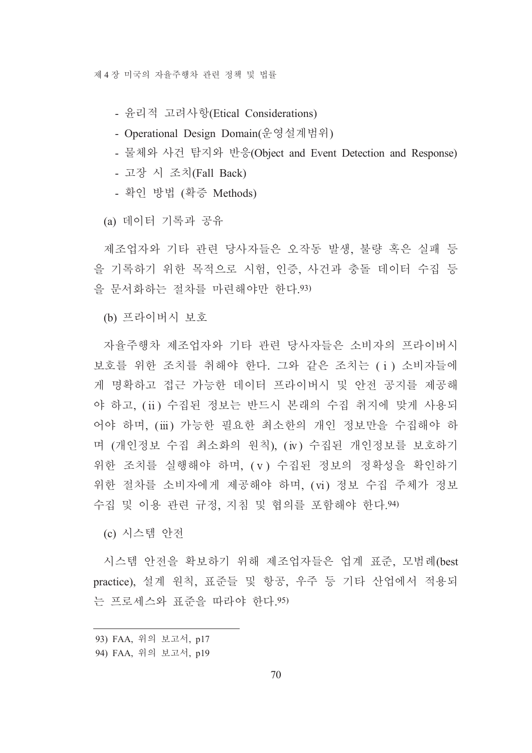제 4 장 미국의 자율주행차 관련 정책 및 법률

- 유리적 고려사항(Etical Considerations)

- Operational Design Domain(운영설계범위)

- 물체와 사건 탐지와 반응(Object and Event Detection and Response)

- 고장 시 조치(Fall Back)

- 확인 방법 (확증 Methods)

(a) 데이터 기록과 공유

제조업자와 기타 관련 당사자들은 오작동 발생, 불량 혹은 실패 등 을 기록하기 위한 목적으로 시험, 인증, 사건과 충돌 데이터 수집 등 을 문서화하는 절차를 마련해야만 한다. 93)

(b) 프라이버시 보호

자율주행차 제조업자와 기타 관련 당사자들은 소비자의 프라이버시 보호를 위한 조치를 취해야 한다. 그와 같은 조치는 (i) 소비자들에 게 명확하고 접근 가능한 데이터 프라이버시 및 안전 공지를 제공해 야 하고, (ii) 수집된 정보는 반드시 본래의 수집 취지에 맞게 사용되 어야 하며 (iii) 가능한 필요한 최소한의 개인 정보만을 수집해야 하 며 (개인정보 수집 최소화의 워칙). (iv) 수집된 개인정보를 보호하기 위한 조치를 실행해야 하며, (v) 수집된 정보의 정확성을 확인하기 위한 절차를 소비자에게 제공해야 하며, (vi) 정보 수집 주체가 정보 수집 및 이용 관련 규정, 지침 및 협의를 포함해야 한다. 94)

(c) 시스템 아저

시스템 안전을 확보하기 위해 제조업자들은 업계 표준, 모범례(best practice), 설계 원칙, 표준들 및 항공, 우주 등 기타 산업에서 적용되 는 프로세스와 표준을 따라야 한다. 95)

<sup>93)</sup> FAA, 위의 보고서, p17

<sup>94)</sup> FAA, 위의 보고서, p19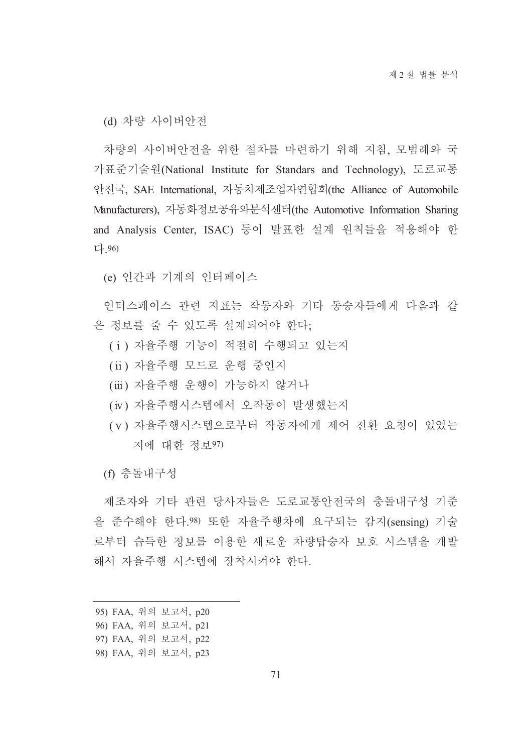(d) 차량 사이버안전

차량의 사이버안전을 위한 절차를 마련하기 위해 지침, 모범례와 국 가표준기술원(National Institute for Standars and Technology), 도로교통 안전국, SAE International, 자동차제조업자연합회(the Alliance of Automobile Manufacturers), 자동화정보공유와분석센터(the Automotive Information Sharing and Analysis Center, ISAC) 등이 발표한 설계 원칙들을 적용해야 한 다. 96)

(e) 인간과 기계의 인터페이스

인터스페이스 관련 지표는 작동자와 기타 동승자들에게 다음과 같 은 정보를 줄 수 있도록 설계되어야 한다.

- (i) 자율주행 기능이 적절히 수행되고 있는지
- (ii) 자율주행 모드로 운행 중인지
- (iii) 자율주행 운행이 가능하지 않거나
- (iv) 자율주행시스템에서 오작동이 발생했는지
- (v) 자율주행시스템으로부터 작동자에게 제어 전화 요청이 있었는 지에 대한 정보97)

(f) 충돌내구성

제조자와 기타 관련 당사자들은 도로교통안전국의 충돌내구성 기준 을 준수해야 한다.98) 또한 자율주행차에 요구되는 감지(sensing) 기술 로부터 습득한 정보를 이용한 새로운 차량탑승자 보호 시스템을 개발 해서 자율주행 시스템에 장착시켜야 한다.

- 95) FAA, 위의 보고서, p20
- 96) FAA, 위의 보고서, p21
- 97) FAA, 위의 보고서, p22
- 98) FAA, 위의 보고서, p23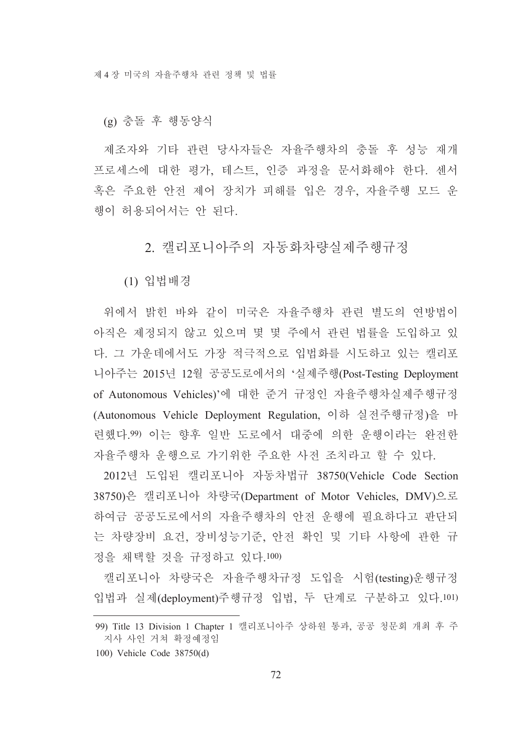(g) 충돌 후 행동양식

제조자와 기타 관련 당사자들은 자율주행차의 충돌 후 성능 재개 프로세스에 대한 평가, 테스트, 인증 과정을 문서화해야 한다. 센서 혹은 주요한 안전 제어 장치가 피해를 입은 경우, 자율주행 모드 운 행이 허용되어서는 안 된다.

2. 캘리포니아주의 자동화차량실제주행규정

(1) 입법배경

위에서 밝힌 바와 같이 미국은 자율주행차 관련 별도의 여방법이 아직은 제정되지 않고 있으며 몇 몇 주에서 관련 법률을 도입하고 있 다. 그 가운데에서도 가장 적극적으로 입법화를 시도하고 있는 캘리포 니아주는 2015년 12월 공공도로에서의 '실제주행(Post-Testing Deployment of Autonomous Vehicles)'에 대한 준거 규정인 자율주행차실제주행규정 (Autonomous Vehicle Deployment Regulation, 이하 실전주행규정)을 마 련했다.99) 이는 향후 일반 도로에서 대중에 의한 운행이라는 완전한 자율주행차 우행으로 가기위한 주요한 사전 조치라고 할 수 있다.

2012년 도입된 캘리포니아 자동차법규 38750(Vehicle Code Section 38750)은 캘리포니아 차량국(Department of Motor Vehicles, DMV)으로 하여금 공공도로에서의 자율주행차의 안전 운행에 필요하다고 판단되 는 차량장비 요건, 장비성능기준, 안전 확인 및 기타 사항에 관한 규 정을 채택할 것을 규정하고 있다.100)

캘리포니아 차량국은 자율주행차규정 도입을 시험(testing)운행규정 입법과 실제(deployment)주행규정 입법, 두 단계로 구분하고 있다.101)

<sup>99)</sup> Title 13 Division 1 Chapter 1 캘리포니아주 상하원 통과, 공공 청문회 개최 후 주 지사 사인 거쳐 확정예정임

<sup>100)</sup> Vehicle Code 38750(d)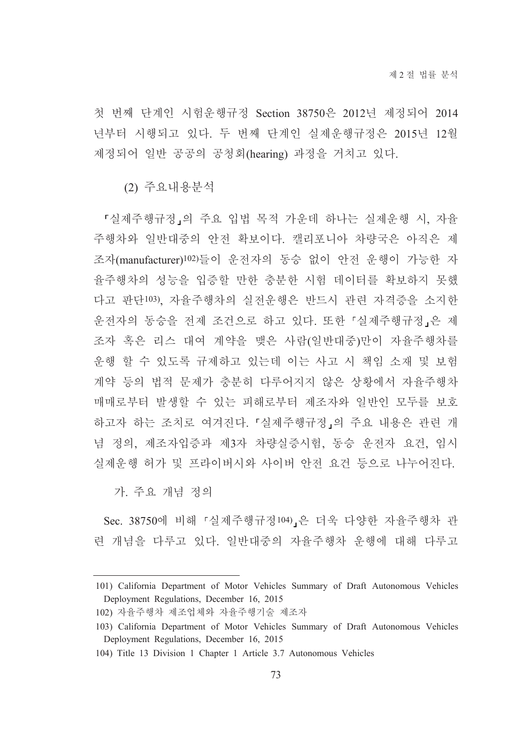첫 번째 단계인 시험운행규정 Section 38750은 2012년 제정되어 2014 년부터 시행되고 있다. 두 번째 단계인 실제운행규정은 2015년 12월 제정되어 일반 공공의 공청회(hearing) 과정을 거치고 있다.

(2) 주요내용부석

「실제주행규정」의 주요 입법 목적 가운데 하나는 실제운행 시, 자율 주행차와 일반대중의 안전 확보이다. 캘리포니아 차량국은 아직은 제 조자(manufacturer)102)들이 운전자의 동승 없이 안전 운행이 가능한 자 율주행차의 성능을 입증할 만한 충분한 시험 데이터를 확보하지 못했 다고 판단103). 자율주행차의 실전운행은 반드시 관련 자격증을 소지한 운전자의 동승을 전제 조건으로 하고 있다. 또한 「실제주행규정」은 제 조자 혹은 리스 대여 계약을 맺은 사람(일반대중)만이 자율주행차를 운행 할 수 있도록 규제하고 있는데 이는 사고 시 책임 소재 및 보험 계약 등의 법적 문제가 충분히 다루어지지 않은 상황에서 자율주행차 매매로부터 발생할 수 있는 피해로부터 제조자와 일반인 모두를 보호 하고자 하는 조치로 여겨진다. 「실제주행규정」의 주요 내용은 관련 개 념 정의, 제조자입증과 제3자 차량실증시험, 동승 운전자 요건, 임시 실제운행 허가 및 프라이버시와 사이버 안전 요건 등으로 나누어진다.

가 주요 개념 정의

Sec. 38750에 비해 「실제주행규정104)」은 더욱 다양한 자율주행차 관 련 개념을 다루고 있다. 일반대중의 자율주행차 우행에 대해 다루고

<sup>101)</sup> California Department of Motor Vehicles Summary of Draft Autonomous Vehicles Deployment Regulations, December 16, 2015

<sup>102)</sup> 자율주행차 제조업체와 자율주행기술 제조자

<sup>103)</sup> California Department of Motor Vehicles Summary of Draft Autonomous Vehicles Deployment Regulations, December 16, 2015

<sup>104)</sup> Title 13 Division 1 Chapter 1 Article 3.7 Autonomous Vehicles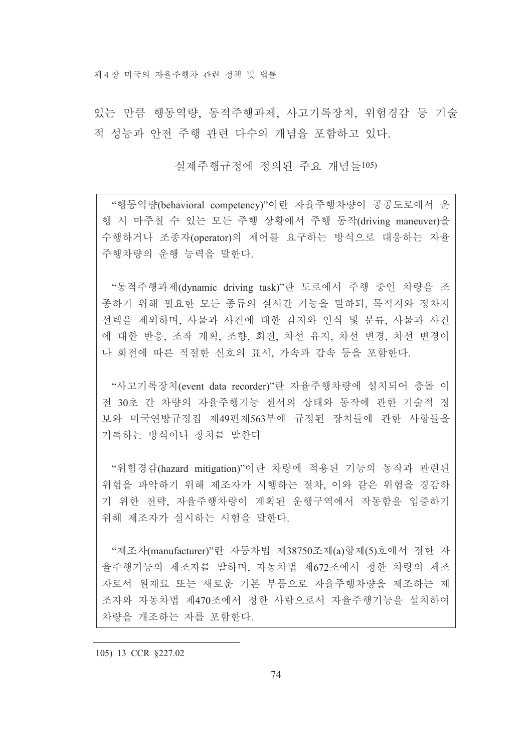제 4 장 미국의 자율주행차 관련 정책 및 법률

있는 만큼 행동역량, 동적주행과제, 사고기록장치, 위험경감 등 기술 적 성능과 안전 주행 관련 다수의 개념을 포함하고 있다.

실제주행규정에 정의된 주요 개념들105)

"행동역량(behavioral competency)"이란 자율주행차량이 공공도로에서 운 행 시 마주칠 수 있는 모든 주행 상황에서 주행 동작(driving maneuver)을 수행하거나 조종자(operator)의 제어를 요구하는 방식으로 대응하는 자율 주행차량의 우행 능력을 말하다

"동적주행과제(dynamic driving task)"란 도로에서 주행 중인 차량을 조 종하기 위해 필요한 모든 종류의 실시간 기능을 말하되. 목적지와 정차지 선택을 제외하며, 사물과 사건에 대한 감지와 인식 및 분류, 사물과 사건 에 대한 반응, 조작 계획, 조향, 회전, 차선 유지, 차선 변경, 차선 변경이 나 회전에 따른 적절한 신호의 표시, 가속과 감속 등을 포함한다.

"사고기록장치(event data recorder)"란 자율주행차량에 설치되어 충돌 이 전 30초 간 차량의 자율주행기능 센서의 상태와 동작에 관한 기술적 정 보와 미국연방규정집 제49편제563부에 규정된 장치들에 관한 사항들을 기록하는 방식이나 장치를 말한다

"위험경감(hazard mitigation)"이란 차량에 적용된 기능의 동작과 관련된 위험을 파악하기 위해 제조자가 시행하는 절차, 이와 같은 위험을 경감하 기 위한 전략, 자율주행차량이 계획된 운행구역에서 작동함을 입증하기 위해 제조자가 실시하는 시험을 말한다.

"제조자(manufacturer)"란 자동차법 제38750조제(a)항제(5)호에서 정한 자 율주행기능의 제조자를 말하며, 자동차법 제672조에서 정한 차량의 제조 자로서 원재료 또는 새로운 기본 부품으로 자율주행차량을 제조하는 제 조자와 자동차법 제470조에서 정한 사람으로서 자율주행기능을 설치하여 차량을 개조하는 자를 포함한다.

105) 13 CCR §227.02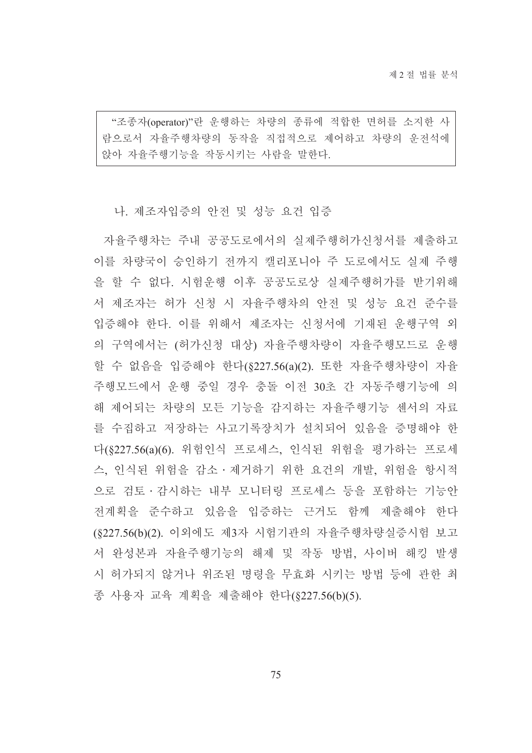"조종자(operator)"란 운행하는 차량의 종류에 적합한 면허를 소지한 사 람으로서 자율주행차량의 동작을 직접적으로 제어하고 차량의 운전석에 앉아 자율주행기능을 작동시키는 사람을 말한다.

## 나. 제조자입증의 안전 및 성능 요건 입증

자율주행차는 주내 공공도로에서의 실제주행허가신청서를 제출하고 이를 차량국이 승인하기 전까지 캘리포니아 주 도로에서도 실제 주행 을 할 수 없다. 시험운행 이후 공공도로상 실제주행허가를 받기위해 서 제조자는 허가 신청 시 자율주행차의 안전 및 성능 요건 준수를 입증해야 한다. 이를 위해서 제조자는 신청서에 기재된 운행구역 외 의 구역에서는 (허가신청 대상) 자율주행차량이 자율주행모드로 운행 할 수 없음을 입증해야 한다(§227.56(a)(2). 또한 자율주행차량이 자율 주행모드에서 운행 중일 경우 충돌 이전 30초 간 자동주행기능에 의 해 제어되는 차량의 모든 기능을 감지하는 자율주행기능 센서의 자료 를 수집하고 저장하는 사고기록장치가 설치되어 있음을 증명해야 한 다(§227.56(a)(6). 위험인식 프로세스, 인식된 위험을 평가하는 프로세 스, 인식된 위험을 감소 · 제거하기 위한 요건의 개발, 위험을 항시적 으로 검토 · 감시하는 내부 모니터링 프로세스 등을 포함하는 기능안 전계획을 준수하고 있음을 입증하는 근거도 함께 제출해야 한다 (§227.56(b)(2). 이외에도 제3자 시험기관의 자율주행차량실증시험 보고 서 완성본과 자율주행기능의 해제 및 작동 방법, 사이버 해킹 발생 시 허가되지 않거나 위조된 명령을 무효화 시키는 방법 등에 관한 최 종 사용자 교육 계획을 제출해야 한다(§227.56(b)(5).

75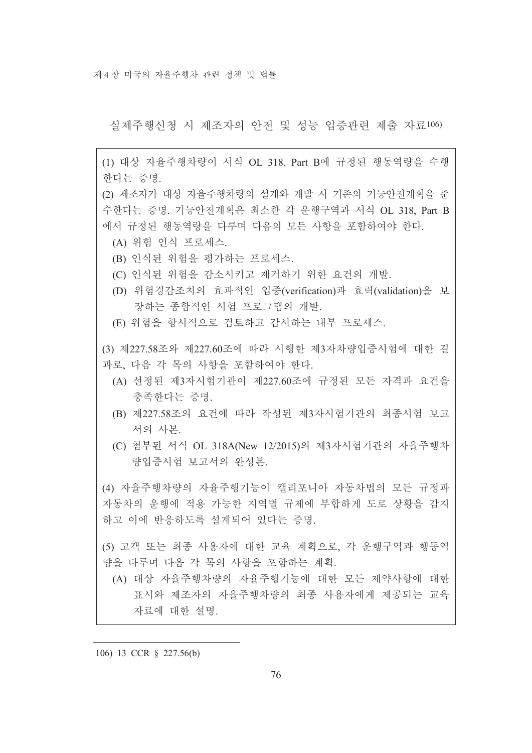제 4 장 미국의 자율주행차 관련 정책 및 법률

실제주행신청 시 제조자의 안전 및 성능 입증관련 제출 자료106)

(1) 대상 자율주행차량이 서식 OL 318 Part B에 규정된 행동역량을 수행 한다는 증명.

(2) 제조자가 대상 자율주행차량의 설계와 개발 시 기존의 기능안전계획을 준 수한다는 증명. 기능안전계획은 최소한 각 운행구역과 서식 OL 318, Part B 에서 규정된 행동역량을 다루며 다음의 모든 사항을 포함하여야 한다.

- (A) 위험 인식 프로세스.
- (B) 인식된 위험을 평가하는 프로세스.
- (C) 인식된 위험을 감소시키고 제거하기 위한 요건의 개발.
- (D) 위험경감조치의 효과적인 입증(verification)과 효력(validation)을 보 장하는 종합적인 시험 프로그램의 개발.
- (E) 위험을 항시적으로 검토하고 감시하는 내부 프로세스.

(3) 제227.58조와 제227.60조에 따라 시행한 제3자차량입증시험에 대한 결 과로, 다음 각 목의 사항을 포함하여야 한다.

- (A) 선정된 제3자시험기관이 제227.60조에 규정된 모든 자격과 요건을 충족하다는 증명.
- (B) 제227.58조의 요건에 따라 작성된 제3자시험기관의 최종시험 보고 서의 사본.
- (C) 첨부된 서식 OL 318A(New 12/2015)의 제3자시험기관의 자율주행차 량입증시험 보고서의 완성본.

(4) 자율주행차량의 자율주행기능이 캘리포니아 자동차법의 모든 규정과 자동차의 운행에 적용 가능한 지역별 규제에 부합하게 도로 상황을 감지 하고 이에 반응하도록 설계되어 있다는 증명.

(5) 고객 또는 최종 사용자에 대한 교육 계획으로, 각 운행구역과 행동역 량을 다루며 다음 각 목의 사항을 포함하는 계획.

(A) 대상 자율주행차량의 자율주행기능에 대한 모든 제약사항에 대한 표시와 제조자의 자율주행차량의 최종 사용자에게 제공되는 교육 자료에 대한 설명.

106) 13 CCR § 227.56(b)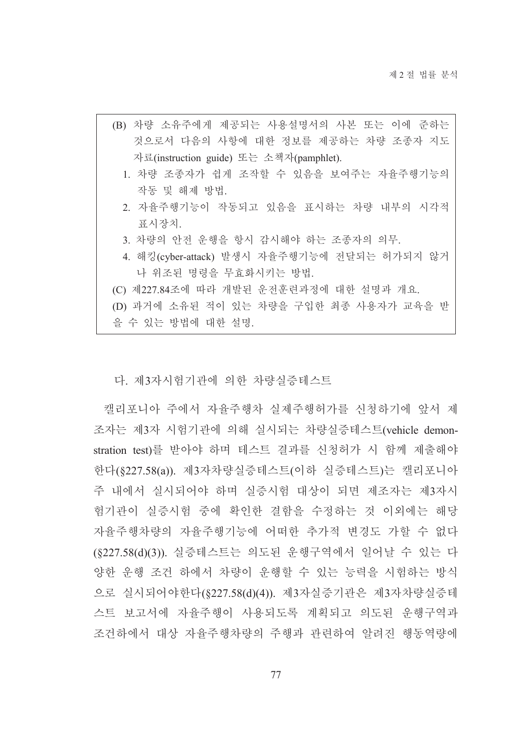- (B) 차량 소유주에게 제공되는 사용설명서의 사본 또는 이에 준하는 것으로서 다음의 사항에 대한 정보를 제공하는 차량 조종자 지도 자료(instruction guide) 또는 소책자(pamphlet).
	- 1. 차량 조종자가 쉽게 조작할 수 있음을 보여주는 자율주행기능의 작동 및 해제 방법.
	- 2. 자율주행기능이 작동되고 있음을 표시하는 차량 내부의 시각적 표시장치.
	- 3. 차량의 안전 운행을 항시 감시해야 하는 조종자의 의무.
	- 4. 해킹(cyber-attack) 발생시 자율주행기능에 전달되는 허가되지 않거 나 위조된 명령을 무효화시키는 방법.
- (C) 제227.84조에 따라 개발된 운전훈련과정에 대한 설명과 개요.
- (D) 과거에 소유된 적이 있는 차량을 구입한 최종 사용자가 교육을 받

을 수 있는 방법에 대한 설명.

다. 제3자시험기관에 의한 차량실증테스트

캘리포니아 주에서 자율주행차 실제주행허가를 신청하기에 앞서 제 조자는 제3자 시험기관에 의해 실시되는 차량실증테스트(vehicle demonstration test)를 받아야 하며 테스트 결과를 신청허가 시 함께 제출해야 한다(§227.58(a)). 제3자차량실증테스트(이하 실증테스트)는 캘리포니아 주 내에서 실시되어야 하며 실증시험 대상이 되면 제조자는 제3자시 험기관이 실증시험 중에 확인한 결함을 수정하는 것 이외에는 해당 자율주행차량의 자율주행기능에 어떠한 추가적 변경도 가할 수 없다 (§227.58(d)(3)). 실증테스트는 의도된 운행구역에서 일어날 수 있는 다 양한 운행 조건 하에서 차량이 운행할 수 있는 능력을 시험하는 방식 으로 실시되어야한다(§227.58(d)(4)). 제3자실증기관은 제3자차량실증테 스트 보고서에 자율주행이 사용되도록 계획되고 의도된 운행구역과 조건하에서 대상 자율주행차량의 주행과 관련하여 알려진 행동역량에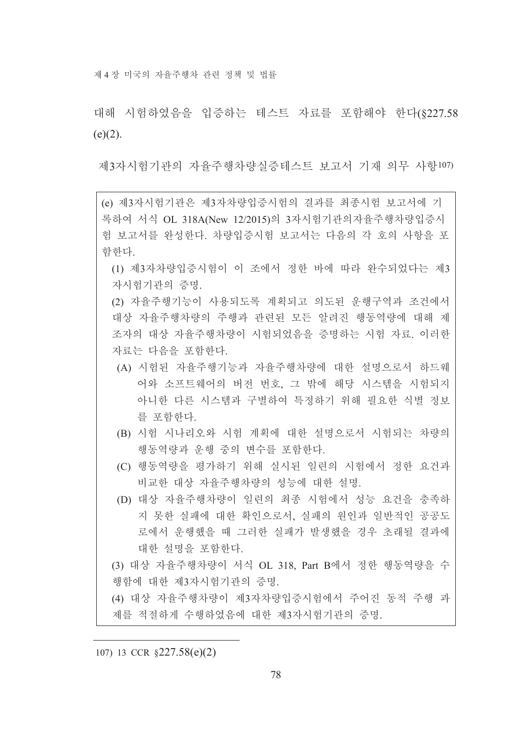제 4 장 미국의 자율주행차 관련 정책 및 법률

대해 시험하였음을 입증하는 테스트 자료를 포함해야 한다(8227.58  $(e)(2)$ .

제3자시험기관의 자율주행차량실증테스트 보고서 기재 의무 사항107)

- (e) 제3자시험기관은 제3자차량입증시험의 결과를 최종시험 보고서에 기 록하여 서식 OL 318A(New 12/2015)의 3자시험기관의자율주행차량입증시 험 보고서를 완성한다. 차량입증시험 보고서는 다음의 각 호의 사항을 포 함하다.
	- (1) 제3자차량입증시험이 이 조에서 정한 바에 따라 완수되었다는 제3 자시험기관의 증명.

(2) 자율주행기능이 사용되도록 계획되고 의도된 운행구역과 조건에서 대상 자율주행차량의 주행과 관련된 모든 알려진 행동역량에 대해 제 조자의 대상 자율주행차량이 시험되었음을 증명하는 시험 자료, 이러한 자료는 다음을 포함하다.

- (A) 시험된 자율주행기능과 자율주행차량에 대한 설명으로서 하드웨 어와 소프트웨어의 버전 번호, 그 밖에 해당 시스템을 시험되지 아니한 다른 시스템과 구별하여 특정하기 위해 필요한 식별 정보 를 포함하다
- (B) 시험 시나리오와 시험 계획에 대한 설명으로서 시험되는 차량의 행동역량과 운행 중의 변수를 포함한다.
- (C) 행동역량을 평가하기 위해 실시된 일련의 시험에서 정한 요건과 비교한 대상 자율주행차량의 성능에 대한 설명.
- (D) 대상 자율주행차량이 일련의 최종 시험에서 성능 요건을 충족하 지 못한 실패에 대한 확인으로서, 실패의 원인과 일반적인 공공도 로에서 우행했을 때 그러한 실패가 발생했을 경우 초래될 결과에 대한 설명을 포함한다.
- (3) 대상 자율주행차량이 서식 OL 318, Part B에서 정한 행동역량을 수 행함에 대한 제3자시험기관의 증명.

(4) 대상 자율주행차량이 제3자차량입증시험에서 주어진 동적 주행 과 제를 적절하게 수행하였음에 대한 제3자시험기관의 증명.

107) 13 CCR §227.58(e)(2)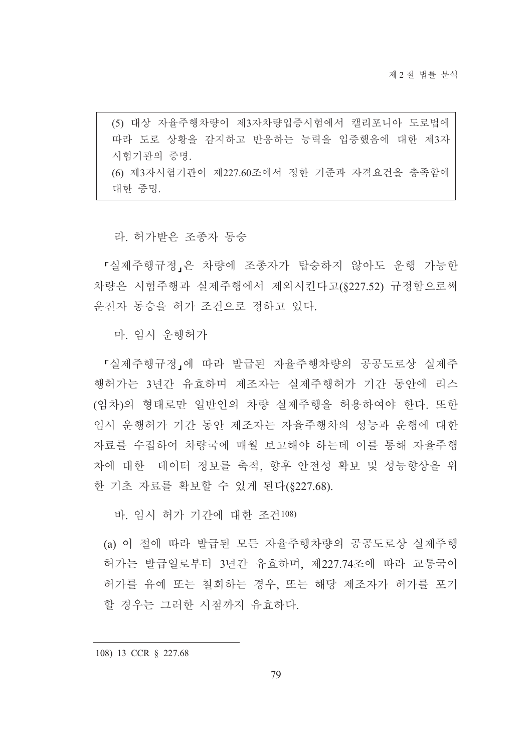(5) 대상 자율주행차량이 제3자차량입증시험에서 캘리포니아 도로법에 따라 도로 상황을 감지하고 반응하는 능력을 입증했음에 대한 제3자 시험기관의 증명. (6) 제3자시험기관이 제227.60조에서 정한 기준과 자격요건을 충족함에 대한 증명.

라. 허가받은 조종자 동승

『실제주행규정』은 차량에 조종자가 탑승하지 않아도 운행 가능한 차량은 시험주행과 실제주행에서 제외시킨다고(§227.52) 규정함으로써 우전자 동승을 허가 조건으로 정하고 있다.

마. 임시 운행허가

「실제주행규정」에 따라 발급된 자율주행차량의 공공도로상 실제주 행허가는 3년간 유효하며 제조자는 실제주행허가 기간 동안에 리스 (임차)의 형태로만 일반인의 차량 실제주행을 허용하여야 한다. 또한 임시 운행허가 기간 동안 제조자는 자율주행차의 성능과 운행에 대한 자료를 수집하여 차량국에 매월 보고해야 하는데 이를 통해 자율주행 차에 대한 데이터 정보를 축적. 향후 안전성 확보 및 성능향상을 위 한 기초 자료를 확보할 수 있게 된다(8227.68).

바 임시 허가 기간에 대한 조건108)

(a) 이 절에 따라 발급된 모든 자율주행차량의 공공도로상 실제주행 허가는 발급일로부터 3년간 유효하며 제227.74조에 따라 교통국이 허가를 유예 또는 철회하는 경우, 또는 해당 제조자가 허가를 포기 할 경우는 그러한 시점까지 유효하다.

108) 13 CCR § 227.68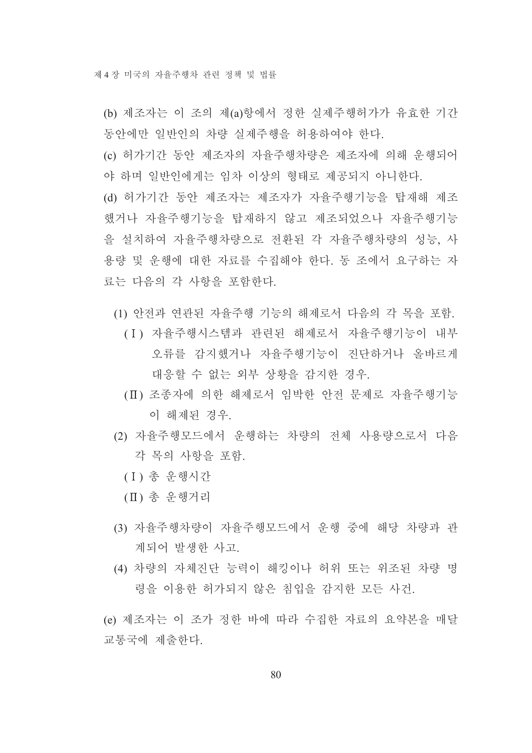(b) 제조자는 이 조의 제(a)항에서 정한 실제주행허가가 유효한 기간 동안에만 일반인의 차량 실제주행을 허용하여야 하다.

(c) 허가기간 동안 제조자의 자율주행차량은 제조자에 의해 우행되어 야 하며 일반인에게는 임차 이상의 형태로 제공되지 아니한다.

(d) 허가기간 동안 제조자는 제조자가 자율주행기능을 탑재해 제조 했거나 자율주행기능을 탑재하지 않고 제조되었으나 자율주행기능 을 설치하여 자율주행차량으로 전화된 각 자율주행차량의 성능. 사 용량 및 우행에 대한 자료를 수집해야 한다. 동 조에서 요구하는 자 료는 다음의 각 사항을 포함한다.

- (1) 안전과 연관된 자율주행 기능의 해제로서 다음의 각 목을 포함.
	- (I) 자율주행시스템과 관련된 해제로서 자율주행기능이 내부 오류를 감지했거나 자율주행기능이 진단하거나 올바르게 대응할 수 없는 외부 상황을 감지한 경우.
	- (II) 조종자에 의한 해제로서 임박한 안전 문제로 자율주행기능 이 해제된 경우.
- (2) 자율주행모드에서 우행하는 차량의 전체 사용량으로서 다음 각 목의 사항을 포함
	- (I) 총 운행시간
	- (II) 총 운행거리
- (3) 자율주행차량이 자율주행모드에서 운행 중에 해당 차량과 관 계되어 발생한 사고.
- (4) 차량의 자체진단 능력이 해킹이나 허위 또는 위조된 차량 명 령을 이용한 허가되지 않은 침입을 감지한 모든 사건.

(e) 제조자는 이 조가 정한 바에 따라 수집한 자료의 요약본을 매달 교통국에 제출한다.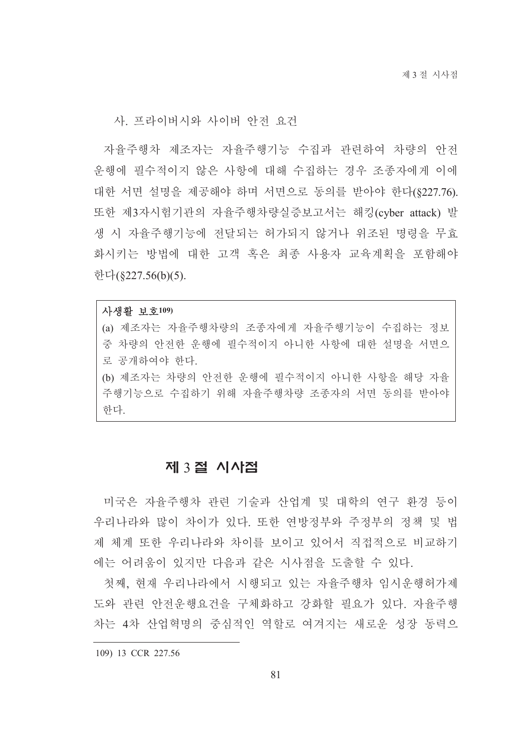사. 프라이버시와 사이버 안전 요건

자율주행차 제조자는 자율주행기능 수집과 관련하여 차량의 안전 운행에 필수적이지 않은 사항에 대해 수집하는 경우 조종자에게 이에 대한 서면 설명을 제공해야 하며 서면으로 동의를 받아야 한다(\$227.76). 또한 제3자시험기관의 자율주행차량실증보고서는 해킹(cyber attack) 발 생 시 자율주행기능에 전달되는 허가되지 않거나 위조된 명령을 무효 화시키는 방법에 대한 고객 혹은 최종 사용자 교육계획을 포함해야 한다(§227.56(b)(5).

#### 사생활 보호109)

(a) 제조자는 자율주행차량의 조종자에게 자율주행기능이 수집하는 정보 중 차량의 안전한 운행에 필수적이지 아니한 사항에 대한 설명을 서면으 로 공개하여야 한다. (b) 제조자는 차량의 안전한 운행에 필수적이지 아니한 사항을 해당 자율

주행기능으로 수집하기 위해 자율주행차량 조종자의 서면 동의를 받아야 한다.

# 제 3절 시사점

미국은 자율주행차 관련 기술과 산업계 및 대학의 연구 환경 등이 우리나라와 많이 차이가 있다. 또한 연방정부와 주정부의 정책 및 법 제 체계 또한 우리나라와 차이를 보이고 있어서 직접적으로 비교하기 에는 어려움이 있지만 다음과 같은 시사점을 도출할 수 있다.

첫째. 현재 우리나라에서 시행되고 있는 자율주행차 임시우행허가제 도와 관련 안전운행요건을 구체화하고 강화할 필요가 있다. 자율주행 차는 4차 산업혁명의 중심적인 역할로 여겨지는 새로운 성장 동력으

109) 13 CCR 227.56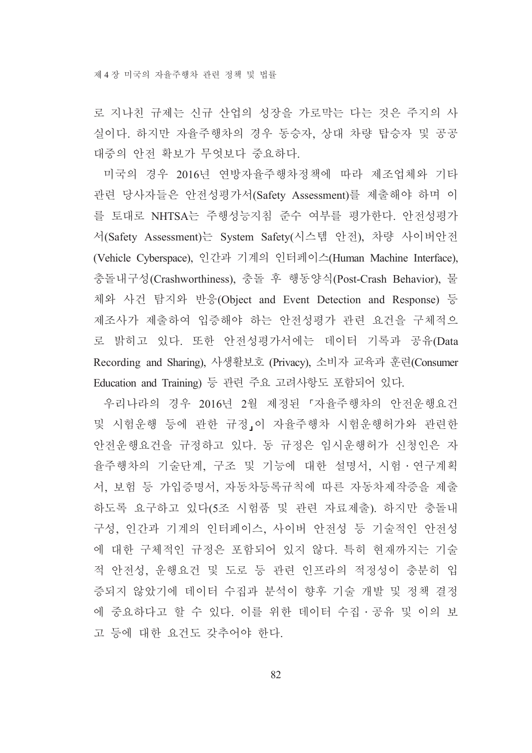로 지나친 규제는 신규 산업의 성장을 가로막는 다는 것은 주지의 사 실이다. 하지만 자율주행차의 경우 동승자, 상대 차량 탑승자 및 공공 대중의 안전 확보가 무엇보다 중요하다.

미국의 경우 2016년 연방자율주행차정책에 따라 제조업체와 기타 관련 당사자들은 안전성평가서(Safety Assessment)를 제출해야 하며 이 를 토대로 NHTSA는 주행성능지침 준수 여부를 평가한다. 안전성평가 서(Safety Assessment)는 System Safety(시스템 안전), 차량 사이버안전 (Vehicle Cyberspace), 인간과 기계의 인터페이스(Human Machine Interface), 충돌내구성(Crashworthiness), 충돌 후 행동양식(Post-Crash Behavior), 물 체와 사건 탐지와 반응(Object and Event Detection and Response) 등 제조사가 제출하여 입증해야 하는 안전성평가 관련 요건을 구체적으 로 밝히고 있다. 또한 안전성평가서에는 데이터 기록과 공유(Data Recording and Sharing), 사생활보호 (Privacy), 소비자 교육과 훈련(Consumer Education and Training) 등 관련 주요 고려사항도 포함되어 있다.

우리나라의 경우 2016년 2월 제정된 『자율주행차의 안전운행요건 및 시험운행 등에 관한 규정」이 자율주행차 시험운행허가와 관련한 안전운행요건을 규정하고 있다. 동 규정은 임시운행허가 신청인은 자 율주행차의 기술단계, 구조 및 기능에 대한 설명서, 시험 · 연구계획 서, 보험 등 가입증명서, 자동차등록규칙에 따른 자동차제작증을 제출 하도록 요구하고 있다(5조 시험품 및 관련 자료제출). 하지만 충돌내 구성, 인간과 기계의 인터페이스, 사이버 안전성 등 기술적인 안전성 에 대한 구체적인 규정은 포함되어 있지 않다. 특히 현재까지는 기술 적 안전성, 운행요건 및 도로 등 관련 인프라의 적정성이 충분히 입 증되지 않았기에 데이터 수집과 분석이 향후 기술 개발 및 정책 결정 에 중요하다고 할 수 있다. 이를 위한 데이터 수집 · 공유 및 이의 보 고 등에 대한 요건도 갖추어야 한다.

82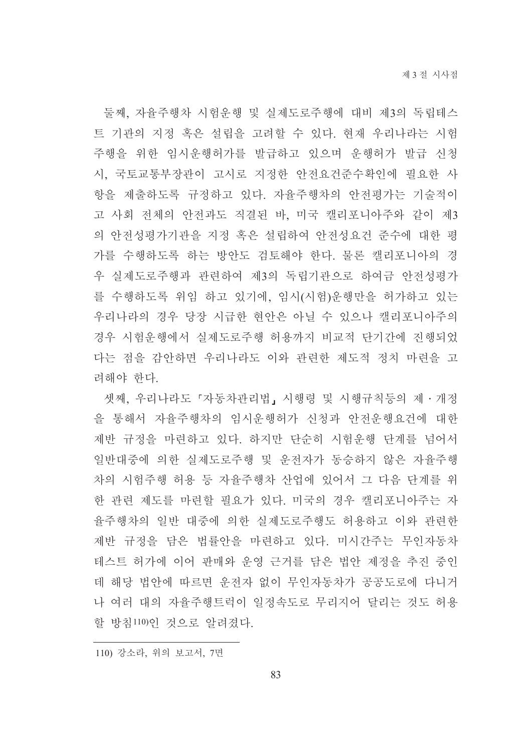둘째, 자율주행차 시험운행 및 실제도로주행에 대비 제3의 독립테스 트 기관의 지정 혹은 설립을 고려할 수 있다. 현재 우리나라는 시험 주행을 위한 임시운행허가를 발급하고 있으며 운행허가 발급 신청 시, 국토교통부장관이 고시로 지정한 안전요건준수확인에 필요한 사 항을 제출하도록 규정하고 있다. 자율주행차의 안전평가는 기술적이 고 사회 전체의 안전과도 직결된 바, 미국 캘리포니아주와 같이 제3 의 안전성평가기관을 지정 혹은 설립하여 안전성요건 준수에 대한 평 가를 수행하도록 하는 방안도 검토해야 한다. 물론 캘리포니아의 경 우 실제도로주행과 관련하여 제3의 독립기관으로 하여금 안전성평가 를 수행하도록 위임 하고 있기에, 임시(시험)운행만을 허가하고 있는 우리나라의 경우 당장 시급한 현안은 아닐 수 있으나 캘리포니아주의 경우 시험우행에서 실제도로주행 허용까지 비교적 단기간에 진행되었 다는 점을 감아하면 우리나라도 이와 관련한 제도적 정치 마련을 고 려해야 한다.

셋째, 우리나라도 『자동차관리법』 시행령 및 시행규칙등의 제 • 개정 을 통해서 자율주행차의 임시운행허가 신청과 안전운행요건에 대한 제반 규정을 마련하고 있다. 하지만 단순히 시험운행 단계를 넘어서 일반대중에 의한 실제도로주행 및 운전자가 동승하지 않은 자율주행 차의 시험주행 허용 등 자율주행차 산업에 있어서 그 다음 단계를 위 한 관련 제도를 마련할 필요가 있다. 미국의 경우 캘리포니아주는 자 율주행차의 일반 대중에 의한 실제도로주행도 허용하고 이와 관련한 제반 규정을 담은 법률안을 마련하고 있다. 미시간주는 무인자동차 테스트 허가에 이어 판매와 운영 근거를 담은 법안 제정을 추진 중인 데 해당 법안에 따르면 운전자 없이 무인자동차가 공공도로에 다니거 나 여러 대의 자율주행트럭이 일정속도로 무리지어 달리는 것도 허용 할 방침110)이 것으로 알려졌다.

110) 강소라, 위의 보고서, 7면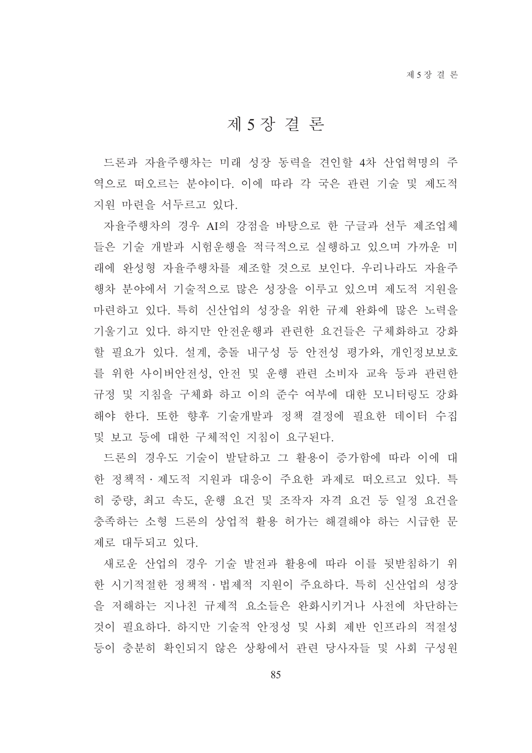# 제 5 장 결 론

드론과 자율주행차는 미래 성장 동력을 견인할 4차 산업혁명의 주 역으로 떠오르는 분야이다. 이에 따라 각 국은 관련 기술 및 제도적 지원 마련을 서두르고 있다.

자율주행차의 경우 AI의 강점을 바탕으로 한 구글과 선두 제조업체 들은 기술 개발과 시험운행을 적극적으로 실행하고 있으며 가까운 미 래에 와성형 자율주행차를 제조할 것으로 보인다. 우리나라도 자율주 행차 분야에서 기술적으로 많은 성장을 이루고 있으며 제도적 지워을 마련하고 있다. 특히 신산업의 성장을 위한 규제 완화에 많은 노력을 기울기고 있다. 하지만 안전운행과 관련한 요건들은 구체화하고 강화 할 필요가 있다. 설계, 충돌 내구성 등 안전성 평가와, 개인정보보호 를 위한 사이버안전성, 안전 및 운행 관련 소비자 교육 등과 관련한 규정 및 지침을 구체화 하고 이의 준수 여부에 대한 모니터링도 강화 해야 한다. 또한 향후 기술개발과 정책 결정에 필요한 데이터 수집 및 보고 등에 대한 구체적인 지침이 요구된다.

드론의 경우도 기술이 발달하고 그 활용이 증가함에 따라 이에 대 한 정책적 · 제도적 지원과 대응이 주요한 과제로 떠오르고 있다. 특 히 중량, 최고 속도, 운행 요건 및 조작자 자격 요건 등 일정 요건을 충족하는 소형 드론의 상업적 활용 허가는 해결해야 하는 시급한 문 제로 대두되고 있다.

새로운 산업의 경우 기술 발전과 활용에 따라 이를 뒷받침하기 위 한 시기적절한 정책적 · 법제적 지워이 주요하다. 특히 신산업의 성장 을 저해하는 지나친 규제적 요소들은 완화시키거나 사전에 차단하는 것이 필요하다. 하지만 기술적 안정성 및 사회 제반 인프라의 적절성 등이 충분히 확인되지 않은 상황에서 관련 당사자들 및 사회 구성원

85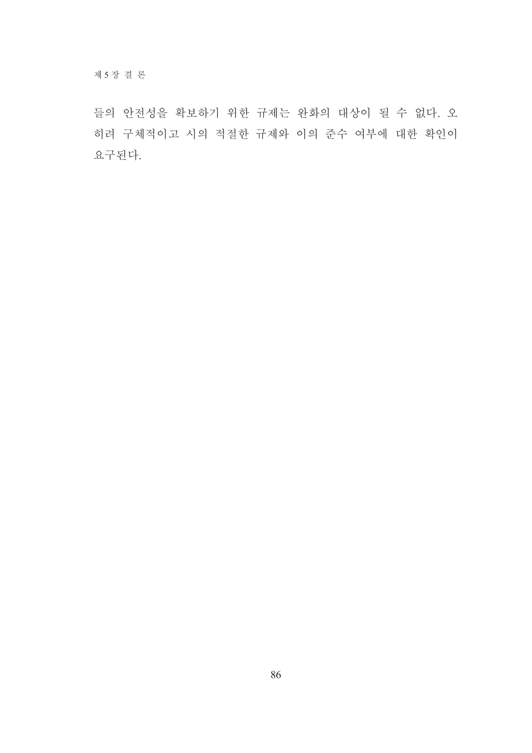들의 안전성을 확보하기 위한 규제는 완화의 대상이 될 수 없다. 오 히려 구체적이고 시의 적절한 규제와 이의 준수 여부에 대한 확인이 요구된다.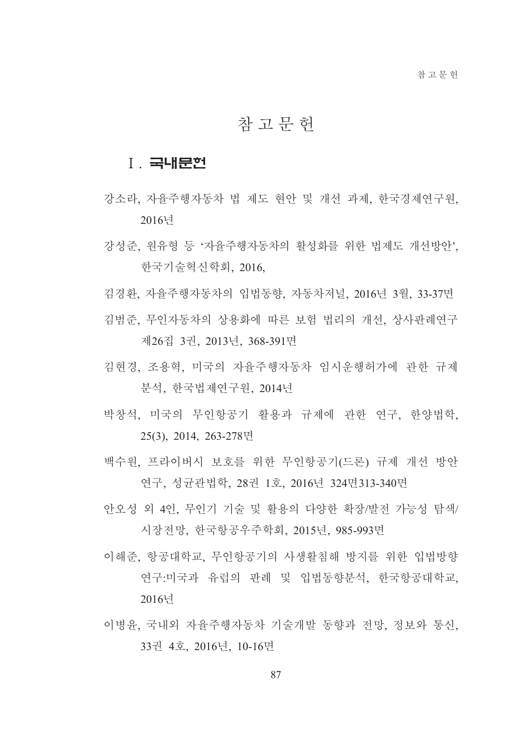# 참 고 문 헌

## **I. 국내문헌**

- 강소라. 자율주행자동차 법 제도 현안 및 개선 과제. 한국경제연구원. 2016년
- 강성준, 원유형 등 '자율주행자동차의 활성화를 위한 법제도 개선방안', 한국기술혁신학회, 2016,
- 김경환, 자율주행자동차의 입법동향, 자동차저널, 2016년 3월, 33-37면
- 김범준 무인자동차의 상용화에 따른 보험 법리의 개선 상사판례여구 제26집 3권, 2013년, 368-391면
- 김현경 조용혁 미국의 자율주행자동차 임시우행허가에 과한 규제 분석 한국법제여구워 2014년
- 박창석, 미국의 무인항공기 활용과 규제에 관한 연구, 한양법학, 25(3), 2014, 263-278면
- 백수원, 프라이버시 보호를 위한 무인항공기(드론) 규제 개선 방안 연구, 성균관법학, 28권 1호, 2016년 324면313-340면
- 안오성 외 4인, 무인기 기술 및 활용의 다양한 확장/발전 가능성 탐색/ 시장전망, 한국항공우주학회, 2015년, 985-993면
- 이해준. 항공대학교. 무인항공기의 사생활침해 방지를 위한 입법방향 연구:미국과 유럽의 판례 및 입법동향분석, 한국항공대학교, 2016년
- 이병윤, 국내외 자율주행자동차 기술개발 동향과 전망. 정보와 통신. 33권 4호, 2016년, 10-16면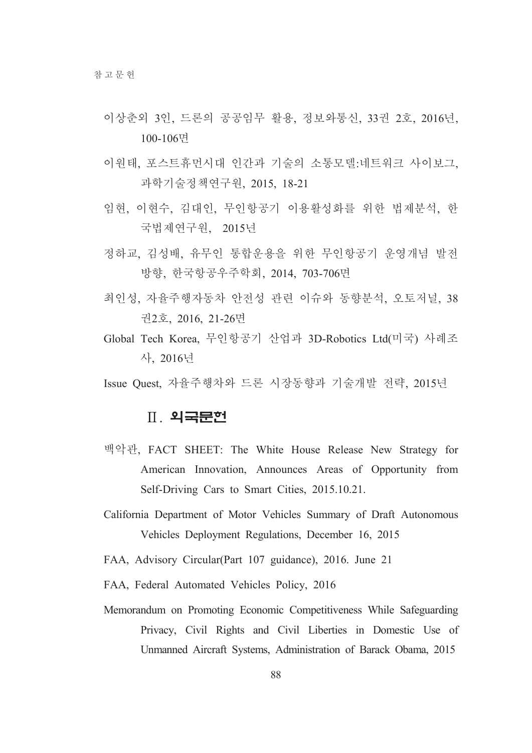- 이상춘외 3인, 드론의 공공임무 활용, 정보와통신, 33권 2호, 2016년, 100-106면
- 이원태, 포스트휴먼시대 인간과 기술의 소통모델:네트워크 사이보그, 과학기술정책연구워. 2015. 18-21
- 임현, 이현수, 김대인, 무인항공기 이용활성화를 위한 법제분석, 한 국법제연구원, 2015년
- 정하교, 김성배, 유무인 통합운용을 위한 무인항공기 운영개념 발전 방향, 한국항공우주학회, 2014, 703-706면
- 최인성, 자율주행자동차 안전성 관련 이슈와 동향분석, 오토저널, 38 권2호, 2016, 21-26면
- Global Tech Korea, 무인항공기 산업과 3D-Robotics Ltd(미국) 사례조 사. 2016년
- Issue Ouest, 자율주행차와 드론 시장동향과 기술개발 전략, 2015년

# Ⅱ 외국문헌

- 백악관, FACT SHEET: The White House Release New Strategy for American Innovation, Announces Areas of Opportunity from Self-Driving Cars to Smart Cities, 2015.10.21.
- California Department of Motor Vehicles Summary of Draft Autonomous Vehicles Deployment Regulations, December 16, 2015
- FAA, Advisory Circular(Part 107 guidance), 2016. June 21
- FAA, Federal Automated Vehicles Policy, 2016
- Memorandum on Promoting Economic Competitiveness While Safeguarding Privacy, Civil Rights and Civil Liberties in Domestic Use of Unmanned Aircraft Systems, Administration of Barack Obama, 2015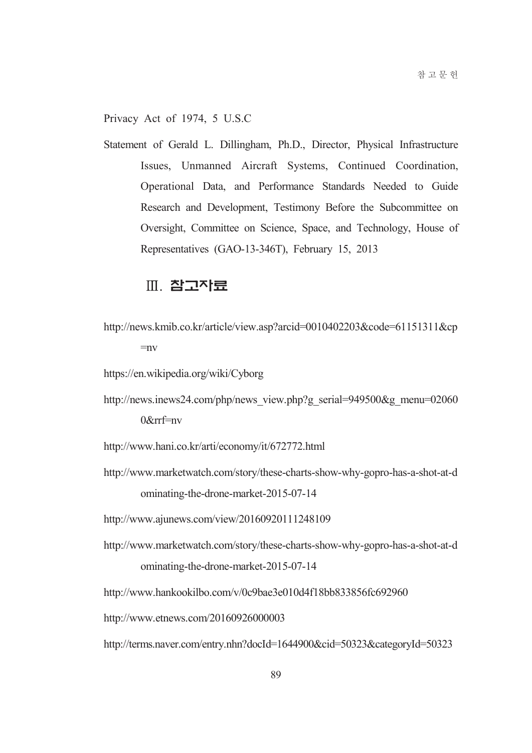Privacy Act of 1974, 5 U.S.C

Statement of Gerald L. Dillingham, Ph.D., Director, Physical Infrastructure Issues, Unmanned Aircraft Systems, Continued Coordination, Operational Data, and Performance Standards Needed to Guide Research and Development, Testimony Before the Subcommittee on Oversight, Committee on Science, Space, and Technology, House of Representatives (GAO-13-346T), February 15, 2013

# Ⅲ. 참고자료

http://news.kmib.co.kr/article/view.asp?arcid=0010402203&code=61151311&cp  $=$ nv

https://en.wikipedia.org/wiki/Cyborg

- http://news.inews24.com/php/news view.php?g serial=949500&g menu=02060  $0$ &rrf=nv
- http://www.hani.co.kr/arti/economy/it/672772.html
- http://www.marketwatch.com/story/these-charts-show-why-gopro-has-a-shot-at-d ominating-the-drone-market-2015-07-14
- http://www.ajunews.com/view/20160920111248109
- http://www.marketwatch.com/story/these-charts-show-why-gopro-has-a-shot-at-d ominating-the-drone-market-2015-07-14

http://www.hankookilbo.com/v/0c9bae3e010d4f18bb833856fc692960

http://www.etnews.com/20160926000003

http://terms.naver.com/entry.nhn?docId=1644900&cid=50323&categoryId=50323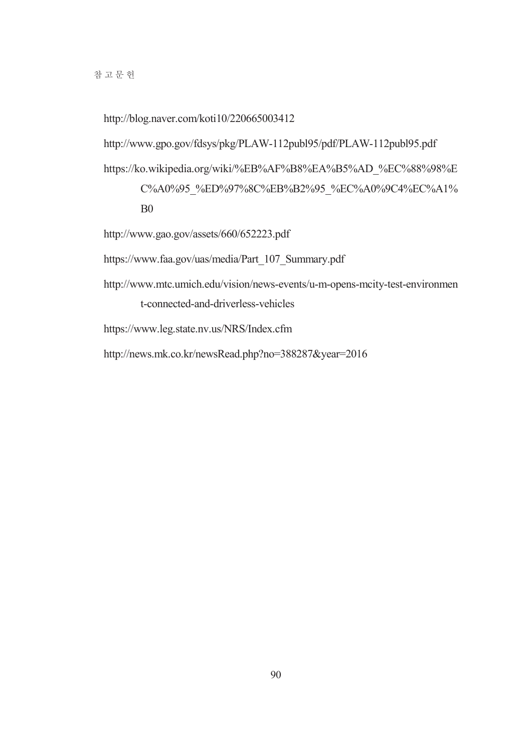http://blog.naver.com/koti10/220665003412

http://www.gpo.gov/fdsys/pkg/PLAW-112publ95/pdf/PLAW-112publ95.pdf

https://ko.wikipedia.org/wiki/%EB%AF%B8%EA%B5%AD %EC%88%98%E C%A0%95\_%ED%97%8C%EB%B2%95\_%EC%A0%9C4%EC%A1%  $B<sub>0</sub>$ 

http://www.gao.gov/assets/660/652223.pdf

https://www.faa.gov/uas/media/Part 107 Summary.pdf

http://www.mtc.umich.edu/vision/news-events/u-m-opens-mcity-test-environmen t-connected-and-driverless-vehicles

https://www.leg.state.nv.us/NRS/Index.cfm

http://news.mk.co.kr/newsRead.php?no=388287&year=2016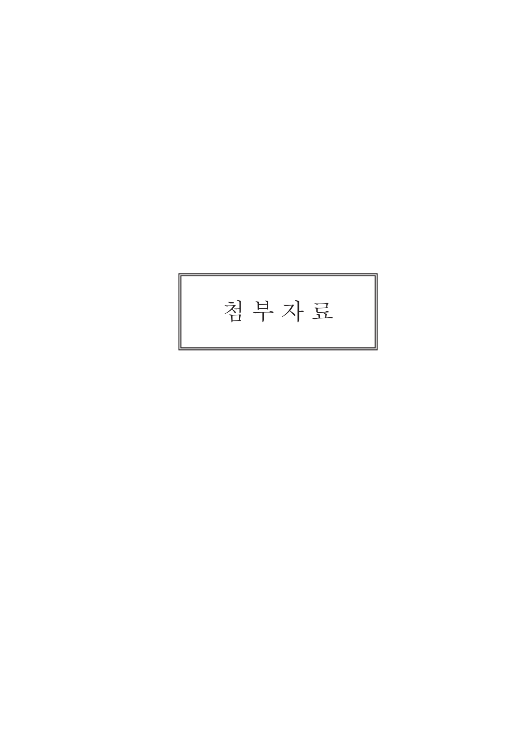# 첨부자료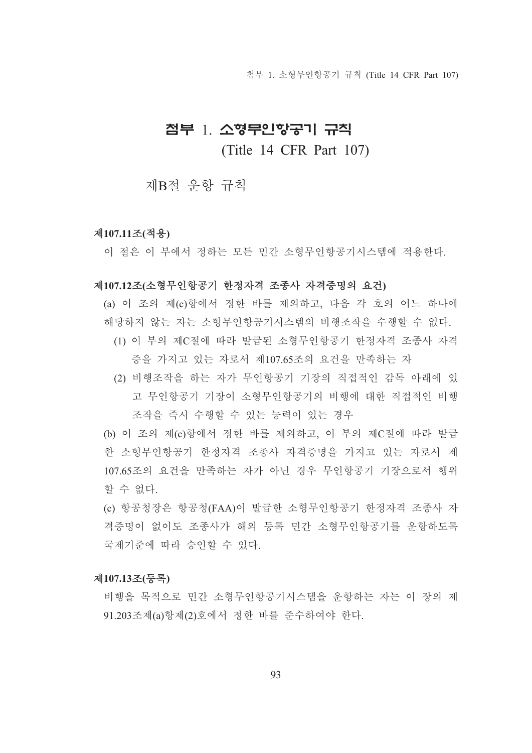첨부 1. 소형무인항공기 규칙 (Title 14 CFR Part 107)

# 첨부 1 소형무인항공기 규칙

(Title 14 CFR Part 107)

제B절 우항 규칙

#### 제107.11조(적용)

이 절은 이 부에서 정하는 모든 민간 소형무인항공기시스템에 적용한다.

#### 제107.12조(소형무인항공기 한정자격 조종사 자격증명의 요건)

(a) 이 조의 제(c)항에서 정한 바를 제외하고, 다음 각 호의 어느 하나에 해당하지 않는 자는 소형무인항공기시스템의 비행조작을 수행할 수 없다.

- (1) 이 부의 제C절에 따라 발급된 소형무인항공기 한정자격 조종사 자격 증을 가지고 있는 자로서 제107.65조의 요건을 만족하는 자
- (2) 비행조작을 하는 자가 무인항공기 기장의 직접적인 감독 아래에 있 고 무인항공기 기장이 소형무인항공기의 비행에 대한 직접적인 비행 조작을 즉시 수행할 수 있는 능력이 있는 경우

(b) 이 조의 제(c)항에서 정한 바를 제외하고, 이 부의 제C절에 따라 발급 한 소형무인항공기 한정자격 조종사 자격증명을 가지고 있는 자로서 제 107.65조의 요건을 만족하는 자가 아닌 경우 무인항공기 기장으로서 행위 할 수 없다.

(c) 항공청장은 항공청(FAA)이 발급한 소형무인항공기 한정자격 조종사 자 격증명이 없이도 조종사가 해외 등록 민간 소형무인항공기를 운항하도록 국제기주에 따라 승인할 수 있다.

#### 제107.13조(등록)

비행을 목적으로 민간 소형무인항공기시스템을 운항하는 자는 이 장의 제 91.203조제(a)항제(2)호에서 정한 바를 준수하여야 한다.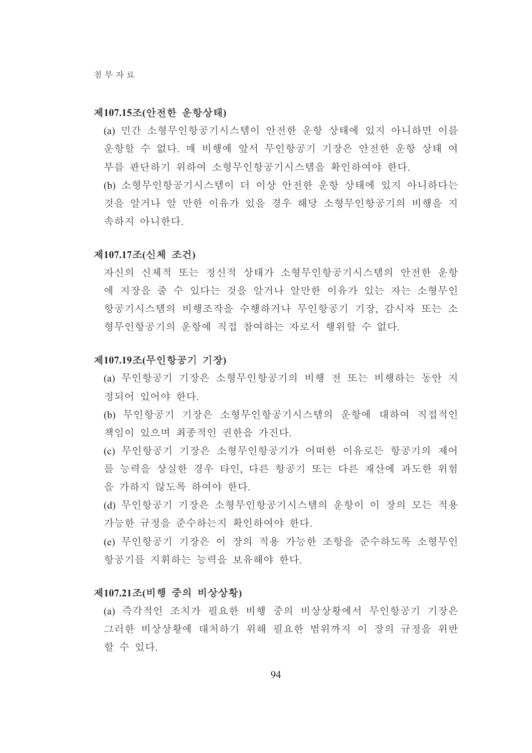#### 제107.15조(안전한 운항상태)

- (a) 민간 소형무인항공기시스템이 안전한 운항 상태에 있지 아니하면 이를 운항할 수 없다. 매 비행에 앞서 무인항공기 기장은 안전한 운항 상태 여 부를 판단하기 위하여 소형무인항공기시스템을 확인하여야 한다.
- (b) 소형무인항공기시스템이 더 이상 안전한 운항 상태에 있지 아니하다는 것을 알거나 알 만한 이유가 있을 경우 해당 소형무인항공기의 비행을 지 속하지 아니한다.

#### 제107.17조(신체 조건)

자신의 신체적 또는 정신적 상태가 소형무인항공기시스템의 안전한 운항 에 지장을 줄 수 있다는 것을 알거나 알만한 이유가 있는 자는 소형무인 항공기시스템의 비행조작을 수행하거나 무인항공기 기장, 감시자 또는 소 형무인항공기의 우항에 직접 참여하는 자로서 행위할 수 없다.

#### 제107.19조(무인항공기 기장)

- (a) 무인항공기 기장은 소형무인항공기의 비행 전 또는 비행하는 동안 지 정되어 있어야 한다.
- (b) 무인항공기 기장은 소형무인항공기시스템의 운항에 대하여 직접적인 책임이 있으며 최종적인 권한을 가진다.
- (c) 무인항공기 기장은 소형무인항공기가 어떠한 이유로든 항공기의 제어 를 능력을 상실한 경우 타인, 다른 항공기 또는 다른 재산에 과도한 위험 을 가하지 않도록 하여야 한다.
- (d) 무인항공기 기장은 소형무인항공기시스템의 운항이 이 장의 모든 적용 가능한 규정을 준수하는지 확인하여야 한다.
- (e) 무인항공기 기장은 이 장의 적용 가능한 조항을 준수하도록 소형무인 항공기를 지휘하는 능력을 보유해야 한다.

#### 제107.21조(비행 중의 비상상황)

(a) 즉각적인 조치가 필요한 비행 중의 비상상황에서 무인항공기 기장은 그러한 비상상황에 대처하기 위해 필요한 범위까지 이 장의 규정을 위반 할 수 있다.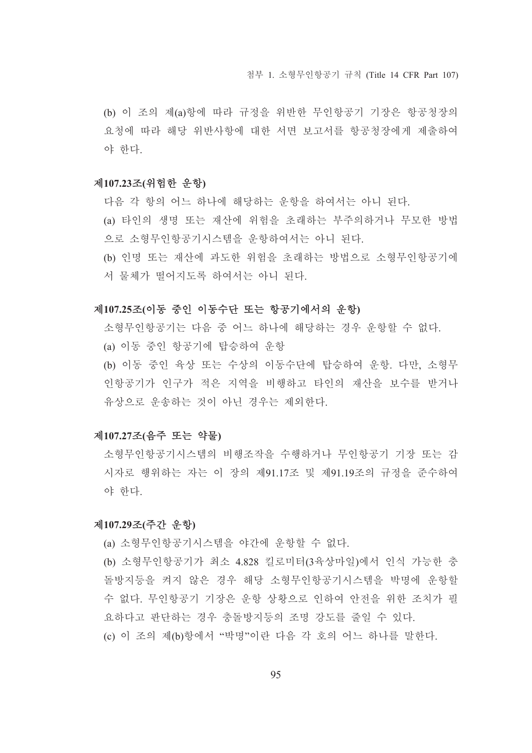(b) 이 조의 제(a)항에 따라 규정을 위반한 무인항공기 기장은 항공청장의 요청에 따라 해당 위반사항에 대한 서면 보고서를 항공청장에게 제출하여 야 한다.

#### 제107.23조(위험한 운항)

다음 각 항의 어느 하나에 해당하는 운항을 하여서는 아니 된다.

(a) 타인의 생명 또는 재산에 위험을 초래하는 부주의하거나 무모한 방법 으로 소형무인항공기시스템을 운항하여서는 아니 된다.

(b) 인명 또는 재산에 과도한 위험을 초래하는 방법으로 소형무인항공기에 서 물체가 떨어지도록 하여서는 아니 된다.

#### 제107.25조(이동 중인 이동수단 또는 항공기에서의 운항)

소형무인항공기는 다음 중 어느 하나에 해당하는 경우 운항할 수 없다. (a) 이동 중인 항공기에 탑승하여 운항

(b) 이동 중인 육상 또는 수상의 이동수단에 탑승하여 운항. 다만, 소형무 인항공기가 인구가 적은 지역을 비행하고 타인의 재산을 보수를 받거나 유상으로 운송하는 것이 아닌 경우는 제외한다.

#### 제107.27조(음주 또는 약물)

소형무인항공기시스템의 비행조작을 수행하거나 무인항공기 기장 또는 감 시자로 행위하는 자는 이 장의 제91.17조 및 제91.19조의 규정을 준수하여 야 한다.

#### 제107.29조(주간 운항)

(a) 소형무인항공기시스템을 야간에 우항할 수 없다.

- (b) 소형무인항공기가 최소 4.828 킬로미터(3육상마일)에서 인식 가능한 충 돌방지등을 켜지 않은 경우 해당 소형무인항공기시스템을 박명에 운항할 수 없다. 무인항공기 기장은 운항 상황으로 인하여 안전을 위한 조치가 필 요하다고 판단하는 경우 충돌방지등의 조명 강도를 줄일 수 있다.
- (c) 이 조의 제(b)항에서 "박명"이란 다음 각 호의 어느 하나를 말한다.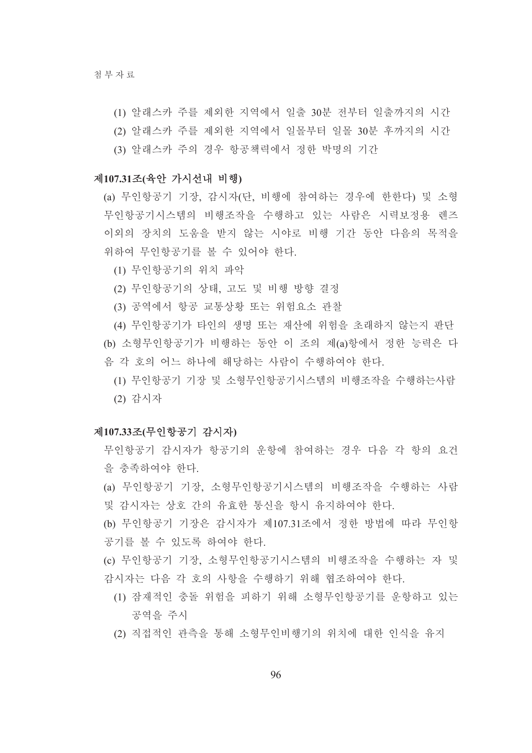- (1) 알래스카 주를 제외한 지역에서 일출 30분 전부터 일출까지의 시간
- (2) 알래스카 주를 제외한 지역에서 일몰부터 일몰 30분 후까지의 시간
- (3) 알래스카 주의 경우 항공책력에서 정한 박명의 기간

#### 제107.31조(육안 가시선내 비행)

- (a) 무인항공기 기장, 감시자(단, 비행에 참여하는 경우에 한한다) 및 소형 무인항공기시스템의 비행조작을 수행하고 있는 사람은 시력보정용 렌즈 이외의 장치의 도움을 받지 않는 시야로 비행 기간 동안 다음의 목적을 위하여 무인항공기를 볼 수 있어야 한다.
	- (1) 무인항공기의 위치 파악
	- (2) 무인항공기의 상태, 고도 및 비행 방향 결정
	- (3) 공역에서 항공 교통상황 또는 위험요소 관찰

(4) 무인항공기가 타인의 생명 또는 재산에 위험을 초래하지 않는지 판단 (b) 소형무인항공기가 비행하는 동안 이 조의 제(a)항에서 정한 능력은 다 음 각 호의 어느 하나에 해당하는 사람이 수행하여야 하다.

(1) 무인항공기 기장 및 소형무인항공기시스템의 비행조작을 수행하는사람 (2) 감시자

#### 제107.33조(무인항공기 감시자)

- 무인항공기 감시자가 항공기의 운항에 참여하는 경우 다음 각 항의 요건 을 충족하여야 한다.
- (a) 무인항공기 기장, 소형무인항공기시스템의 비행조작을 수행하는 사람 및 감시자는 상호 간의 유효한 통신을 항시 유지하여야 한다.
- (b) 무인항공기 기장은 감시자가 제107.31조에서 정한 방법에 따라 무인항 공기를 볼 수 있도록 하여야 한다.
- (c) 무인항공기 기장, 소형무인항공기시스템의 비행조작을 수행하는 자 및 감시자는 다음 각 호의 사항을 수행하기 위해 협조하여야 한다.
	- (1) 잠재적인 충돌 위험을 피하기 위해 소형무인항공기를 운항하고 있는 공역을 주시
	- (2) 직접적인 관측을 통해 소형무인비행기의 위치에 대한 인식을 유지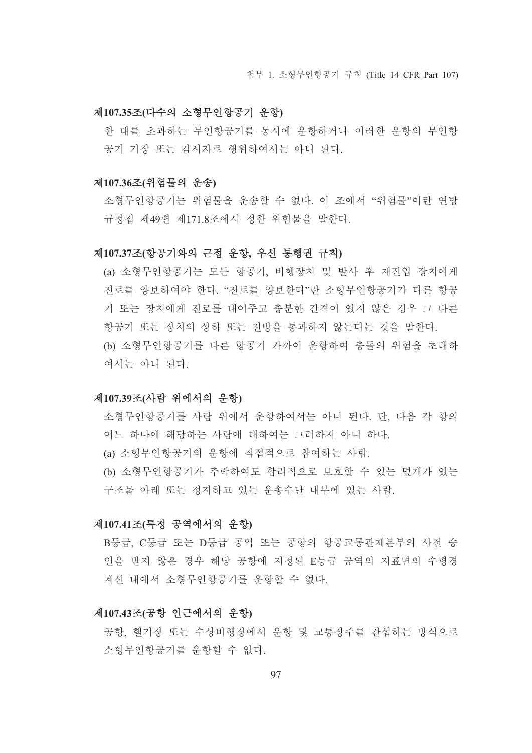#### 제107.35조(다수의 소형무인항공기 운항)

한 대를 초과하는 무인항공기를 동시에 운항하거나 이러한 운항의 무인항 공기 기장 또는 감시자로 행위하여서는 아니 된다.

#### 제107.36조(위험물의 우송)

소형무인항공기는 위험물을 우송할 수 없다. 이 조에서 "위험물"이란 여방 규정집 제49편 제171.8조에서 정한 위험물을 말한다.

#### 제107.37조(항공기와의 근접 운항, 우선 통행권 규칙)

(a) 소형무인항공기는 모든 항공기, 비행장치 및 발사 후 재진입 장치에게 진로를 양보하여야 한다. "진로를 양보한다"라 소형무인항공기가 다른 항공 기 또는 장치에게 지로를 내어주고 충분한 간격이 있지 않은 경우 그 다른 항공기 또는 장치의 상하 또는 전방을 통과하지 않는다는 것을 말한다. (b) 소형무인항공기를 다른 항공기 가까이 운항하여 충돌의 위험을 초래하 여서는 아니 되다.

#### 제107.39조(사람 위에서의 운항)

소형무인항공기를 사람 위에서 우항하여서는 아니 된다. 단. 다음 각 항의 어느 하나에 해당하는 사람에 대하여는 그러하지 아니 하다.

(a) 소형무인항공기의 운항에 직접적으로 참여하는 사람.

(b) 소형무인항공기가 추락하여도 합리적으로 보호할 수 있는 덮개가 있는 구조물 아래 또는 정지하고 있는 운송수단 내부에 있는 사람.

#### 제107.41조(특정 공역에서의 운항)

B등급, C등급 또는 D등급 공역 또는 공항의 항공교통관제본부의 사전 승 인을 받지 않은 경우 해당 공항에 지정된 E등급 공역의 지표면의 수평경 계선 내에서 소형무인항공기를 우항할 수 없다.

#### 제107.43조(공항 인근에서의 운항)

공항. 헬기장 또는 수상비행장에서 운항 및 교통장주를 간섭하는 방식으로 소형무이항공기를 운항할 수 없다.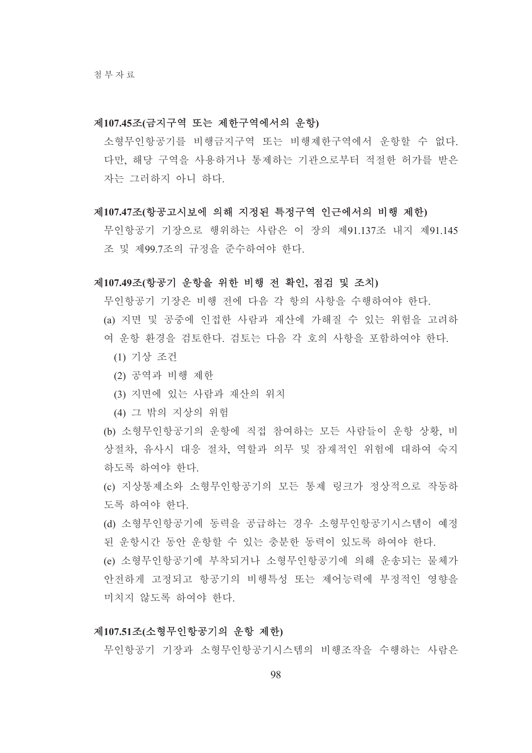#### 제107.45조(금지구역 또는 제한구역에서의 운항)

소형무인항공기를 비행금지구역 또는 비행제한구역에서 운항할 수 없다. 다만, 해당 구역을 사용하거나 통제하는 기관으로부터 적절한 허가를 받은 자는 그러하지 아니 하다.

#### 제107.47조(항공고시보에 의해 지정된 특정구역 인근에서의 비행 제한)

무인항공기 기장으로 행위하는 사람은 이 장의 제91.137조 내지 제91.145 조 및 제99.7조의 규정을 준수하여야 한다.

#### 제107.49조(항공기 운항을 위한 비행 전 확인, 점검 및 조치)

무인항공기 기장은 비행 전에 다음 각 항의 사항을 수행하여야 한다. (a) 지면 및 공중에 인접한 사람과 재산에 가해질 수 있는 위험을 고려하 여 우항 환경을 검토하다. 검토는 다음 각 호의 사항을 포함하여야 한다.

- (1) 기상 조건
- (2) 공역과 비행 제한
- (3) 지면에 있는 사람과 재산의 위치
- (4) 그 밖의 지상의 위험

(b) 소형무인항공기의 운항에 직접 참여하는 모든 사람들이 운항 상황, 비 상절차, 유사시 대응 절차, 역할과 의무 및 잠재적인 위험에 대하여 숙지 하도록 하여야 한다.

(c) 지상통제소와 소형무인항공기의 모든 통제 링크가 정상적으로 작동하 도록 하여야 한다.

(d) 소형무인항공기에 동력을 공급하는 경우 소형무인항공기시스템이 예정 된 운항시간 동안 운항할 수 있는 충분한 동력이 있도록 하여야 한다.

(e) 소형무인항공기에 부착되거나 소형무인항공기에 의해 운송되는 물체가 안전하게 고정되고 항공기의 비행특성 또는 제어능력에 부정적인 영향을 미치지 않도록 하여야 한다.

#### 제107.51조(소형무인항공기의 운항 제한)

무인항공기 기장과 소형무인항공기시스템의 비행조작을 수행하는 사람은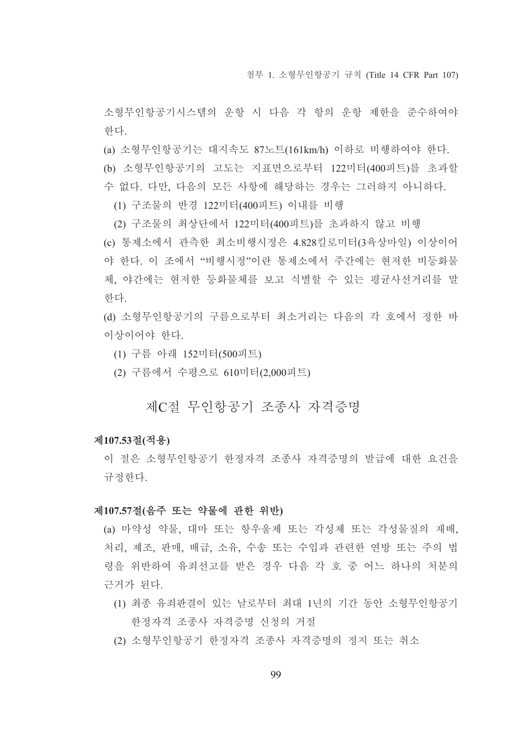첨부 1. 소형무인항공기 규칙 (Title 14 CFR Part 107)

소형무인항공기시스템의 운항 시 다음 각 항의 운항 제한을 준수하여야 하다.

(a) 소형무인항공기는 대지속도 87노트(161km/h) 이하로 비행하여야 한다.

(b) 소형무인항공기의 고도는 지표면으로부터 122미터(400피트)를 초과할 수 없다. 다만, 다음의 모든 사항에 해당하는 경우는 그러하지 아니하다.

(1) 구조물의 반경 122미터(400피트) 이내를 비행

(2) 구조물의 최상단에서 122미터(400피트)를 초과하지 않고 비행

(c) 통제소에서 관측한 최소비행시정은 4.828킬로미터(3육상마일) 이상이어 야 한다. 이 조에서 "비행시정"이란 통제소에서 주가에는 혀저한 비등화물 체 야간에는 현저한 등화물체를 보고 식별할 수 있는 평규사서거리를 말 하다.

(d) 소형무인항공기의 구름으로부터 최소거리는 다음의 각 호에서 정한 바 이상이어야 한다.

- (1) 구름 아래 152미터(500피트)
- (2) 구름에서 수평으로 610미터(2,000피트)

# 제C절 무인항공기 조종사 자격증명

#### 제107.53절(적용)

이 절은 소형무인항공기 한정자격 조종사 자격증명의 발급에 대한 요건을 규정하다.

#### 제107.57절(음주 또는 약물에 관한 위반)

(a) 마약성 약물. 대마 또는 항우울제 또는 각성제 또는 각성물질의 재배. 처리, 제조, 판매, 배급, 소유, 수송 또는 수입과 관련한 연방 또는 주의 법 령을 위반하여 유죄선고를 받은 경우 다음 각 호 중 어느 하나의 처분의 근거가 된다.

- (1) 최종 유죄판결이 있는 날로부터 최대 1년의 기간 동안 소형무인항공기 한정자격 조종사 자격증명 신청의 거절
- (2) 소형무인항공기 한정자격 조종사 자격증명의 정지 또는 취소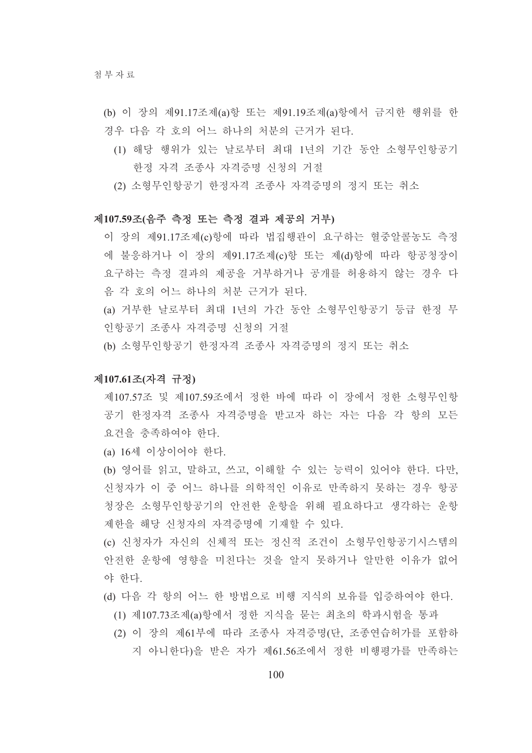- (b) 이 장의 제91.17조제(a)항 또는 제91.19조제(a)항에서 금지한 행위를 한 경우 다음 각 호의 어느 하나의 처분의 근거가 된다.
	- (1) 해당 행위가 있는 날로부터 최대 1년의 기간 동안 소형무인항공기 한정 자격 조종사 자격증명 신청의 거절
	- (2) 소형무인항공기 한정자격 조종사 자격증명의 정지 또는 취소

#### 제107.59조(음주 측정 또는 측정 결과 제공의 거부)

- 이 장의 제91.17조제(c)항에 따라 법집행관이 요구하는 혈중알콜농도 측정 에 불응하거나 이 장의 제91.17조제(c)항 또는 제(d)항에 따라 항공청장이 요구하는 측정 결과의 제공을 거부하거나 공개를 허용하지 않는 경우 다 음 각 호의 어느 하나의 처부 근거가 된다.
- (a) 거부한 날로부터 최대 1년의 가간 동안 소형무인항공기 등급 한정 무 인항공기 조종사 자격증명 신청의 거절
- (b) 소형무인항공기 한정자격 조종사 자격증명의 정지 또는 취소

#### 제107.61조(자격 규정)

- 제107.57조 및 제107.59조에서 정한 바에 따라 이 장에서 정한 소형무인항 공기 한정자격 조종사 자격증명을 받고자 하는 자는 다음 각 항의 모든 요건을 충족하여야 한다.
- (a) 16세 이상이어야 한다.
- (b) 영어를 읽고, 말하고, 쓰고, 이해할 수 있는 능력이 있어야 한다. 다만, 신청자가 이 중 어느 하나를 의학적인 이유로 만족하지 못하는 경우 항공 청장은 소형무인항공기의 안전한 운항을 위해 필요하다고 생각하는 운항 제하을 해당 신청자의 자격증명에 기재할 수 있다.
- (c) 신청자가 자신의 신체적 또는 정신적 조건이 소형무인항공기시스템의 안전한 운항에 영향을 미친다는 것을 알지 못하거나 알만한 이유가 없어 야 한다.
- (d) 다음 각 항의 어느 한 방법으로 비행 지식의 보유를 입증하여야 한다.
	- (1) 제107.73조제(a)항에서 정한 지식을 묻는 최초의 학과시험을 통과
	- (2) 이 장의 제61부에 따라 조종사 자격증명(단. 조종연습허가를 포함하 지 아니하다)을 받은 자가 제61.56조에서 정한 비행평가를 만족하는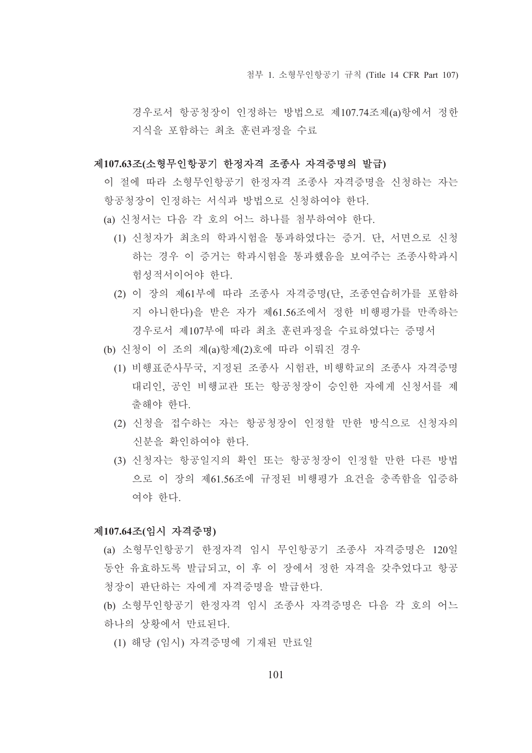첨부 1. 소형무인항공기 규칙 (Title 14 CFR Part 107)

경우로서 항공청장이 인정하는 방법으로 제107.74조제(a)항에서 정한 지식을 포함하는 최초 훈련과정을 수료

#### 제107.63조(소형무인항공기 한정자격 조종사 자격증명의 발급)

- 이 절에 따라 소형무인항공기 한정자격 조종사 자격증명을 신청하는 자는 항공청장이 인정하는 서식과 방법으로 신청하여야 한다.
- (a) 신청서는 다음 각 호의 어느 하나를 첨부하여야 한다.
	- (1) 신청자가 최초의 학과시험을 통과하였다는 증거. 단, 서면으로 신청 하는 경우 이 증거는 학과시험을 통과했음을 보여주는 조종사학과시 험성적서이어야 한다.
	- (2) 이 장의 제61부에 따라 조종사 자격증명(단, 조종연습허가를 포함하 지 아니한다)을 받은 자가 제61.56조에서 정한 비행평가를 만족하는 경우로서 제107부에 따라 최초 후려과정을 수료하였다는 증명서
- (b) 신청이 이 조의 제(a)항제(2)호에 따라 이뤄진 경우
	- (1) 비행표준사무국, 지정된 조종사 시험관, 비행학교의 조종사 자격증명 대리인, 공인 비행교관 또는 항공청장이 승인한 자에게 신청서를 제 출해야 한다.
	- (2) 신청을 접수하는 자는 항공청장이 인정할 만한 방식으로 신청자의 신분을 확인하여야 한다.
	- (3) 신청자는 항공일지의 확인 또는 항공청장이 인정할 만한 다른 방법 으로 이 장의 제61.56조에 규정된 비행평가 요건을 충족함을 입증하 여야 한다.

#### 제107.64조(임시 자격증명)

- (a) 소형무인항공기 한정자격 임시 무인항공기 조종사 자격증명은 120일 동안 유효하도록 발급되고, 이 후 이 장에서 정한 자격을 갖추었다고 항공 청장이 판단하는 자에게 자격증명을 발급한다.
- (b) 소형무인항공기 한정자격 임시 조종사 자격증명은 다음 각 호의 어느 하나의 상황에서 만료된다.
	- (1) 해당 (임시) 자격증명에 기재된 만료일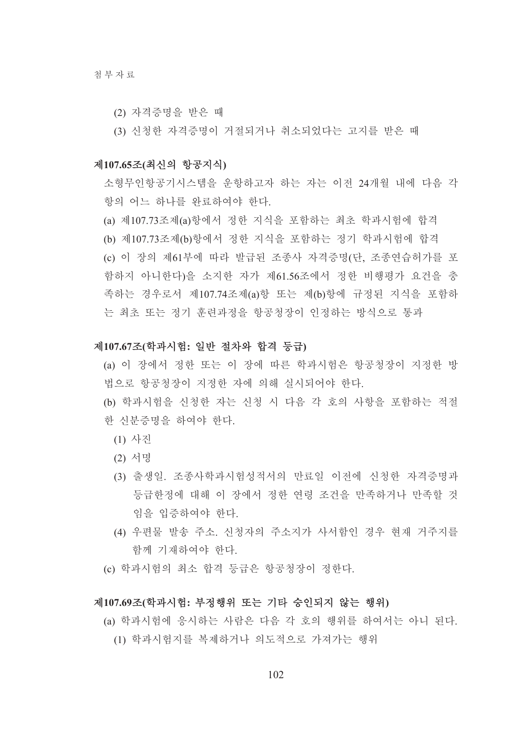- (2) 자격증명을 받은 때
- (3) 신청한 자격증명이 거절되거나 취소되었다는 고지를 받은 때

#### 제107.65조(최신의 항공지식)

소형무인항공기시스템을 운항하고자 하는 자는 이전 24개월 내에 다음 각 항의 어느 하나를 와료하여야 하다

- (a) 제107.73조제(a)항에서 정한 지식을 포함하는 최초 학과시험에 합격
- (b) 제107.73조제(b)항에서 정한 지식을 포함하는 정기 학과시험에 합격 (c) 이 장의 제61부에 따라 발급된 조종사 자격증명(단, 조종연습허가를 포 함하지 아니한다)을 소지한 자가 제61.56조에서 정한 비행평가 요건을 충 족하는 경우로서 제107.74조제(a)항 또는 제(b)항에 규정된 지식을 포함하 는 최초 또는 정기 훈련과정을 항공청장이 인정하는 방식으로 통과

#### 제107.67조(학과시험: 일반 절차와 합격 등급)

- (a) 이 장에서 정한 또는 이 장에 따른 학과시험은 항공청장이 지정한 방 법으로 항공청장이 지정한 자에 의해 실시되어야 한다.
- (b) 학과시험을 신청한 자는 신청 시 다음 각 호의 사항을 포함하는 적절 한 신부증명을 하여야 한다.
	- (1) 사진
	- (2) 서명
	- (3) 출생일, 조종사학과시험성적서의 만료일 이전에 신청한 자격증명과 등급한정에 대해 이 장에서 정한 연령 조건을 만족하거나 만족할 것 임을 입증하여야 한다.
	- (4) 우편물 발송 주소. 신청자의 주소지가 사서함인 경우 현재 거주지를 함께 기재하여야 한다.
- (c) 학과시험의 최소 합격 등급은 항공청장이 정한다.

#### 제107.69조(학과시험: 부정행위 또는 기타 승인되지 않는 행위)

(a) 학과시험에 응시하는 사람은 다음 각 호의 행위를 하여서는 아니 된다. (1) 학과시험지를 복제하거나 의도적으로 가져가는 행위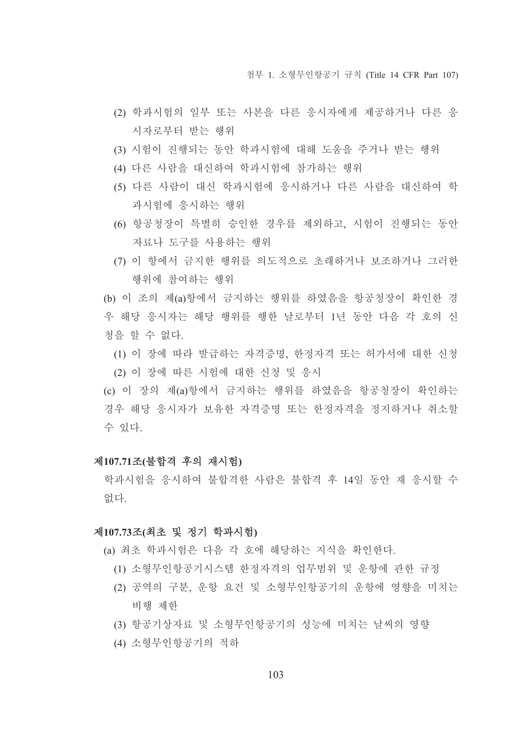첨부 1. 소형무인항공기 규칙 (Title 14 CFR Part 107)

- (2) 학과시험의 일부 또는 사본을 다른 응시자에게 제공하거나 다른 응 시자로부터 받는 행위
- (3) 시험이 진행되는 동안 학과시험에 대해 도움을 주거나 받는 행위
- (4) 다른 사람을 대신하여 학과시험에 참가하는 행위
- (5) 다른 사람이 대신 학과시험에 응시하거나 다른 사람을 대신하여 학 과시험에 응시하는 행위
- (6) 항공청장이 특별히 승인한 경우를 제외하고, 시험이 진행되는 동안 자료나 도구를 사용하는 행위
- (7) 이 항에서 금지한 행위를 의도적으로 초래하거나 보조하거나 그러한 행위에 참여하는 행위

(b) 이 조의 제(a)항에서 금지하는 행위를 하였음을 항공청장이 확인한 경 우 해당 응시자는 해당 행위를 행한 날로부터 1년 동안 다음 각 호의 신 청을 할 수 없다.

- (1) 이 장에 따라 발급하는 자격증명, 한정자격 또는 허가서에 대한 신청
- (2) 이 장에 따른 시험에 대한 신청 및 응시

(c) 이 장의 제(a)항에서 금지하는 행위를 하였음을 항공청장이 확인하는 경우 해당 응시자가 보유한 자격증명 또는 한정자격을 정지하거나 취소할 수 있다.

#### 제107.71조(불합격 후의 재시험)

학과시험을 응시하여 불합격한 사람은 불합격 후 14일 동안 재 응시할 수 없다.

#### 제107.73조(최초 및 정기 학과시험)

- (a) 최초 학과시험은 다음 각 호에 해당하는 지식을 확인하다.
	- (1) 소형무인항공기시스템 한정자격의 업무범위 및 운항에 관한 규정
	- (2) 공역의 구분, 운항 요건 및 소형무인항공기의 운항에 영향을 미치는 비행 제한
	- (3) 항공기상자료 및 소형무인항공기의 성능에 미치는 날씨의 영향
	- (4) 소형무인항공기의 적하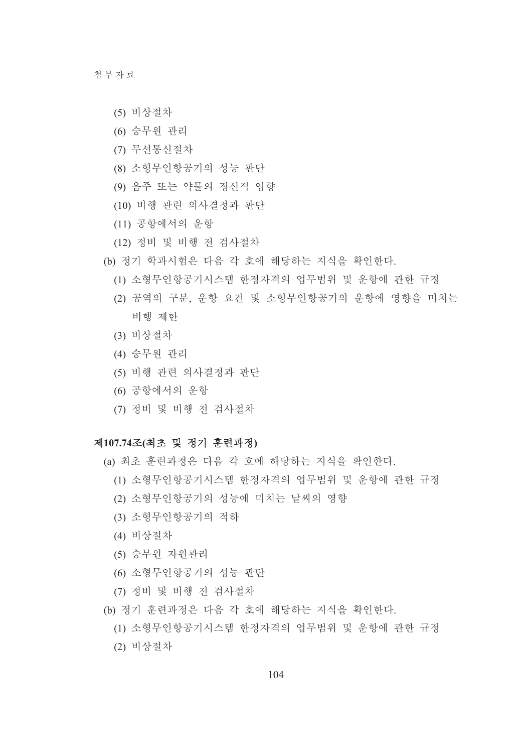청부자료

- (5) 비상절차
- (6) 승무원 관리
- (7) 무선통신절차
- (8) 소형무인항공기의 성능 판단
- (9) 음주 또는 약물의 정신적 영향
- (10) 비행 관련 의사결정과 판단
- (11) 공항에서의 운항
- (12) 정비 및 비행 전 검사절차
- (b) 정기 학과시험은 다음 각 호에 해당하는 지식을 확인한다.
	- (1) 소형무인항공기시스템 한정자격의 업무범위 및 운항에 관한 규정
	- (2) 공역의 구분, 운항 요건 및 소형무인항공기의 운항에 영향을 미치는 비행 제한
	- (3) 비상절차
	- (4) 승무원 관리
	- (5) 비행 관련 의사결정과 판단
	- (6) 공항에서의 우항
	- (7) 정비 및 비행 전 검사절차

#### 제107.74조(최초 및 정기 훈련과정)

- (a) 최초 훈련과정은 다음 각 호에 해당하는 지식을 확인한다.
	- (1) 소형무인항공기시스템 한정자격의 업무범위 및 운항에 관한 규정
	- (2) 소형무인항공기의 성능에 미치는 날씨의 영향
	- (3) 소형무인항공기의 적하
	- (4) 비상절차
	- (5) 승무워 자워관리
	- (6) 소형무인항공기의 성능 판단
	- (7) 정비 및 비행 전 검사절차
- (b) 정기 훈련과정은 다음 각 호에 해당하는 지식을 확인한다.
	- (1) 소형무인항공기시스템 한정자격의 업무범위 및 운항에 관한 규정
	- (2) 비상절차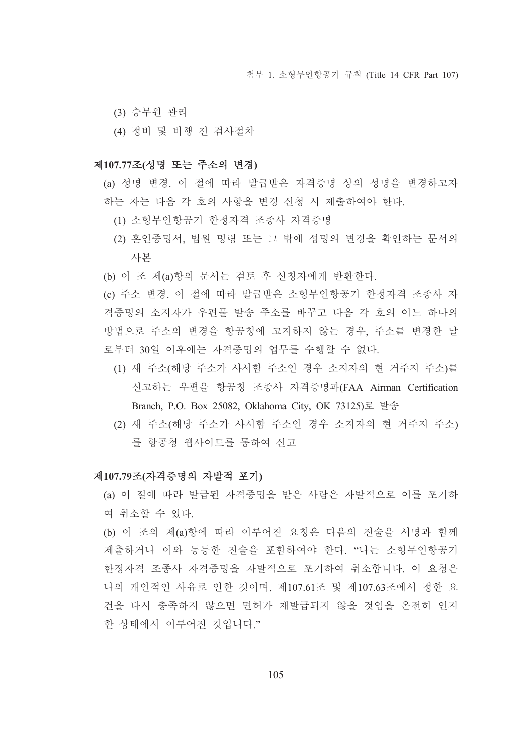- (3) 승무원 관리
- (4) 정비 및 비행 전 검사절차

#### 제107.77조(성명 또는 주소의 변경)

- (a) 성명 변경. 이 절에 따라 발급받은 자격증명 상의 성명을 변경하고자 하는 자는 다음 각 호의 사항을 변경 신청 시 제출하여야 한다.
	- (1) 소형무인항공기 한정자격 조종사 자격증명
	- (2) 혼인증명서, 법원 명령 또는 그 밖에 성명의 변경을 확인하는 문서의 사본
- (b) 이 조 제(a)항의 문서는 검토 후 신청자에게 반환한다.

(c) 주소 변경. 이 절에 따라 발급받은 소형무인항공기 한정자격 조종사 자 격증명의 소지자가 우편물 발송 주소를 바꾸고 다음 각 호의 어느 하나의 방법으로 주소의 변경을 항공청에 고지하지 않는 경우, 주소를 변경한 날 로부터 30일 이후에는 자격증명의 업무를 수행할 수 없다.

- (1) 새 주소(해당 주소가 사서함 주소인 경우 소지자의 현 거주지 주소)를 신고하는 우편을 항공청 조종사 자격증명과(FAA Airman Certification Branch, P.O. Box 25082, Oklahoma City, OK 73125)로 발송
- (2) 새 주소(해당 주소가 사서함 주소인 경우 소지자의 현 거주지 주소) 를 항공청 웹사이트를 통하여 신고

#### 제107.79조(자격증명의 자발적 포기)

(a) 이 절에 따라 발급된 자격증명을 받은 사람은 자발적으로 이를 포기하 여 취소할 수 있다.

(b) 이 조의 제(a)항에 따라 이루어진 요청은 다음의 진술을 서명과 함께 제출하거나 이와 동등한 진술을 포함하여야 한다. "나는 소형무인항공기 한정자격 조종사 자격증명을 자발적으로 포기하여 취소합니다. 이 요청은 나의 개인적인 사유로 인한 것이며, 제107.61조 및 제107.63조에서 정한 요 건을 다시 충족하지 않으면 면허가 재발급되지 않을 것임을 온전히 인지 한 상태에서 이루어진 것입니다."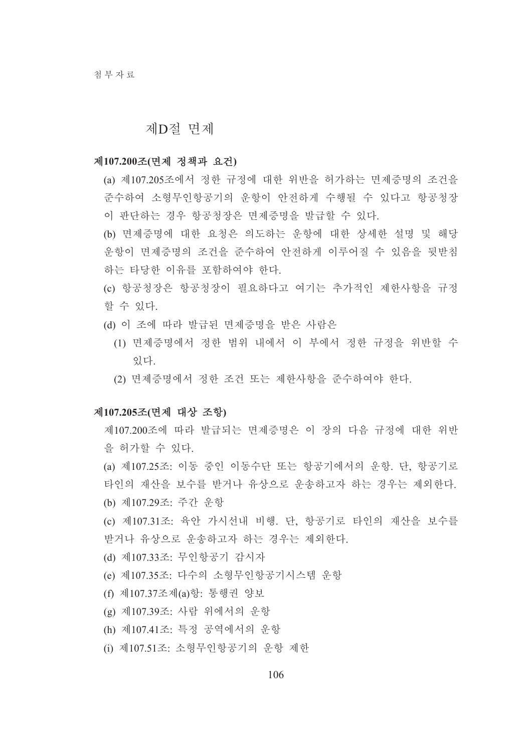#### 제D절 면제

#### 제107.200조(면제 정책과 요건)

- (a) 제107.205조에서 정한 규정에 대한 위반을 허가하는 면제증명의 조건을 준수하여 소형무인항공기의 운항이 안전하게 수행될 수 있다고 항공청장 이 판단하는 경우 항공청장은 면제증명을 발급할 수 있다.
- (b) 면제증명에 대한 요청은 의도하는 운항에 대한 상세한 설명 및 해당 운항이 면제증명의 조건을 준수하여 안전하게 이루어질 수 있음을 뒷받침 하는 타당한 이유를 포함하여야 한다.
- (c) 항공청장은 항공청장이 필요하다고 여기는 추가적인 제한사항을 규정 할 수 있다.
- (d) 이 조에 따라 발급된 면제증명을 받은 사람은
	- (1) 면제증명에서 정한 범위 내에서 이 부에서 정한 규정을 위반할 수 있다.
	- (2) 면제증명에서 정한 조건 또는 제한사항을 주수하여야 한다.

#### 제107.205조(면제 대상 조항)

- 제107.200조에 따라 발급되는 면제증명은 이 장의 다음 규정에 대한 위반 을 허가할 수 있다.
- (a) 제107.25조: 이동 중인 이동수단 또는 항공기에서의 운항. 단. 항공기로 타인의 재산을 보수를 받거나 유상으로 운송하고자 하는 경우는 제외한다. (b) 제107.29조: 주간 운항
- (c) 제107.31조: 육안 가시선내 비행. 단, 항공기로 타인의 재산을 보수를 받거나 유상으로 운송하고자 하는 경우는 제외한다.
- (d) 제107.33조: 무인항공기 감시자
- (e) 제107.35조: 다수의 소형무인항공기시스템 운항
- (f) 제107.37조제(a)항: 통행권 양보
- (g) 제107.39조: 사람 위에서의 운항
- (h) 제107.41조: 특정 공역에서의 운항
- (i) 제107.51조: 소형무인항공기의 운항 제한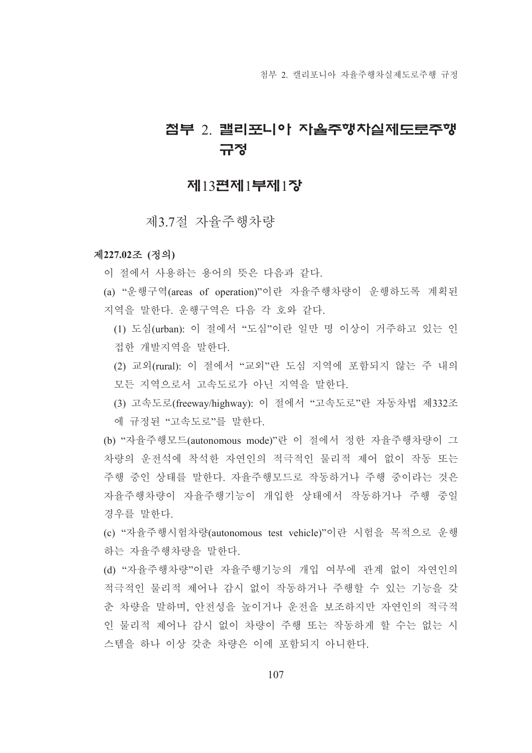# 점부 2 캘리포니아 자율주행차실제도로주행 규정

# 제13편제1부제1장

제3.7절 자율주행차량

#### 제227.02조 (정의)

- 이 절에서 사용하는 용어의 뜻은 다음과 같다.
- (a) "운행구역(areas of operation)"이란 자율주행차량이 운행하도록 계획된 지역을 말하다 우행구역은 다음 각 호와 같다.
	- (1) 도심(urban): 이 절에서 "도심"이라 일만 명 이상이 거주하고 있는 인 접한 개발지역을 말한다.
	- (2) 교외(rural): 이 절에서 "교외"라 도심 지역에 포함되지 않는 주 내의 모든 지역으로서 고속도로가 아닌 지역을 말한다.
	- (3) 고속도로(freeway/highway): 이 절에서 "고속도로"란 자동차법 제332조 에 규정된 "고속도로"를 말한다.
- (b) "자율주행모드(autonomous mode)"란 이 절에서 정한 자율주행차량이 그 차량의 우저석에 착석한 자연인의 적극적인 물리적 제어 없이 작동 또는 주행 중인 상태를 말한다. 자율주행모드로 작동하거나 주행 중이라는 것은 자율주행차량이 자율주행기능이 개입한 상태에서 작동하거나 주행 중일 경우를 말하다.
- (c) "자율주행시험차량(autonomous test vehicle)"이란 시험을 목적으로 운행 하는 자율주행차량을 말한다.
- (d) "자율주행차량"이란 자율주행기능의 개입 여부에 관계 없이 자연인의 적극적인 물리적 제어나 감시 없이 작동하거나 주행할 수 있는 기능을 갖 춘 차량을 말하며, 안전성을 높이거나 운전을 보조하지만 자연인의 적극적 인 물리적 제어나 감시 없이 차량이 주행 또는 작동하게 할 수는 없는 시 스템을 하나 이상 갖춘 차량은 이에 포함되지 아니한다.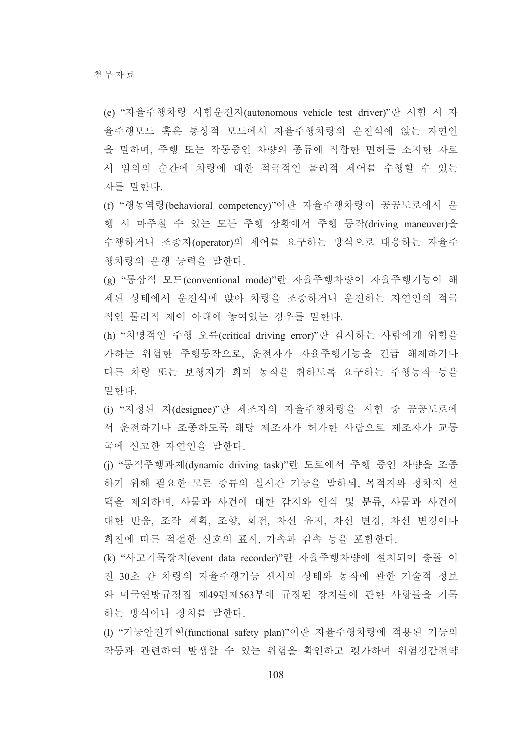(e) "자율주행차량 시험운전자(autonomous vehicle test driver)"란 시험 시 자 율주행모드 혹은 통상적 모드에서 자율주행차량의 운전석에 앉는 자연인 을 말하며, 주행 또는 작동중인 차량의 종류에 적합한 면허를 소지한 자로 서 임의의 순간에 차량에 대한 적극적인 물리적 제어를 수행할 수 있는 자를 말한다.

(f) "행동역량(behavioral competency)"이란 자율주행차량이 공공도로에서 운 행 시 마주칠 수 있는 모든 주행 상황에서 주행 동작(driving maneuver)을 수행하거나 조종자(operator)의 제어를 요구하는 방식으로 대응하는 자율주 행차량의 운행 능력을 말한다.

(g) "통상적 모드(conventional mode)"란 자율주행차량이 자율주행기능이 해 제된 상태에서 운전석에 앉아 차량을 조종하거나 운전하는 자연인의 적극 적인 물리적 제어 아래에 놓여있는 경우를 말한다.

(h) "치명적인 주행 오류(critical driving error)"란 감시하는 사람에게 위험을 가하는 위험한 주행동작으로, 운전자가 자율주행기능을 긴급 해제하거나 다른 차량 또는 보행자가 회피 동작을 취하도록 요구하는 주행동작 등을 말하다

(i) "지정된 자(designee)"란 제조자의 자율주행차량을 시험 중 공공도로에 서 운전하거나 조종하도록 해당 제조자가 허가한 사람으로 제조자가 교통 국에 신고한 자연인을 말한다.

(i) "동적주행과제(dynamic driving task)"란 도로에서 주행 중인 차량을 조종 하기 위해 필요한 모든 종류의 실시간 기능을 말하되, 목적지와 정차지 선 택을 제외하며, 사물과 사건에 대한 감지와 인식 및 분류, 사물과 사건에 대한 반응, 조작 계획, 조향, 회전, 차선 유지, 차선 변경, 차선 변경이나 회전에 따른 적절한 신호의 표시, 가속과 감속 등을 포함한다.

(k) "사고기록장치(event data recorder)"란 자율주행차량에 설치되어 충돌 이 전 30초 간 차량의 자율주행기능 센서의 상태와 동작에 관한 기술적 정보 와 미국연방규정집 제49편제563부에 규정된 장치들에 관한 사항들을 기록 하는 방식이나 장치를 말한다.

(1) "기능안전계획(functional safety plan)"이란 자율주행차량에 적용된 기능의 작동과 관련하여 발생할 수 있는 위험을 확인하고 평가하며 위험경감전략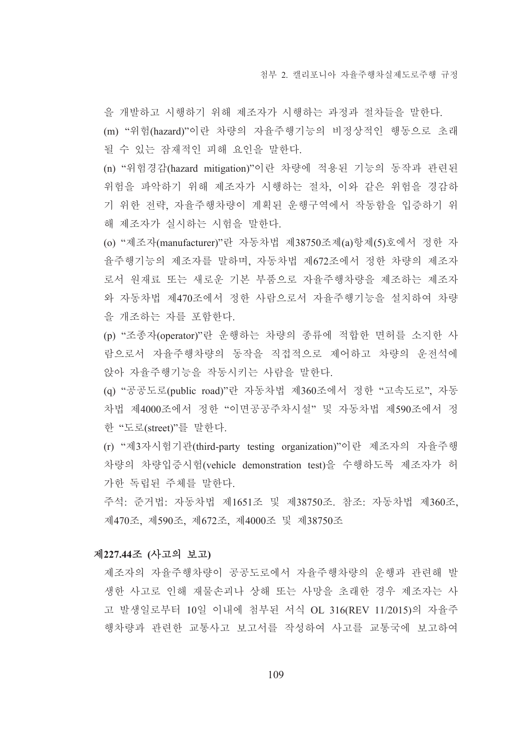을 개발하고 시행하기 위해 제조자가 시행하는 과정과 절차들을 말한다. (m) "위험(hazard)"이란 차량의 자율주행기능의 비정상적인 행동으로 초래 될 수 있는 잠재적인 피해 요인을 말한다.

(n)"위험경감(hazard mitigation)"이란 차량에 적용된 기능의 동작과 관련된 위험을 파악하기 위해 제조자가 시행하는 절차, 이와 같은 위험을 경감하 기 위한 전략, 자율주행차량이 계획된 운행구역에서 작동함을 입증하기 위 해 제조자가 실시하는 시험을 말하다.

(o) "제조자(manufacturer)"란 자동차법 제38750조제(a)항제(5)호에서 정한 자 율주행기능의 제조자를 말하며, 자동차법 제672조에서 정한 차량의 제조자 로서 워재료 또는 새로운 기본 부품으로 자율주행차량을 제조하는 제조자 와 자동차법 제470조에서 정한 사람으로서 자율주행기능을 설치하여 차량 을 개조하는 자를 포함한다.

(p) "조종자(operator)"란 운행하는 차량의 종류에 적합한 면허를 소지한 사 람으로서 자율주행차량의 동작을 직접적으로 제어하고 차량의 운전석에 앉아 자율주행기능을 작동시키는 사람을 말한다.

(q) "공공도로(public road)"란 자동차법 제360조에서 정한 "고속도로", 자동 차법 제4000조에서 정한 "이면공공주차시설" 및 자동차법 제590조에서 정 한 "도로(street)"를 말한다.

(r) "제3자시험기관(third-party testing organization)"이란 제조자의 자율주행 차량의 차량입증시험(vehicle demonstration test)을 수행하도록 제조자가 허 가한 독립된 주체를 말한다.

주석: 준거법: 자동차법 제1651조 및 제38750조. 참조: 자동차법 제360조, 제470조, 제590조, 제672조, 제4000조 및 제38750조

#### 제227.44조 (사고의 보고)

제조자의 자율주행차량이 공공도로에서 자율주행차량의 운행과 관련해 발 생한 사고로 인해 재물손괴나 상해 또는 사망을 초래한 경우 제조자는 사 고 발생일로부터 10일 이내에 첨부된 서식 OL 316(REV 11/2015)의 자율주 행차량과 관련한 교통사고 보고서를 작성하여 사고를 교통국에 보고하여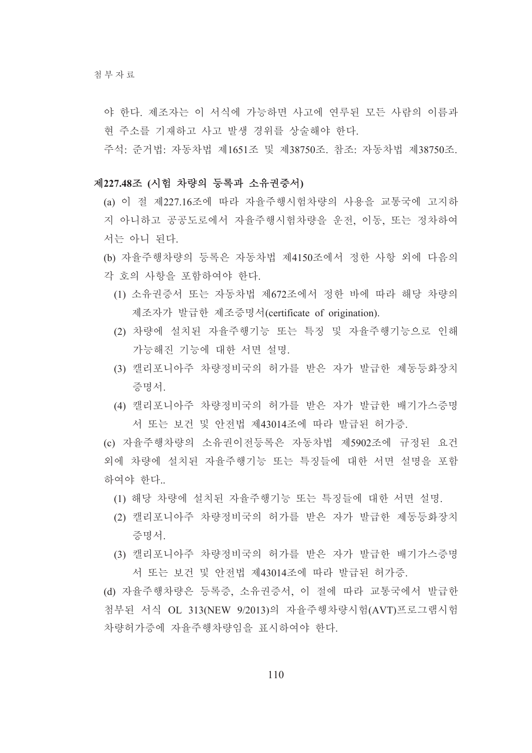청부자료

야 한다. 제조자는 이 서식에 가능하면 사고에 연루된 모든 사람의 이름과 현 주소를 기재하고 사고 발생 경위를 상술해야 한다.

주석: 준거법: 자동차법 제1651조 및 제38750조, 참조: 자동차법 제38750조.

#### 제227.48조 (시험 차량의 등록과 소유권증서)

(a) 이 절 제227.16조에 따라 자율주행시험차량의 사용을 교통국에 고지하 지 아니하고 공공도로에서 자율주행시험차량을 운전, 이동, 또는 정차하여 서는 아니 되다.

(b) 자율주행차량의 등록은 자동차법 제4150조에서 정한 사항 외에 다음의 각 호의 사항을 포함하여야 한다.

- (1) 소유권증서 또는 자동차법 제672조에서 정한 바에 따라 해당 차량의 제조자가 발급한 제조증명서(certificate of origination).
- (2) 차량에 설치된 자율주행기능 또는 특징 및 자율주행기능으로 인해 가능해진 기능에 대한 서면 설명.
- (3) 캘리포니아주 차량정비국의 허가를 받은 자가 발급한 제동등화장치 증명서
- (4) 캘리포니아주 차량정비국의 허가를 받은 자가 발급한 배기가스증명 서 또는 보건 및 안전법 제43014조에 따라 발급된 허가증.

(c) 자율주행차량의 소유권이전등록은 자동차법 제5902조에 규정된 요건 외에 차량에 설치된 자율주행기능 또는 특징들에 대한 서면 설명을 포함 하여야 한다..

- (1) 해당 차량에 설치된 자율주행기능 또는 특징들에 대한 서면 설명.
- (2) 캘리포니아주 차량정비국의 허가를 받은 자가 발급한 제동등화장치 증명서
- (3) 캘리포니아주 차량정비국의 허가를 받은 자가 발급하 배기가스증명 서 또는 보건 및 안전법 제43014조에 따라 발급된 허가증.

(d) 자율주행차량은 등록증, 소유권증서, 이 절에 따라 교통국에서 발급한 첨부된 서식 OL 313(NEW 9/2013)의 자율주행차량시험(AVT)프로그램시험 차량허가증에 자율주행차량임을 표시하여야 한다.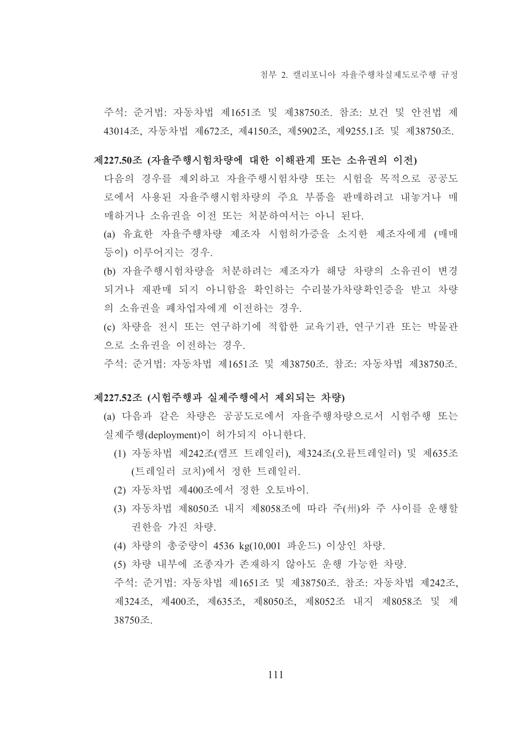주석: 준거법: 자동차법 제1651조 및 제38750조. 참조: 보건 및 안전법 제 43014조, 자동차법 제672조, 제4150조, 제5902조, 제9255.1조 및 제38750조.

- 제227.50조 (자율주행시험차량에 대한 이해관계 또는 소유권의 이전)
	- 다음의 경우를 제외하고 자율주행시험차량 또는 시험을 목적으로 공공도 로에서 사용된 자율주행시험차량의 주요 부품을 판매하려고 내놓거나 매 매하거나 소유권을 이전 또는 처분하여서는 아니 된다.
	- (a) 유효한 자율주행차량 제조자 시험허가증을 소지한 제조자에게 (매매 등이) 이루어지는 경우.
	- (b) 자율주행시험차량을 처분하려는 제조자가 해당 차량의 소유권이 변경 되거나 재판매 되지 아니함을 확인하는 수리불가차량확인증을 받고 차량 의 소유권을 폐차업자에게 이전하는 경우.
	- (c) 차량을 전시 또는 연구하기에 적합한 교육기관, 연구기관 또는 박물관 으로 소유권을 이전하는 경우.

주석: 준거법: 자동차법 제1651조 및 제38750조, 참조: 자동차법 제38750조.

#### 제227.52조 (시험주행과 실제주행에서 제외되는 차량)

- (a) 다음과 같은 차량은 공공도로에서 자율주행차량으로서 시험주행 또는 실제주행(deployment)이 허가되지 아니한다.
	- (1) 자동차법 제242조(캠프 트레일러), 제324조(오륜트레일러) 및 제635조 (트레일러 코치)에서 정한 트레일러.
	- (2) 자동차법 제400조에서 정한 오토바이.
	- (3) 자동차법 제8050조 내지 제8058조에 따라 주(州)와 주 사이를 운행할 권한을 가진 차량.
	- (4) 차량의 총중량이 4536 kg(10,001 파운드) 이상인 차량.
	- (5) 차량 내부에 조종자가 존재하지 않아도 운행 가능한 차량.

주석: 준거법: 자동차법 제1651조 및 제38750조. 참조: 자동차법 제242조, 제324조, 제400조, 제635조, 제8050조, 제8052조 내지 제8058조 및 제 38750조.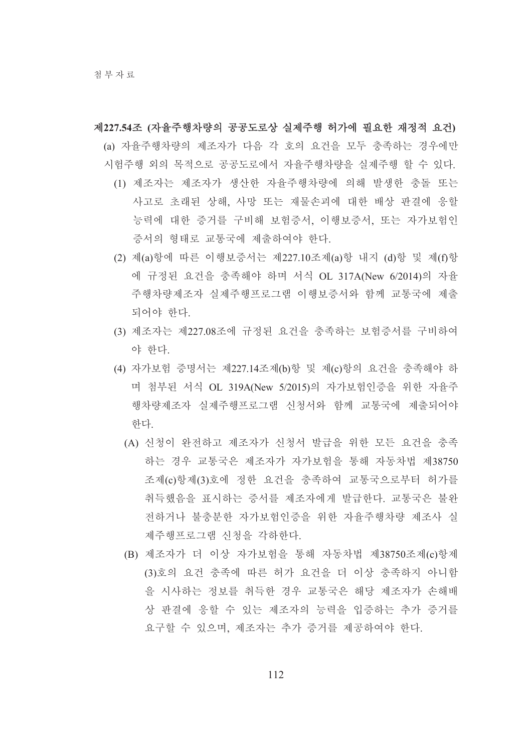제227.54조 (자율주행차량의 공공도로상 실제주행 허가에 필요한 재정적 요건) (a) 자율주행차량의 제조자가 다음 각 호의 요건을 모두 충족하는 경우에만 시험주행 외의 목적으로 공공도로에서 자율주행차량을 실제주행 할 수 있다.

- (1) 제조자는 제조자가 생산한 자율주행차량에 의해 발생한 충돌 또는 사고로 초래된 상해. 사망 또는 재물손괴에 대한 배상 판결에 응할 능력에 대한 증거를 구비해 보험증서, 이행보증서, 또는 자가보험인 증서의 형태로 교통국에 제출하여야 한다.
- (2) 제(a)항에 따른 이행보증서는 제227.10조제(a)항 내지 (d)항 및 제(f)항 에 규정된 요건을 충족해야 하며 서식 OL 317A(New 6/2014)의 자율 주행차량제조자 실제주행프로그램 이행보증서와 함께 교통국에 제출 되어야 한다
- (3) 제조자는 제227.08조에 규정된 요건을 충족하는 보험증서를 구비하여 야 한다.
- (4) 자가보험 증명서는 제227.14조제(b)항 및 제(c)항의 요건을 충족해야 하 며 첨부된 서식 OL 319A(New 5/2015)의 자가보험인증을 위한 자율주 행차량제조자 실제주행프로그램 신청서와 함께 교통국에 제출되어야 하다
	- (A) 신청이 완전하고 제조자가 신청서 발급을 위한 모든 요건을 충족 하는 경우 교통국은 제조자가 자가보험을 통해 자동차법 제38750 조제(c)항제(3)호에 정한 요건을 충족하여 교통국으로부터 허가를 취득했음을 표시하는 증서를 제조자에게 발급한다. 교통국은 불완 전하거나 불충분한 자가보험인증을 위한 자율주행차량 제조사 실 제주행프로그램 신청을 각하한다.
	- (B) 제조자가 더 이상 자가보험을 통해 자동차법 제38750조제(c)항제 (3)호의 요건 충족에 따른 허가 요건을 더 이상 충족하지 아니함 을 시사하는 정보를 취득한 경우 교통국은 해당 제조자가 손해배 상 판결에 응할 수 있는 제조자의 능력을 입증하는 추가 증거를 요구할 수 있으며, 제조자는 추가 증거를 제공하여야 한다.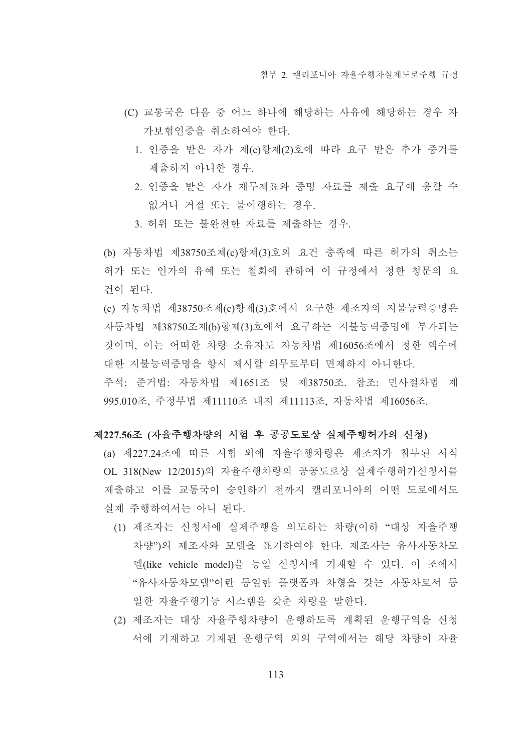- (C) 교통국은 다음 중 어느 하나에 해당하는 사유에 해당하는 경우 자 가보험인증을 취소하여야 한다.
	- 1. 인증을 받은 자가 제(c)항제(2)호에 따라 요구 받은 추가 증거를 제출하지 아니한 경우.
	- 2. 인증을 받은 자가 재무제표와 증명 자료를 제출 요구에 응할 수 없거나 거절 또는 불이행하는 경우.
	- 3. 허위 또는 불완전한 자료를 제출하는 경우.
- (b) 자동차법 제38750조제(c)항제(3)호의 요건 충족에 따른 허가의 취소는 허가 또는 인가의 유예 또는 철회에 관하여 이 규정에서 정한 청문의 요 건이 된다.
- (c) 자동차법 제38750조제(c)항제(3)호에서 요구한 제조자의 지불능력증명은 자동차법 제38750조제(b)항제(3)호에서 요구하는 지불능력증명에 부가되는 것이며, 이는 어떠한 차량 소유자도 자동차법 제16056조에서 정한 액수에 대한 지불능력증명을 항시 제시할 의무로부터 면제하지 아니한다.
- 주석: 준거법: 자동차법 제1651조 및 제38750조, 참조: 민사절차법 제 995.010조, 주정부법 제11110조 내지 제11113조, 자동차법 제16056조.

## 제227.56조 (자율주행차량의 시험 후 공공도로상 실제주행허가의 신청)

- (a) 제227.24조에 따른 시험 외에 자율주행차량은 제조자가 첨부된 서식 OL 318(New 12/2015)의 자율주행차량의 공공도로상 실제주행허가신청서를 제출하고 이를 교통국이 승인하기 전까지 캘리포니아의 어떤 도로에서도 실제 주행하여서는 아니 되다.
	- (1) 제조자는 신청서에 실제주행을 의도하는 차량(이하 "대상 자율주행 차량")의 제조자와 모델을 표기하여야 한다. 제조자는 유사자동차모 델(like vehicle model)을 동일 신청서에 기재할 수 있다. 이 조에서 "유사자동차모델"이란 동일한 플랫폼과 차형을 갖는 자동차로서 동 일한 자율주행기능 시스템을 갖춘 차량을 말한다.
	- (2) 제조자는 대상 자율주행차량이 운행하도록 계획된 운행구역을 신청 서에 기재하고 기재된 운행구역 외의 구역에서는 해당 차량이 자율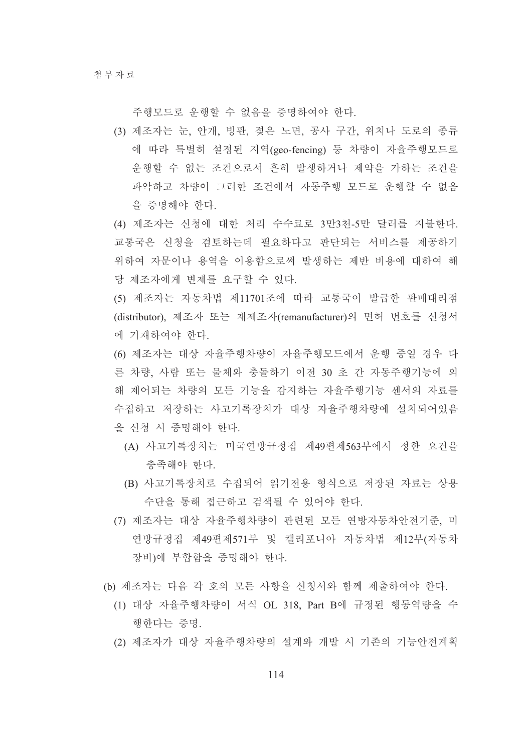주행모드로 운행할 수 없음을 증명하여야 한다.

(3) 제조자는 눈, 안개, 빙판, 젖은 노면, 공사 구간, 위치나 도로의 종류 에 따라 특별히 설정된 지역(geo-fencing) 등 차량이 자율주행모드로 운행할 수 없는 조건으로서 흔히 발생하거나 제약을 가하는 조건을 파악하고 차량이 그러한 조건에서 자동주행 모드로 운행할 수 없음 을 증명해야 한다.

(4) 제조자는 신청에 대한 처리 수수료로 3만3천-5만 달러를 지불한다. 교통국은 신청을 검토하는데 필요하다고 판단되는 서비스를 제공하기 위하여 자문이나 용역을 이용함으로써 발생하는 제반 비용에 대하여 해 당 제조자에게 변제를 요구할 수 있다.

(5) 제조자는 자동차법 제11701조에 따라 교통국이 발급한 판매대리점 (distributor), 제조자 또는 재제조자(remanufacturer)의 면허 번호를 신청서 에 기재하여야 한다.

(6) 제조자는 대상 자율주행차량이 자율주행모드에서 운행 중일 경우 다 른 차량, 사람 또는 물체와 충돌하기 이전 30 초 간 자동주행기능에 의 해 제어되는 차량의 모든 기능을 감지하는 자율주행기능 센서의 자료를 수집하고 저장하는 사고기록장치가 대상 자율주행차량에 설치되어있음 을 신청 시 증명해야 한다.

- (A) 사고기록장치는 미국연방규정집 제49편제563부에서 정한 요건을 충족해야 한다.
- (B) 사고기록장치로 수집되어 읽기전용 형식으로 저장된 자료는 상용 수단을 통해 접근하고 검색될 수 있어야 한다.
- (7) 제조자는 대상 자율주행차량이 관련된 모든 연방자동차안전기준, 미 연방규정집 제49편제571부 및 캘리포니아 자동차법 제12부(자동차 장비)에 부합함을 증명해야 한다.
- (b) 제조자는 다음 각 호의 모든 사항을 신청서와 함께 제출하여야 한다.
	- (1) 대상 자율주행차량이 서식 OL 318, Part B에 규정된 행동역량을 수 행한다는 증명.
	- (2) 제조자가 대상 자율주행차량의 설계와 개발 시 기존의 기능안전계획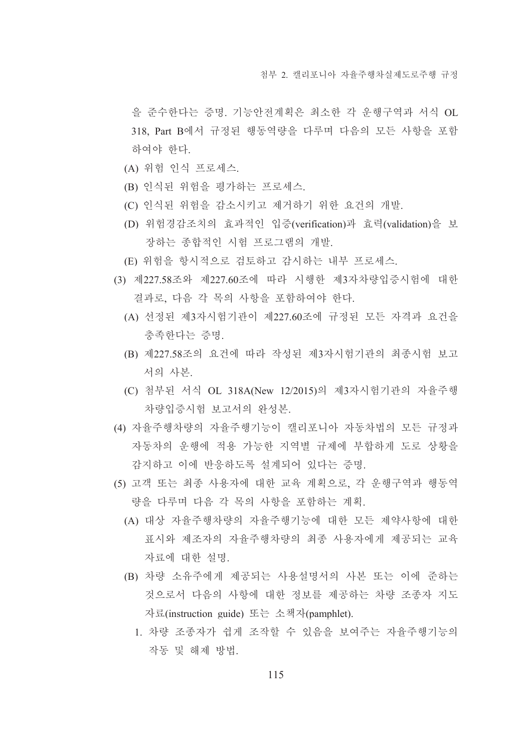을 준수한다는 증명. 기능안전계획은 최소한 각 운행구역과 서식 OL 318. Part B에서 규정된 행동역량을 다루며 다음의 모든 사항을 포함 하여야 한다.

- (A) 위험 인식 프로세스.
- (B) 인식된 위험을 평가하는 프로세스.
- (C) 인식된 위험을 감소시키고 제거하기 위한 요건의 개발.
- (D) 위험경감조치의 효과적인 입증(verification)과 효력(validation)을 보 장하는 종합적인 시험 프로그램의 개발.
- (E) 위험을 항시적으로 검토하고 감시하는 내부 프로세스.
- (3) 제227.58조와 제227.60조에 따라 시행한 제3자차량입증시험에 대한 결과로, 다음 각 목의 사항을 포함하여야 한다.
	- (A) 선정된 제3자시험기관이 제227.60조에 규정된 모든 자격과 요건을 충족하다는 증명.
	- (B) 제227.58조의 요건에 따라 작성된 제3자시험기관의 최종시험 보고 서의 사본.
	- (C) 첨부된 서식 OL 318A(New 12/2015)의 제3자시험기관의 자율주행 차량입증시험 보고서의 완성본.
- (4) 자율주행차량의 자율주행기능이 캘리포니아 자동차법의 모든 규정과 자동차의 우행에 적용 가능한 지역별 규제에 부함하게 도로 상황을 감지하고 이에 반응하도록 설계되어 있다는 증명.
- (5) 고객 또는 최종 사용자에 대한 교육 계획으로, 각 운행구역과 행동역 량을 다루며 다음 각 목의 사항을 포함하는 계획.
	- (A) 대상 자율주행차량의 자율주행기능에 대한 모든 제약사항에 대한 표시와 제조자의 자율주행차량의 최종 사용자에게 제공되는 교육 자료에 대한 설명.
	- (B) 차량 소유주에게 제공되는 사용설명서의 사본 또는 이에 준하는 것으로서 다음의 사항에 대한 정보를 제공하는 차량 조종자 지도 자료(instruction guide) 또는 소책자(pamphlet).
		- 1. 차량 조종자가 쉽게 조작할 수 있음을 보여주는 자율주행기능의 작동 및 해제 방법.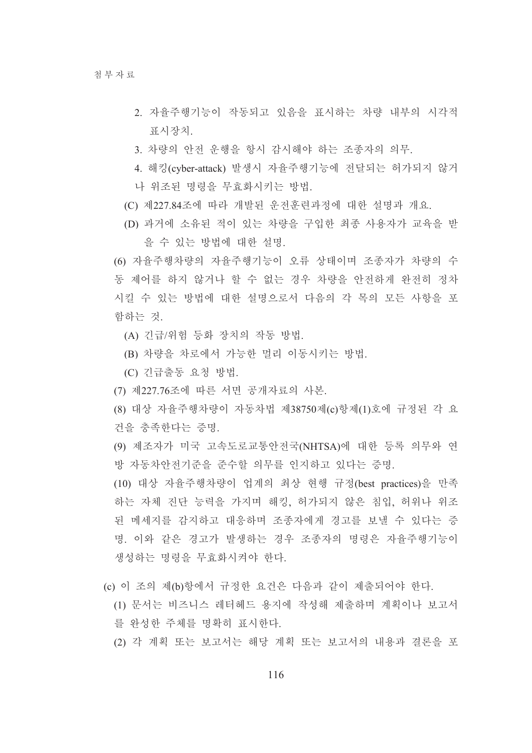- 2. 자율주행기능이 작동되고 있음을 표시하는 차량 내부의 시각적 표시장치.
- 3. 차량의 안전 운행을 항시 감시해야 하는 조종자의 의무.
- 4. 해킹(cyber-attack) 발생시 자율주행기능에 전달되는 허가되지 않거 나 위조된 명령을 무효화시키는 방법.
- (C) 제227.84조에 따라 개발된 운전훈련과정에 대한 설명과 개요.
- (D) 과거에 소유된 적이 있는 차량을 구입한 최종 사용자가 교육을 받 을 수 있는 방법에 대한 설명.

(6) 자율주행차량의 자율주행기능이 오류 상태이며 조종자가 차량의 수 동 제어를 하지 않거나 할 수 없는 경우 차량을 안전하게 완전히 정차 시킬 수 있는 방법에 대한 설명으로서 다음의 각 목의 모든 사항을 포 함하는 것.

- (A) 긴급/위험 등화 장치의 작동 방법.
- (B) 차량을 차로에서 가능한 멀리 이동시키는 방법.
- (C) 긴급출동 요청 방법.
- (7) 제227.76조에 따른 서면 공개자료의 사본.
- (8) 대상 자율주행차량이 자동차법 제38750제(c)항제(1)호에 규정된 각 요 건을 충족한다는 증명.
- (9) 제조자가 미국 고속도로교통안전국(NHTSA)에 대한 등록 의무와 연 방 자동차안전기준을 준수할 의무를 인지하고 있다는 증명.

(10) 대상 자율주행차량이 업계의 최상 현행 규정(best practices)을 만족 하는 자체 진단 능력을 가지며 해킹, 허가되지 않은 침입, 허위나 위조 된 메세지를 감지하고 대응하며 조종자에게 경고를 보낼 수 있다는 증 명. 이와 같은 경고가 발생하는 경우 조종자의 명령은 자율주행기능이 생성하는 명령을 무효화시켜야 하다.

- (c) 이 조의 제(b)항에서 규정한 요건은 다음과 같이 제출되어야 한다.
	- (1) 문서는 비즈니스 레터헤드 용지에 작성해 제출하며 계획이나 보고서 를 와성한 주체를 명확히 표시한다.
	- (2) 각 계획 또는 보고서는 해당 계획 또는 보고서의 내용과 결론을 포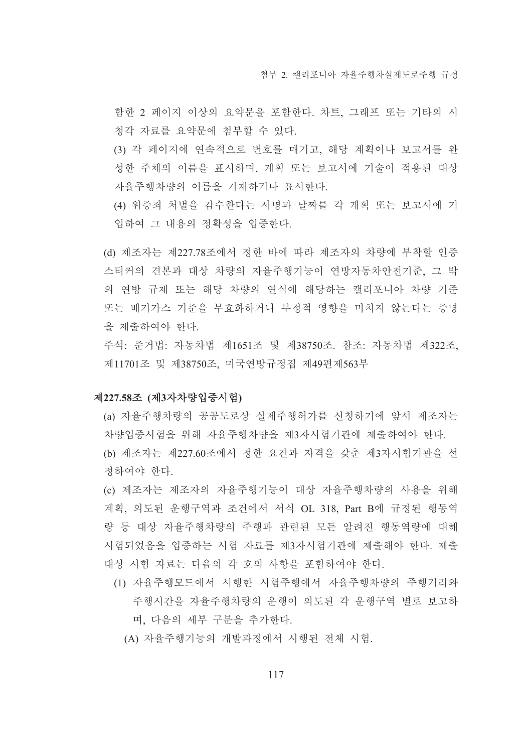척부 2 캘리포니아 자율주행차실제도로주행 규정

함한 2 페이지 이상의 요약문을 포함한다. 차트, 그래프 또는 기타의 시 청각 자료를 요약문에 첨부할 수 있다.

(3) 각 페이지에 연속적으로 번호를 매기고, 해당 계획이나 보고서를 완 성한 주체의 이름을 표시하며, 계획 또는 보고서에 기술이 적용된 대상 자율주행차량의 이름을 기재하거나 표시한다.

(4) 위증죄 처벌을 감수한다는 서명과 날짜를 각 계획 또는 보고서에 기 입하여 그 내용의 정확성을 입증하다.

(d) 제조자는 제227.78조에서 정한 바에 따라 제조자의 차량에 부착할 인증 스티커의 견본과 대상 차량의 자율주행기능이 연방자동차안전기준, 그 밖 의 연방 규제 또는 해당 차량의 연식에 해당하는 캘리포니아 차량 기준 또는 배기가스 기준을 무효화하거나 부정적 영향을 미치지 않는다는 증명 을 제출하여야 한다.

주석: 준거법: 자동차법 제1651조 및 제38750조. 참조: 자동차법 제322조, 제11701조 및 제38750조, 미국연방규정집 제49편제563부

# 제227.58조 (제3자차량입증시험)

(a) 자율주행차량의 공공도로상 실제주행허가를 신청하기에 앞서 제조자는 차량입증시험을 위해 자율주행차량을 제3자시험기관에 제출하여야 한다. (b) 제조자는 제227.60조에서 정한 요건과 자격을 갖춘 제3자시험기관을 선 정하여야 한다.

(c) 제조자는 제조자의 자율주행기능이 대상 자율주행차량의 사용을 위해 계획. 의도된 운행구역과 조건에서 서식 OL 318. Part B에 규정된 행동역 량 등 대상 자율주행차량의 주행과 관련된 모든 알려진 행동역량에 대해 시험되었음을 입증하는 시험 자료를 제3자시험기관에 제출해야 한다. 제출 대상 시험 자료는 다음의 각 호의 사항을 포함하여야 하다.

(1) 자율주행모드에서 시행한 시험주행에서 자율주행차량의 주행거리와 주행시간을 자율주행차량의 운행이 의도된 각 운행구역 별로 보고하 며, 다음의 세부 구분을 추가한다.

(A) 자율주행기능의 개발과정에서 시행된 전체 시험.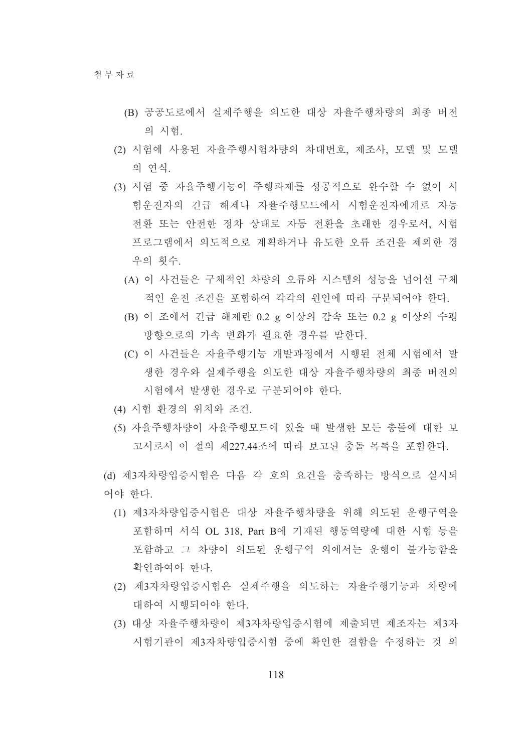- (B) 공공도로에서 실제주행을 의도한 대상 자율주행차량의 최종 버전 의 시험.
- (2) 시험에 사용된 자율주행시험차량의 차대번호, 제조사, 모델 및 모델 의 연식.
- (3) 시험 중 자율주행기능이 주행과제를 성공적으로 완수할 수 없어 시 험운전자의 긴급 해제나 자율주행모드에서 시험운전자에게로 자동 전화 또는 안전한 정차 상태로 자동 전화을 초래한 경우로서, 시험 프로그램에서 의도적으로 계획하거나 유도한 오류 조건을 제외한 경 우의 횟수.
	- (A) 이 사거들은 구체적인 차량의 오류와 시스템의 성능을 넘어선 구체 적인 운전 조건을 포함하여 각각의 원인에 따라 구분되어야 한다.
	- (B) 이 조에서 긴급 해제란 0.2 g 이상의 감속 또는 0.2 g 이상의 수평 방향으로의 가속 변화가 필요한 경우를 말한다.
	- (C) 이 사건들은 자율주행기능 개발과정에서 시행된 전체 시험에서 발 생한 경우와 실제주행을 의도한 대상 자율주행차량의 최종 버전의 시험에서 발생한 경우로 구분되어야 한다.
- (4) 시험 화경의 위치와 조건
- (5) 자율주행차량이 자율주행모드에 있을 때 발생한 모든 충돌에 대한 보 고서로서 이 절의 제227 44조에 따라 보고된 충돌 목록을 포함하다.

(d) 제3자차량입증시험은 다음 각 호의 요건을 충족하는 방식으로 실시되 어야 한다.

- (1) 제3자차량입증시험은 대상 자율주행차량을 위해 의도된 운행구역을 포함하며 서식 OL 318. Part B에 기재된 행동역량에 대한 시험 등을 포함하고 그 차량이 의도된 운행구역 외에서는 운행이 불가능함을 확인하여야 한다.
- (2) 제3자차량입증시험은 실제주행을 의도하는 자율주행기능과 차량에 대하여 시행되어야 한다.
- (3) 대상 자율주행차량이 제3자차량입증시험에 제출되면 제조자는 제3자 시험기관이 제3자차량입증시험 중에 확인하 결함을 수정하는 것 외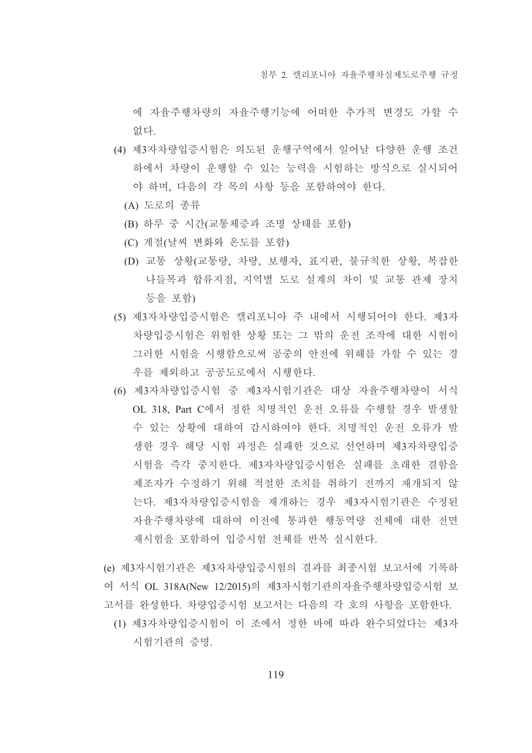에 자율주행차량의 자율주행기능에 어떠한 추가적 변경도 가할 수 없다.

- (4) 제3자차량입증시험은 의도된 운행구역에서 일어날 다양한 운행 조건 하에서 차량이 운행할 수 있는 능력을 시험하는 방식으로 실시되어 야 하며, 다음의 각 목의 사항 등을 포함하여야 한다.
	- (A) 도로의 종류
	- (B) 하루 중 시간(교통체증과 조명 상태를 포함)
	- (C) 계절(날씨 변화와 온도를 포함)
	- (D) 교통 상황(교통량, 차량, 보행자, 표지판, 불규칙한 상황, 복잡한 나들목과 합류지점. 지역별 도로 설계의 차이 및 교통 관제 장치 등을 포함)
- (5) 제3자차량입증시험은 캘리포니아 주 내에서 시행되어야 한다. 제3자 차량입증시험은 위험한 상황 또는 그 밖의 운전 조작에 대한 시험이 그러한 시험을 시행함으로써 공중의 안전에 위해를 가할 수 있는 경 우를 제외하고 공공도로에서 시행한다.
- (6) 제3자차량입증시험 중 제3자시험기관은 대상 자율주행차량이 서식 OL 318. Part C에서 정한 치명적인 운전 오류를 수행할 경우 발생할 수 있는 상황에 대하여 감시하여야 한다. 치명적인 운전 오류가 발 생한 경우 해당 시험 과정은 실패한 것으로 선언하며 제3자차량입증 시험을 즉각 중지한다. 제3자차량입증시험은 실패를 초래한 결함을 제조자가 수정하기 위해 적절한 조치를 취하기 전까지 재개되지 않 는다. 제3자차량입증시험을 재개하는 경우 제3자시험기관은 수정된 자율주행차량에 대하여 이전에 통과한 행동역량 전체에 대한 전면 재시험을 포함하여 입증시험 전체를 반복 실시한다.
- (e) 제3자시험기관은 제3자차량입증시험의 결과를 최종시험 보고서에 기록하 여 서식 OL 318A(New 12/2015)의 제3자시험기관의자율주행차량입증시험 보 고서를 완성한다. 차량입증시험 보고서는 다음의 각 호의 사항을 포함한다.
	- (1) 제3자차량입증시험이 이 조에서 정한 바에 따라 완수되었다는 제3자 시험기관의 증명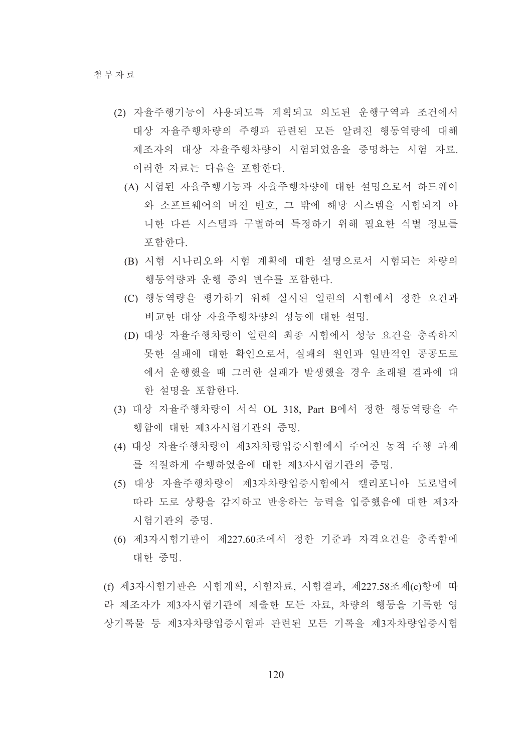- (2) 자율주행기능이 사용되도록 계획되고 의도된 운행구역과 조건에서 대상 자율주행차량의 주행과 관련된 모든 알려진 행동역량에 대해 제조자의 대상 자율주행차량이 시험되었음을 증명하는 시험 자료. 이러한 자료는 다음을 포함하다.
	- (A) 시험된 자율주행기능과 자율주행차량에 대한 설명으로서 하드웨어 와 소프트웨어의 버전 번호, 그 밖에 해당 시스템을 시험되지 아 니한 다른 시스템과 구별하여 특정하기 위해 필요한 식별 정보를 포함하다.
	- (B) 시험 시나리오와 시험 계획에 대한 설명으로서 시험되는 차량의 행동역량과 우행 중의 변수를 포함하다.
	- (C) 행동역량을 평가하기 위해 실시된 일련의 시험에서 정한 요건과 비교한 대상 자율주행차량의 성능에 대한 설명.
	- (D) 대상 자율주행차량이 일련의 최종 시험에서 성능 요건을 충족하지 못한 실패에 대한 확인으로서, 실패의 원인과 일반적인 공공도로 에서 운행했을 때 그러한 실패가 발생했을 경우 초래될 결과에 대 한 설명을 포함하다.
- (3) 대상 자율주행차량이 서식 OL 318, Part B에서 정한 행동역량을 수 행함에 대한 제3자시험기관의 증명.
- (4) 대상 자율주행차량이 제3자차량입증시험에서 주어지 동적 주행 과제 를 적절하게 수행하였음에 대한 제3자시험기관의 증명.
- (5) 대상 자율주행차량이 제3자차량입증시험에서 캘리포니아 도로법에 따라 도로 상황을 감지하고 반응하는 능력을 입증했음에 대한 제3자 시험기관의 증명.
- (6) 제3자시험기관이 제227.60조에서 정한 기준과 자격요건을 충족함에 대한 증명.

(f) 제3자시험기관은 시험계획, 시험자료, 시험결과, 제227.58조제(c)항에 따 라 제조자가 제3자시험기관에 제출한 모든 자료, 차량의 행동을 기록한 영 상기록물 등 제3자차량입증시험과 관련된 모든 기록을 제3자차량입증시험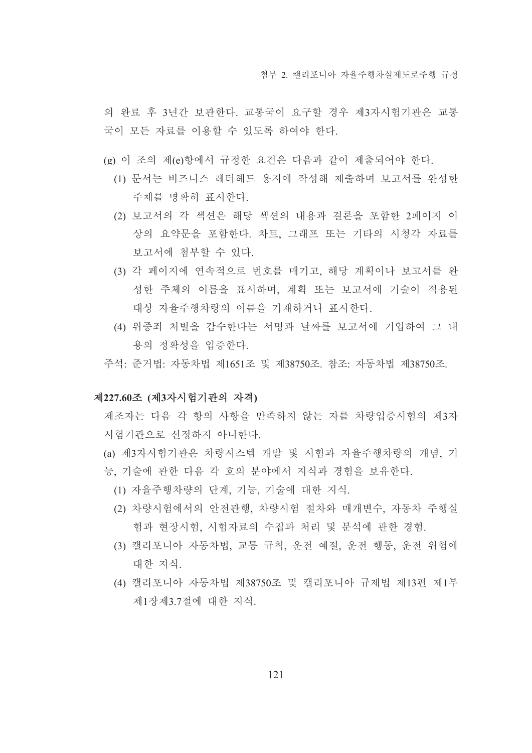의 완료 후 3년간 보관한다. 교통국이 요구할 경우 제3자시험기관은 교통 국이 모든 자료를 이용할 수 있도록 하여야 한다.

- (g) 이 조의 제(e)항에서 규정한 요건은 다음과 같이 제출되어야 한다.
	- (1) 문서는 비즈니스 레터헤드 용지에 작성해 제출하며 보고서를 완성한 주체를 명확히 표시한다.
	- (2) 보고서의 각 섹션은 해당 섹션의 내용과 결론을 포함한 2페이지 이 상의 요약문을 포함한다. 차트, 그래프 또는 기타의 시청각 자료를 보고서에 첨부할 수 있다.
	- (3) 각 페이지에 연속적으로 번호를 매기고, 해당 계획이나 보고서를 완 성한 주체의 이름을 표시하며, 계획 또는 보고서에 기술이 적용된 대상 자율주행차량의 이름을 기재하거나 표시한다.
	- (4) 위증죄 처벌을 감수한다는 서명과 날짜를 보고서에 기입하여 그 내 용의 정확성을 입증한다.
- 주석· 주거법· 자동차법 제1651조 및 제38750조 참조· 자동차법 제38750조

# 제227.60조 (제3자시험기관의 자격)

제조자는 다음 각 항의 사항을 만족하지 않는 자를 차량입증시험의 제3자 시험기관으로 선정하지 아니한다.

- (a) 제3자시험기관은 차량시스템 개발 및 시험과 자율주행차량의 개념, 기 능, 기술에 관한 다음 각 호의 분야에서 지식과 경험을 보유한다.
	- (1) 자율주행차량의 단계, 기능, 기술에 대한 지식.
	- (2) 차량시험에서의 안전관행, 차량시험 절차와 매개변수, 자동차 주행실 험과 현장시험, 시험자료의 수집과 처리 및 분석에 관한 경험.
	- (3) 캘리포니아 자동차법, 교통 규칙, 운전 예절, 운전 행동, 운전 위험에 대한 지식.
	- (4) 캘리포니아 자동차법 제38750조 및 캘리포니아 규제법 제13편 제1부 제1장제3.7절에 대한 지식.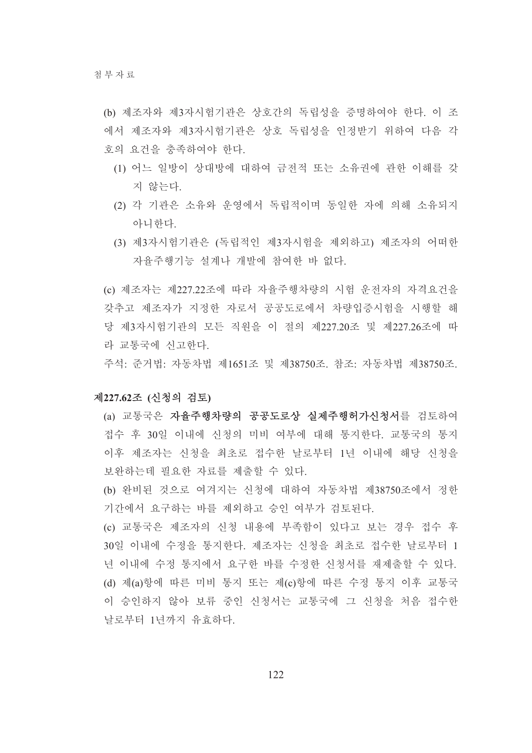- (b) 제조자와 제3자시험기관은 상호간의 독립성을 증명하여야 한다. 이 조 에서 제조자와 제3자시험기관은 상호 독립성을 인정받기 위하여 다음 각 호의 요건을 충족하여야 한다.
	- (1) 어느 일방이 상대방에 대하여 금전적 또는 소유권에 관한 이해를 갖 지 않는다.
	- (2) 각 기관은 소유와 운영에서 독립적이며 동일한 자에 의해 소유되지 아니하다
	- (3) 제3자시험기관은 (독립적인 제3자시험을 제외하고) 제조자의 어떠한 자율주행기능 설계나 개발에 참여하 바 없다.

(c) 제조자는 제227.22조에 따라 자율주행차량의 시험 운전자의 자격요건을 갖추고 제조자가 지정한 자로서 공공도로에서 차량입증시험을 시행할 해 당 제3자시험기관의 모든 직원을 이 절의 제227.20조 및 제227.26조에 따 라 교통국에 신고하다.

주석: 준거법: 자동차법 제1651조 및 제38750조, 참조: 자동차법 제38750조.

# 제227.62조 (신청의 검토)

- (a) 교통국은 자율주행차량의 공공도로상 실제주행허가신청서를 검토하여 접수 후 30일 이내에 신청의 미비 여부에 대해 통지한다. 교통국의 통지 이후 제조자는 신청을 최초로 접수한 날로부터 1년 이내에 해당 신청을 보완하는데 필요한 자료를 제출할 수 있다.
- (b) 완비된 것으로 여겨지는 신청에 대하여 자동차법 제38750조에서 정한 기간에서 요구하는 바를 제외하고 승인 여부가 검토된다.

(c) 교통국은 제조자의 신청 내용에 부족함이 있다고 보는 경우 접수 후 30일 이내에 수정을 통지한다. 제조자는 신청을 최초로 접수한 날로부터 1 녀 이내에 수정 통지에서 요구하 바를 수정한 신청서를 재제출할 수 있다. (d) 제(a)항에 따른 미비 통지 또는 제(c)항에 따른 수정 통지 이후 교통국 이 승인하지 않아 보류 중인 신청서는 교통국에 그 신청을 처음 접수한 날로부터 1년까지 유효하다.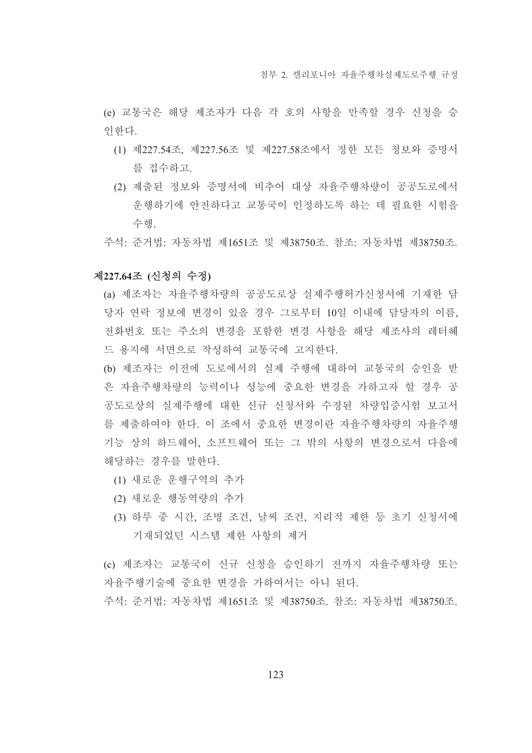(e) 교통국은 해당 제조자가 다음 각 호의 사항을 만족할 경우 신청을 승 인한다.

- (1) 제227.54조, 제227.56조 및 제227.58조에서 정한 모든 정보와 증명서 를 접수하고.
- (2) 제출된 정보와 증명서에 비추어 대상 자율주행차량이 공공도로에서 운행하기에 안전하다고 교통국이 인정하도록 하는 데 필요한 시험을 수해
- 주석: 준거법: 자동차법 제1651조 및 제38750조, 참조: 자동차법 제38750조,

## 제227.64조 (신청의 수정)

- (a) 제조자는 자율주행차량의 공공도로상 실제주행허가신청서에 기재한 담 당자 연락 정보에 변경이 있을 경우 그로부터 10일 이내에 담당자의 이름. 전화번호 또는 주소의 변경을 포함한 변경 사항을 해당 제조사의 레터헤 드 용지에 서면으로 작성하여 교통국에 고지한다.
- (b) 제조자는 이전에 도로에서의 실제 주행에 대하여 교통국의 승인을 받 은 자율주행차량의 능력이나 성능에 중요한 변경을 가하고자 할 경우 공 공도로상의 실제주행에 대한 신규 신청서와 수정된 차량입증시험 보고서 를 제출하여야 한다. 이 조에서 중요한 변경이란 자율주행차량의 자율주행 기능 상의 하드웨어. 소프트웨어 또는 그 밖의 사항의 변경으로서 다음에 해당하는 경우를 말한다.
	- (1) 새로운 운행구역의 추가
	- (2) 새로운 행동역량의 추가
	- (3) 하루 중 시간, 조명 조건, 날씨 조건, 지리적 제한 등 초기 신청서에 기재되었던 시스템 제한 사항의 제거

(c) 제조자는 교통국이 신규 신청을 승인하기 전까지 자율주행차량 또는 자율주행기술에 중요한 변경을 가하여서는 아니 된다.

주석: 준거법: 자동차법 제1651조 및 제38750조. 참조: 자동차법 제38750조.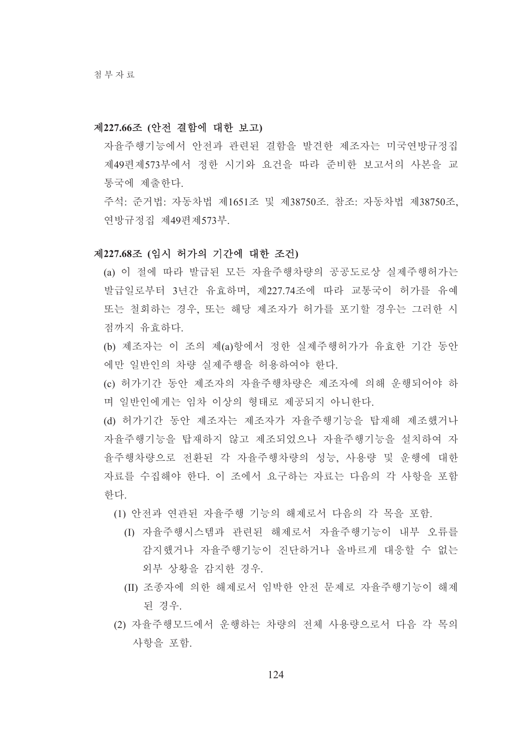#### 제227.66조 (안전 결함에 대한 보고)

자율주행기능에서 안전과 관련된 결함을 발견한 제조자는 미국연방규정집 제49편제573부에서 정한 시기와 요건을 따라 준비한 보고서의 사본을 교 통국에 제출하다.

주석: 준거법: 자동차법 제1651조 및 제38750조, 참조: 자동차법 제38750조, 연방규정집 제49편제573부.

## 제227.68조 (임시 허가의 기간에 대한 조건)

(a) 이 절에 따라 발급된 모든 자율주행차량의 공공도로상 실제주행허가는 발급일로부터 3년간 유효하며, 제227.74조에 따라 교통국이 허가를 유예 또는 철회하는 경우, 또는 해당 제조자가 허가를 포기할 경우는 그러한 시 점까지 유효하다.

(b) 제조자는 이 조의 제(a)항에서 정한 실제주행허가가 유효한 기간 동안 에만 일반인의 차량 실제주행을 허용하여야 한다.

(c) 허가기간 동안 제조자의 자율주행차량은 제조자에 의해 운행되어야 하 며 일반인에게는 임차 이상의 형태로 제공되지 아니한다.

(d) 허가기간 동안 제조자는 제조자가 자율주행기능을 탑재해 제조했거나 자율주행기능을 탑재하지 않고 제조되었으나 자율주행기능을 설치하여 자 율주행차량으로 전환된 각 자율주행차량의 성능, 사용량 및 운행에 대한 자료를 수집해야 하다. 이 조에서 요구하는 자료는 다음의 각 사항을 포함 하다

(1) 안전과 연관된 자율주행 기능의 해제로서 다음의 각 목을 포함.

- (I) 자율주행시스템과 관련된 해제로서 자율주행기능이 내부 오류를 감지했거나 자율주행기능이 진단하거나 올바르게 대응할 수 없는 외부 상황을 감지한 경우.
- (II) 조종자에 의한 해제로서 임박한 안전 문제로 자율주행기능이 해제 된 경우
- (2) 자율주행모드에서 우행하는 차량의 전체 사용량으로서 다음 각 목의 사항을 포함.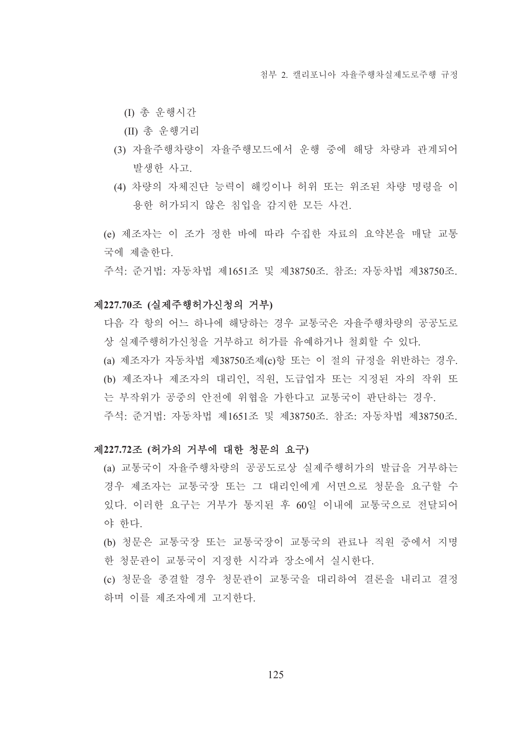(I) 총 운행시간

- (II) 총 운행거리
- (3) 자율주행차량이 자율주행모드에서 운행 중에 해당 차량과 관계되어 발생한 사고.
- (4) 차량의 자체진단 능력이 해킹이나 허위 또는 위조된 차량 명령을 이 용한 허가되지 않은 침입을 감지한 모든 사건.
- (e) 제조자는 이 조가 정한 바에 따라 수집한 자료의 요약본을 매달 교통 국에 제출하다.

주석: 준거법: 자동차법 제1651조 및 제38750조. 참조: 자동차법 제38750조.

#### 제227.70조 (실제주행허가신청의 거부)

- 다음 각 항의 어느 하나에 해당하는 경우 교통국은 자율주행차량의 공공도로 상 실제주행허가신청을 거부하고 허가를 유예하거나 철회할 수 있다.
- (a) 제조자가 자동차법 제38750조제(c)항 또는 이 절의 규정을 위반하는 경우. (b) 제조자나 제조자의 대리인, 직원, 도급업자 또는 지정된 자의 작위 또
- 는 부작위가 공중의 안전에 위협을 가한다고 교통국이 판단하는 경우.
- 주석: 준거법: 자동차법 제1651조 및 제38750조, 참조: 자동차법 제38750조.

## 제227.72조 (허가의 거부에 대한 청문의 요구)

(a) 교통국이 자율주행차량의 공공도로상 실제주행허가의 발급을 거부하는 경우 제조자는 교통국장 또는 그 대리인에게 서면으로 청문을 요구할 수 있다. 이러한 요구는 거부가 통지된 후 60일 이내에 교통국으로 전달되어 야 한다.

(b) 청문은 교통국장 또는 교통국장이 교통국의 관료나 직원 중에서 지명 한 청문관이 교통국이 지정한 시각과 장소에서 실시한다.

(c) 청문을 종결할 경우 청문관이 교통국을 대리하여 결론을 내리고 결정 하며 이를 제조자에게 고지하다.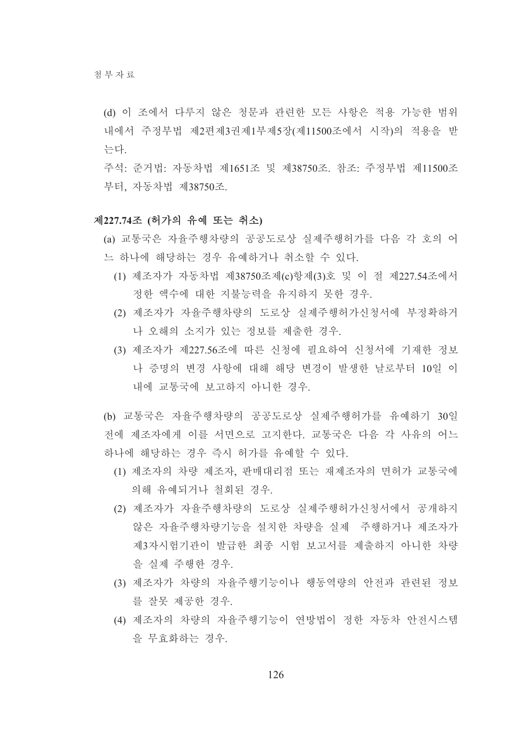- (d) 이 조에서 다루지 않은 청문과 관련한 모든 사항은 적용 가능한 범위 내에서 주정부법 제2편제3권제1부제5장(제11500조에서 시작)의 적용을 받 는다.
- 주석: 준거법: 자동차법 제1651조 및 제38750조. 참조: 주정부법 제11500조 부터, 자동차법 제38750조.

## 제227.74조 (허가의 유예 또는 취소)

(a) 교통국은 자율주행차량의 공공도로상 실제주행허가를 다음 각 호의 어 느 하나에 해당하는 경우 유예하거나 취소할 수 있다.

- (1) 제조자가 자동차법 제38750조제(c)항제(3)호 및 이 절 제227.54조에서 정한 액수에 대한 지불능력을 유지하지 못한 경우.
- (2) 제조자가 자율주행차량의 도로상 실제주행허가신청서에 부정확하거 나 오해의 소지가 있는 정보를 제출한 경우.
- (3) 제조자가 제227.56조에 따른 신청에 필요하여 신청서에 기재한 정보 나 증명의 변경 사항에 대해 해당 변경이 발생한 날로부터 10일 이 내에 교통국에 보고하지 아니하 경우.

(b) 교통국은 자율주행차량의 공공도로상 실제주행허가를 유예하기 30일 전에 제조자에게 이를 서면으로 고지한다. 교통국은 다음 각 사유의 어느 하나에 해당하는 경우 즉시 허가를 유예할 수 있다.

- (1) 제조자의 차량 제조자, 판매대리점 또는 재제조자의 면허가 교통국에 의해 유예되거나 철회된 경우.
- (2) 제조자가 자율주행차량의 도로상 실제주행허가신청서에서 공개하지 않은 자율주행차량기능을 설치한 차량을 실제 주행하거나 제조자가 제3자시험기관이 발급한 최종 시험 보고서를 제출하지 아니한 차량 을 실제 주행한 경우.
- (3) 제조자가 차량의 자율주행기능이나 행동역량의 안전과 관련된 정보 를 잘못 제공한 경우.
- (4) 제조자의 차량의 자율주행기능이 연방법이 정한 자동차 안전시스템 을 무효화하는 경우.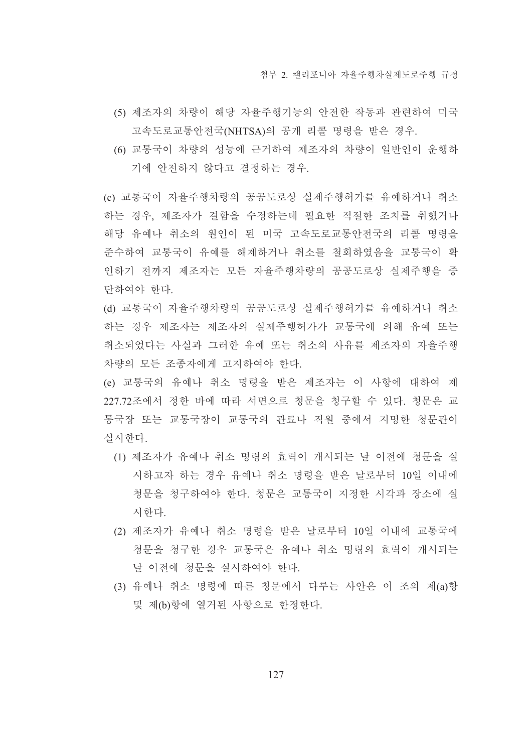- (5) 제조자의 차량이 해당 자율주행기능의 안전한 작동과 관련하여 미국 고속도로교통안전국(NHTSA)의 공개 리콜 명령을 받은 경우.
- (6) 교통국이 차량의 성능에 근거하여 제조자의 차량이 일반인이 운행하 기에 안전하지 않다고 결정하는 경우.

(c) 교통국이 자율주행차량의 공공도로상 실제주행허가를 유예하거나 취소 하는 경우, 제조자가 결함을 수정하는데 필요한 적절한 조치를 취했거나 해당 유예나 취소의 원인이 된 미국 고속도로교통안전국의 리콜 명령을 주수하여 교통국이 유예를 해제하거나 취소를 철회하였음을 교통국이 확 인하기 전까지 제조자는 모든 자율주행차량의 공공도로상 실제주행을 중 단하여야 한다.

(d) 교통국이 자율주행차량의 공공도로상 실제주행허가를 유예하거나 취소 하는 경우 제조자는 제조자의 실제주행허가가 교통국에 의해 유예 또는 취소되었다는 사실과 그러한 유예 또는 취소의 사유를 제조자의 자율주행 차량의 모든 조종자에게 고지하여야 한다.

(e) 교통국의 유예나 취소 명령을 받은 제조자는 이 사항에 대하여 제 227.72조에서 정한 바에 따라 서면으로 청문을 청구할 수 있다. 청문은 교 통국장 또는 교통국장이 교통국의 관료나 직원 중에서 지명한 청문관이 실시하다.

- (1) 제조자가 유예나 취소 명령의 효력이 개시되는 날 이전에 청문을 실 시하고자 하는 경우 유예나 취소 명령을 받은 날로부터 10일 이내에 청문을 청구하여야 한다. 청문은 교통국이 지정한 시각과 장소에 실 시한다.
- (2) 제조자가 유예나 취소 명령을 받은 날로부터 10일 이내에 교통국에 청문을 청구한 경우 교통국은 유예나 취소 명령의 효력이 개시되는 날 이전에 청문을 실시하여야 한다.
- (3) 유예나 취소 명령에 따른 청문에서 다루는 사안은 이 조의 제(a)항 및 제(b)항에 열거된 사항으로 한정한다.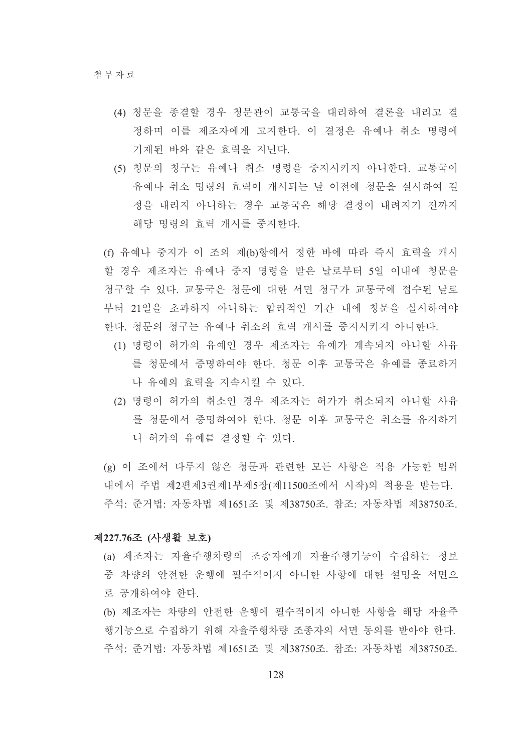- (4) 청문을 종결할 경우 청문관이 교통국을 대리하여 결론을 내리고 결 정하며 이를 제조자에게 고지한다. 이 결정은 유예나 취소 명령에 기재된 바와 같은 효력을 지닌다.
- (5) 청문의 청구는 유예나 취소 명령을 중지시키지 아니한다. 교통국이 유예나 취소 명령의 효력이 개시되는 날 이전에 청문을 실시하여 결 정을 내리지 아니하는 경우 교통국은 해당 결정이 내려지기 전까지 해당 명령의 효력 개시를 중지한다.
- (f) 유예나 중지가 이 조의 제(b)항에서 정한 바에 따라 즉시 효력을 개시 할 경우 제조자는 유예나 중지 명령을 받은 날로부터 5일 이내에 청문을 청구할 수 있다. 교통국은 청문에 대한 서면 청구가 교통국에 접수된 날로 부터 21일을 초과하지 아니하는 합리적인 기간 내에 청문을 실시하여야 한다. 청문의 청구는 유예나 취소의 효력 개시를 중지시키지 아니한다.
	- (1) 명령이 허가의 유예인 경우 제조자는 유예가 계속되지 아니할 사유 를 청문에서 증명하여야 한다. 청문 이후 교통국은 유예를 종료하거 나 유예의 효력을 지속시킬 수 있다.
	- (2) 명령이 허가의 취소인 경우 제조자는 허가가 취소되지 아니할 사유 를 청문에서 증명하여야 하다. 청문 이후 교통국은 취소를 유지하거 나 허가의 유예를 결정할 수 있다.

(g) 이 조에서 다루지 않은 청문과 관련한 모든 사항은 적용 가능한 범위 내에서 주법 제2편제3권제1부제5장(제11500조에서 시작)의 적용을 받는다. 주석: 준거법: 자동차법 제1651조 및 제38750조, 참조: 자동차법 제38750조,

## 제227.76조 (사생활 보호)

- (a) 제조자는 자율주행차량의 조종자에게 자율주행기능이 수집하는 정보 중 차량의 안전한 운행에 필수적이지 아니한 사항에 대한 설명을 서면으 로 공개하여야 한다.
- (b) 제조자는 차량의 안전한 운행에 필수적이지 아니한 사항을 해당 자율주 행기능으로 수집하기 위해 자율주행차량 조종자의 서면 동의를 받아야 한다. 주석: 준거법: 자동차법 제1651조 및 제38750조, 참조: 자동차법 제38750조,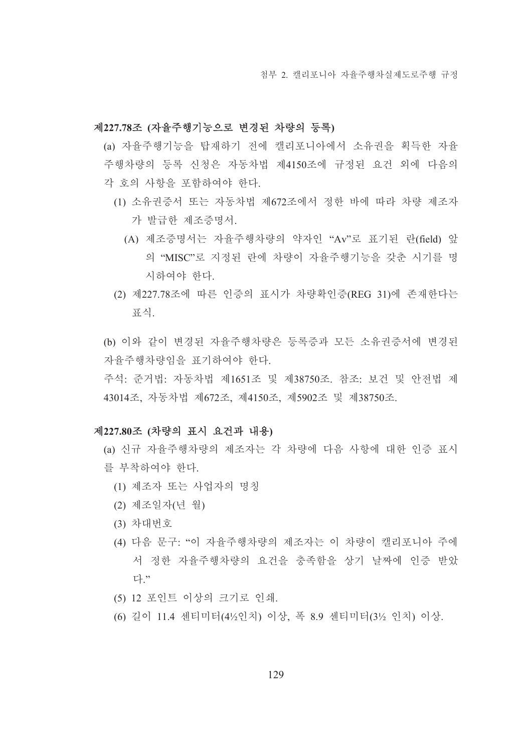## 제227.78조 (자율주행기능으로 변경된 차량의 등록)

(a) 자율주행기능을 탑재하기 전에 캘리포니아에서 소유권을 획득한 자율 주행차량의 등록 신청은 자동차법 제4150조에 규정된 요건 외에 다음의 각 호의 사항을 포함하여야 한다.

- (1) 소유권증서 또는 자동차법 제672조에서 정한 바에 따라 차량 제조자 가 발급한 제조증명서.
	- (A) 제조증명서는 자율주행차량의 약자인 "Av"로 표기된 란(field) 앞 의 "MISC"로 지정된 란에 차량이 자율주행기능을 갖춘 시기를 명 시하여야 한다.
- (2) 제227.78조에 따른 인증의 표시가 차량확인증(REG 31)에 존재한다는 퓨식

(b) 이와 같이 변경된 자율주행차량은 등록증과 모든 소유권증서에 변경된 자율주행차량임을 표기하여야 한다.

주석: 준거법: 자동차법 제1651조 및 제38750조, 참조: 보건 및 안전법 제 43014조, 자동차법 제672조, 제4150조, 제5902조 및 제38750조.

# 제227.80조 (차량의 표시 요건과 내용)

- (a) 신규 자율주행차량의 제조자는 각 차량에 다음 사항에 대한 인증 표시 를 부착하여야 한다.
	- (1) 제조자 또는 사업자의 명칭
	- (2) 제조일자(년 월)
	- (3) 차대번호
	- (4) 다음 문구: "이 자율주행차량의 제조자는 이 차량이 캘리포니아 주에 서 정한 자율주행차량의 요건을 충족함을 상기 날짜에 인증 받았 다."
	- (5) 12 포인트 이상의 크기로 인쇄.
	- (6) 길이 11.4 센티미터(4½인치) 이상, 폭 8.9 센티미터(3½ 인치) 이상.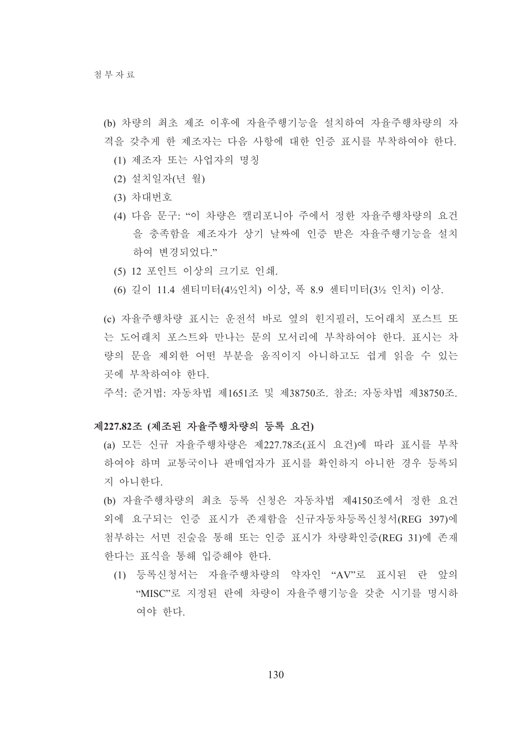(b) 차량의 최초 제조 이후에 자율주행기능을 설치하여 자율주행차량의 자 격을 갖추게 한 제조자는 다음 사항에 대한 인증 표시를 부착하여야 한다.

- (1) 제조자 또는 사업자의 명칭
- (2) 설치일자(년 월)
- (3) 차대번호
- (4) 다음 문구: "이 차량은 캘리포니아 주에서 정한 자율주행차량의 요건 을 충족함을 제조자가 상기 날짜에 인증 받은 자율주행기능을 설치 하여 변경되었다."
- (5) 12 포인트 이상의 크기로 인쇄.
- (6) 길이 11.4 센티미터(4½인치) 이상, 폭 8.9 센티미터(3½ 인치) 이상.

(c) 자율주행차량 표시는 운전석 바로 옆의 힌지필러. 도어래치 포스트 또 는 도어래치 포스트와 만나는 문의 모서리에 부착하여야 한다. 표시는 차 량의 문을 제외한 어떤 부분을 움직이지 아니하고도 쉽게 읽을 수 있는 곳에 부착하여야 하다.

주석: 준거법: 자동차법 제1651조 및 제38750조, 참조: 자동차법 제38750조,

#### 제227.82조 (제조된 자율주행차량의 등록 요건)

(a) 모든 신규 자율주행차량은 제227.78조(표시 요건)에 따라 표시를 부착 하여야 하며 교통국이나 판매업자가 표시를 확인하지 아니한 경우 등록되 지 아니한다.

(b) 자율주행차량의 최초 등록 신청은 자동차법 제4150조에서 정한 요건 외에 요구되는 인증 표시가 존재함을 신규자동차등록신청서(REG 397)에 첨부하는 서면 진술을 통해 또는 인증 표시가 차량확인증(REG 31)에 존재 한다는 표식을 통해 입증해야 한다.

(1) 등록신청서는 자율주행차량의 약자인 "AV"로 표시된 란 앞의 "MISC"로 지정된 란에 차량이 자율주행기능을 갖춘 시기를 명시하 여야 한다.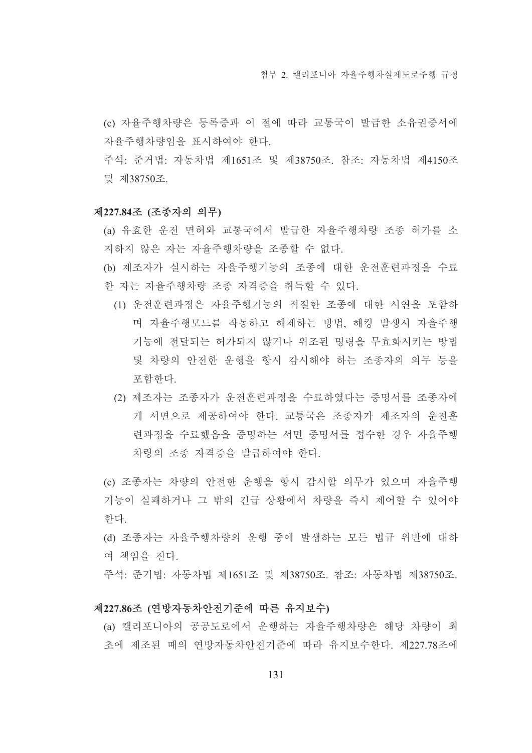(c) 자율주행차량은 등록증과 이 절에 따라 교통국이 발급한 소유권증서에 자율주행차량임을 표시하여야 한다.

주석: 준거법: 자동차법 제1651조 및 제38750조, 참조: 자동차법 제4150조 및 제38750조.

#### 제227.84조 (조종자의 의무)

- (a) 유효한 운전 면허와 교통국에서 발급한 자율주행차량 조종 허가를 소 지하지 않은 자는 자율주행차량을 조종할 수 없다.
- (b) 제조자가 실시하는 자율주행기능의 조종에 대한 운전훈련과정을 수료 한 자는 자율주행차량 조종 자격증을 취득할 수 있다.
	- (1) 운전훈련과정은 자율주행기능의 적절한 조종에 대한 시연을 포함하 며 자율주행모드를 작동하고 해제하는 방법, 해킹 발생시 자율주행 기능에 전달되는 허가되지 않거나 위조된 명령을 무효화시키는 방법 및 차량의 안전한 운행을 항시 감시해야 하는 조종자의 의무 등을 포함하다.
	- (2) 제조자는 조종자가 운전훈련과정을 수료하였다는 증명서를 조종자에 게 서면으로 제공하여야 한다. 교통국은 조종자가 제조자의 운전훈 련과정을 수료했음을 증명하는 서면 증명서를 접수한 경우 자율주행 차량의 조종 자격증을 발급하여야 한다.

(c) 조종자는 차량의 안전한 운행을 항시 감시할 의무가 있으며 자율주행 기능이 실패하거나 그 밖의 긴급 상황에서 차량을 즉시 제어할 수 있어야 한다.

- (d) 조종자는 자율주행차량의 운행 중에 발생하는 모든 법규 위반에 대하 여 책임을 진다.
- 주석: 준거법: 자동차법 제1651조 및 제38750조, 참조: 자동차법 제38750조,

## 제227.86조 (연방자동차안전기준에 따른 유지보수)

(a) 캘리포니아의 공공도로에서 운행하는 자율주행차량은 해당 차량이 최 초에 제조된 때의 연방자동차안전기준에 따라 유지보수한다. 제227.78조에